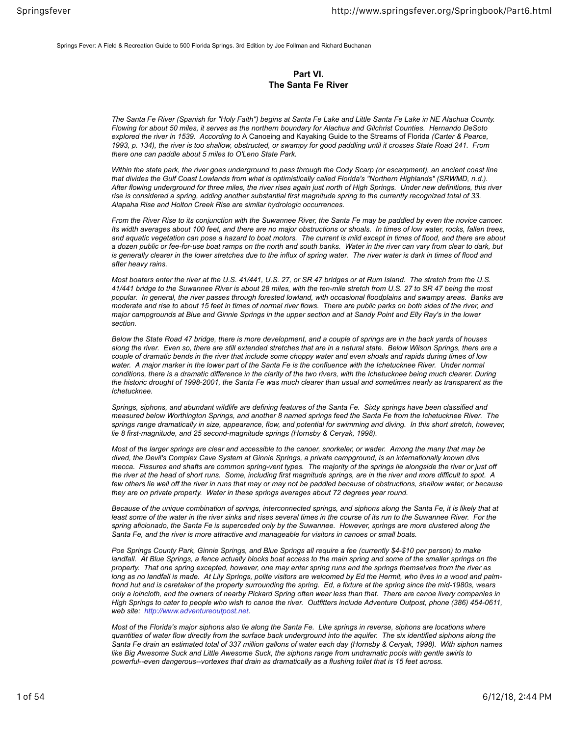Springs Fever: A Field & Recreation Guide to 500 Florida Springs. 3rd Edition by Joe Follman and Richard Buchanan

## **Part VI. The Santa Fe River**

*The Santa Fe River (Spanish for "Holy Faith") begins at Santa Fe Lake and Little Santa Fe Lake in NE Alachua County. Flowing for about 50 miles, it serves as the northern boundary for Alachua and Gilchrist Counties. Hernando DeSoto explored the river in 1539. According to* A Canoeing and Kayaking Guide to the Streams of Florida *(Carter & Pearce, 1993, p. 134), the river is too shallow, obstructed, or swampy for good paddling until it crosses State Road 241. From there one can paddle about 5 miles to O'Leno State Park.*

*Within the state park, the river goes underground to pass through the Cody Scarp (or escarpment), an ancient coast line* that divides the Gulf Coast Lowlands from what is optimistically called Florida's "Northern Highlands" (SRWMD, n.d.). *After flowing underground for three miles, the river rises again just north of High Springs. Under new definitions, this river rise is considered a spring, adding another substantial first magnitude spring to the currently recognized total of 33. Alapaha Rise and Holton Creek Rise are similar hydrologic occurrences.*

*From the River Rise to its conjunction with the Suwannee River, the Santa Fe may be paddled by even the novice canoer. Its width averages about 100 feet, and there are no major obstructions or shoals. In times of low water, rocks, fallen trees, and aquatic vegetation can pose a hazard to boat motors. The current is mild except in times of flood, and there are about a dozen public or fee-for-use boat ramps on the north and south banks. Water in the river can vary from clear to dark, but is generally clearer in the lower stretches due to the influx of spring water. The river water is dark in times of flood and after heavy rains.*

*Most boaters enter the river at the U.S. 41/441, U.S. 27, or SR 47 bridges or at Rum Island. The stretch from the U.S. 41/441 bridge to the Suwannee River is about 28 miles, with the ten-mile stretch from U.S. 27 to SR 47 being the most popular. In general, the river passes through forested lowland, with occasional floodplains and swampy areas. Banks are moderate and rise to about 15 feet in times of normal river flows. There are public parks on both sides of the river, and major campgrounds at Blue and Ginnie Springs in the upper section and at Sandy Point and Elly Ray's in the lower section.*

*Below the State Road 47 bridge, there is more development, and a couple of springs are in the back yards of houses along the river. Even so, there are still extended stretches that are in a natural state. Below Wilson Springs, there are a couple of dramatic bends in the river that include some choppy water and even shoals and rapids during times of low water. A major marker in the lower part of the Santa Fe is the confluence with the Ichetucknee River. Under normal conditions, there is a dramatic difference in the clarity of the two rivers, with the Ichetucknee being much clearer. During the historic drought of 1998-2001, the Santa Fe was much clearer than usual and sometimes nearly as transparent as the Ichetucknee.*

*Springs, siphons, and abundant wildlife are defining features of the Santa Fe. Sixty springs have been classified and measured below Worthington Springs, and another 8 named springs feed the Santa Fe from the Ichetucknee River. The springs range dramatically in size, appearance, flow, and potential for swimming and diving. In this short stretch, however, lie 8 first-magnitude, and 25 second-magnitude springs (Hornsby & Ceryak, 1998).*

*Most of the larger springs are clear and accessible to the canoer, snorkeler, or wader. Among the many that may be dived, the Devil's Complex Cave System at Ginnie Springs, a private campground, is an internationally known dive mecca. Fissures and shafts are common spring-vent types. The majority of the springs lie alongside the river or just off the river at the head of short runs. Some, including first magnitude springs, are in the river and more difficult to spot. A few others lie well off the river in runs that may or may not be paddled because of obstructions, shallow water, or because they are on private property. Water in these springs averages about 72 degrees year round.*

*Because of the unique combination of springs, interconnected springs, and siphons along the Santa Fe, it is likely that at least some of the water in the river sinks and rises several times in the course of its run to the Suwannee River. For the spring aficionado, the Santa Fe is superceded only by the Suwannee. However, springs are more clustered along the Santa Fe, and the river is more attractive and manageable for visitors in canoes or small boats.*

*Poe Springs County Park, Ginnie Springs, and Blue Springs all require a fee (currently \$4-\$10 per person) to make landfall. At Blue Springs, a fence actually blocks boat access to the main spring and some of the smaller springs on the property. That one spring excepted, however, one may enter spring runs and the springs themselves from the river as long as no landfall is made. At Lily Springs, polite visitors are welcomed by Ed the Hermit, who lives in a wood and palmfrond hut and is caretaker of the property surrounding the spring. Ed, a fixture at the spring since the mid-1980s, wears only a loincloth, and the owners of nearby Pickard Spring often wear less than that. There are canoe livery companies in High Springs to cater to people who wish to canoe the river. Outfitters include Adventure Outpost, phone (386) 454-0611, web site: http://www.adventureoutpost.net.*

*Most of the Florida's major siphons also lie along the Santa Fe. Like springs in reverse, siphons are locations where quantities of water flow directly from the surface back underground into the aquifer. The six identified siphons along the Santa Fe drain an estimated total of 337 million gallons of water each day (Hornsby & Ceryak, 1998). With siphon names like Big Awesome Suck and Little Awesome Suck, the siphons range from undramatic pools with gentle swirls to powerful--even dangerous--vortexes that drain as dramatically as a flushing toilet that is 15 feet across.*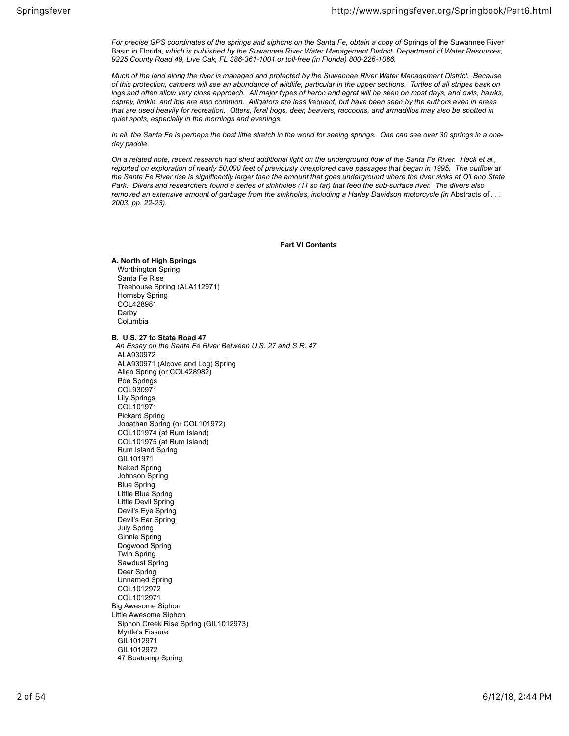For precise GPS coordinates of the springs and siphons on the Santa Fe, obtain a copy of Springs of the Suwannee River Basin in Florida*, which is published by the Suwannee River Water Management District, Department of Water Resources, 9225 County Road 49, Live Oak, FL 386-361-1001 or toll-free (in Florida) 800-226-1066.*

*Much of the land along the river is managed and protected by the Suwannee River Water Management District. Because of this protection, canoers will see an abundance of wildlife, particular in the upper sections. Turtles of all stripes bask on logs and often allow very close approach. All major types of heron and egret will be seen on most days, and owls, hawks, osprey, limkin, and ibis are also common. Alligators are less frequent, but have been seen by the authors even in areas that are used heavily for recreation. Otters, feral hogs, deer, beavers, raccoons, and armadillos may also be spotted in quiet spots, especially in the mornings and evenings.*

*In all, the Santa Fe is perhaps the best little stretch in the world for seeing springs. One can see over 30 springs in a oneday paddle.*

*On a related note, recent research had shed additional light on the underground flow of the Santa Fe River. Heck et al., reported on exploration of nearly 50,000 feet of previously unexplored cave passages that began in 1995. The outflow at the Santa Fe River rise is significantly larger than the amount that goes underground where the river sinks at O'Leno State Park. Divers and researchers found a series of sinkholes (11 so far) that feed the sub-surface river. The divers also* removed an extensive amount of garbage from the sinkholes, including a Harley Davidson motorcycle (in Abstracts of .. *2003, pp. 22-23).*

**Part VI Contents**

## **A. North of High Springs**

 Worthington Spring Santa Fe Rise Treehouse Spring (ALA112971) Hornsby Spring COL428981 Darby Columbia

**B. U.S. 27 to State Road 47**

 *An Essay on the Santa Fe River Between U.S. 27 and S.R. 47* ALA930972 ALA930971 (Alcove and Log) Spring Allen Spring (or COL428982) Poe Springs COL930971 Lily Springs COL101971 Pickard Spring Jonathan Spring (or COL101972) COL101974 (at Rum Island) COL101975 (at Rum Island) Rum Island Spring GIL101971 Naked Spring Johnson Spring Blue Spring Little Blue Spring Little Devil Spring Devil's Eye Spring Devil's Ear Spring July Spring Ginnie Spring Dogwood Spring Twin Spring Sawdust Spring Deer Spring Unnamed Spring COL1012972 COL1012971 Big Awesome Siphon Little Awesome Siphon Siphon Creek Rise Spring (GIL1012973) Myrtle's Fissure GIL1012971 GIL1012972 47 Boatramp Spring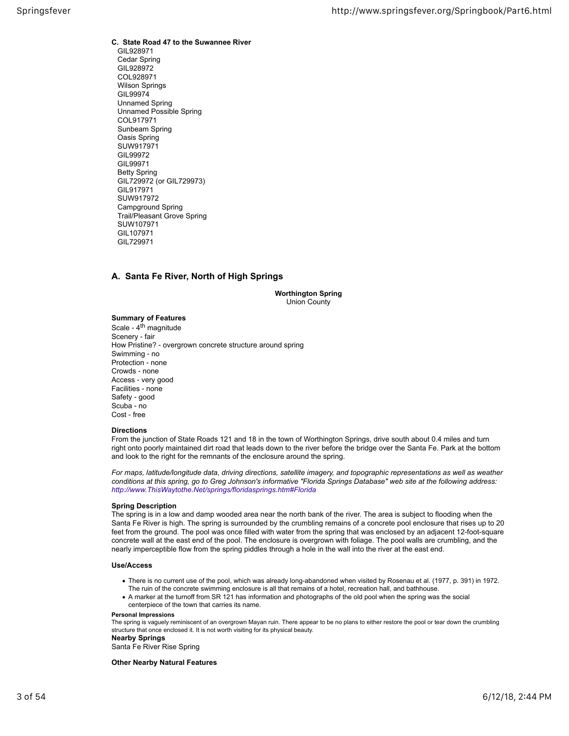**C. State Road 47 to the Suwannee River** GIL928971 Cedar Spring GIL928972 COL928971 Wilson Springs **GIL99974**  Unnamed Spring Unnamed Possible Spring COL917971 Sunbeam Spring Oasis Spring SUW917971 GIL99972 GIL99971 Betty Spring GIL729972 (or GIL729973) GIL917971 SUW917972 Campground Spring Trail/Pleasant Grove Spring SUW107971 GIL107971 GIL729971

## **A. Santa Fe River, North of High Springs**

**Worthington Spring** Union County

## **Summary of Features**

Scale - 4<sup>th</sup> magnitude Scenery ‐ fair How Pristine? ‐ overgrown concrete structure around spring Swimming ‐ no Protection ‐ none Crowds ‐ none Access ‐ very good Facilities ‐ none Safety ‐ good Scuba ‐ no Cost ‐ free

## **Directions**

From the junction of State Roads 121 and 18 in the town of Worthington Springs, drive south about 0.4 miles and turn right onto poorly maintained dirt road that leads down to the river before the bridge over the Santa Fe. Park at the bottom and look to the right for the remnants of the enclosure around the spring.

*For maps, latitude/longitude data, driving directions, satellite imagery, and topographic representations as well as weather conditions at this spring, go to Greg Johnson's informative "Florida Springs Database" web site at the following address: http://www.ThisWaytothe.Net/springs/floridasprings.htm#Florida*

## **Spring Description**

The spring is in a low and damp wooded area near the north bank of the river. The area is subject to flooding when the Santa Fe River is high. The spring is surrounded by the crumbling remains of a concrete pool enclosure that rises up to 20 feet from the ground. The pool was once filled with water from the spring that was enclosed by an adjacent 12-foot-square concrete wall at the east end of the pool. The enclosure is overgrown with foliage. The pool walls are crumbling, and the nearly imperceptible flow from the spring piddles through a hole in the wall into the river at the east end.

## **Use/Access**

- There is no current use of the pool, which was already long-abandoned when visited by Rosenau et al. (1977, p. 391) in 1972. The ruin of the concrete swimming enclosure is all that remains of a hotel, recreation hall, and bathhouse.
- A marker at the turnoff from SR 121 has information and photographs of the old pool when the spring was the social centerpiece of the town that carries its name.

#### **Personal Impressions**

The spring is vaguely reminiscent of an overgrown Mayan ruin. There appear to be no plans to either restore the pool or tear down the crumbling structure that once enclosed it. It is not worth visiting for its physical beauty.

# **Nearby Springs**

Santa Fe River Rise Spring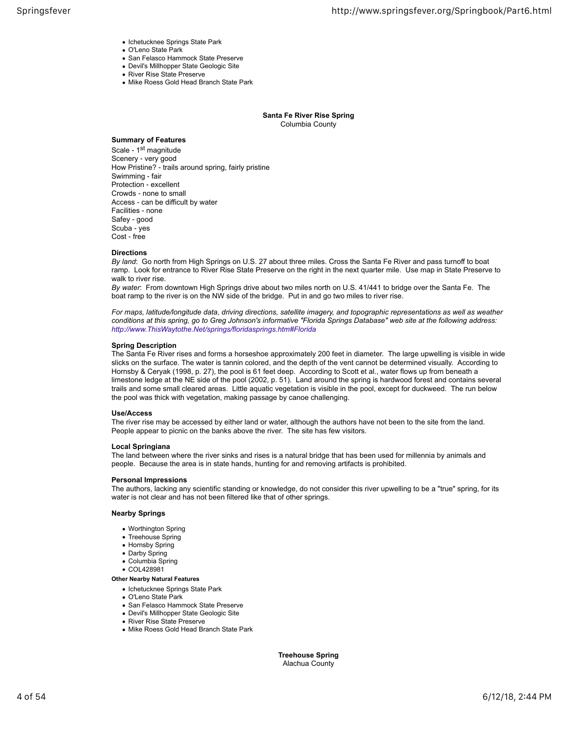- Ichetucknee Springs State Park
- O'Leno State Park
- San Felasco Hammock State Preserve
- Devil's Millhopper State Geologic Site
- River Rise State Preserve
- Mike Roess Gold Head Branch State Park

#### **Santa Fe River Rise Spring** Columbia County

## **Summary of Features**

Scale - 1<sup>st</sup> magnitude Scenery ‐ very good How Pristine? ‐ trails around spring, fairly pristine Swimming ‐ fair Protection ‐ excellent Crowds ‐ none to small Access ‐ can be difficult by water Facilities ‐ none Safey ‐ good Scuba ‐ yes Cost ‐ free

#### **Directions**

*By land*: Go north from High Springs on U.S. 27 about three miles. Cross the Santa Fe River and pass turnoff to boat ramp. Look for entrance to River Rise State Preserve on the right in the next quarter mile. Use map in State Preserve to walk to river rise.

*By water*: From downtown High Springs drive about two miles north on U.S. 41/441 to bridge over the Santa Fe. The boat ramp to the river is on the NW side of the bridge. Put in and go two miles to river rise.

*For maps, latitude/longitude data, driving directions, satellite imagery, and topographic representations as well as weather conditions at this spring, go to Greg Johnson's informative "Florida Springs Database" web site at the following address: http://www.ThisWaytothe.Net/springs/floridasprings.htm#Florida*

#### **Spring Description**

The Santa Fe River rises and forms a horseshoe approximately 200 feet in diameter. The large upwelling is visible in wide slicks on the surface. The water is tannin colored, and the depth of the vent cannot be determined visually. According to Hornsby & Ceryak (1998, p. 27), the pool is 61 feet deep. According to Scott et al., water flows up from beneath a limestone ledge at the NE side of the pool (2002, p. 51). Land around the spring is hardwood forest and contains several trails and some small cleared areas. Little aquatic vegetation is visible in the pool, except for duckweed. The run below the pool was thick with vegetation, making passage by canoe challenging.

#### **Use/Access**

The river rise may be accessed by either land or water, although the authors have not been to the site from the land. People appear to picnic on the banks above the river. The site has few visitors.

#### **Local Springiana**

The land between where the river sinks and rises is a natural bridge that has been used for millennia by animals and people. Because the area is in state hands, hunting for and removing artifacts is prohibited.

#### **Personal Impressions**

The authors, lacking any scientific standing or knowledge, do not consider this river upwelling to be a "true" spring, for its water is not clear and has not been filtered like that of other springs.

#### **Nearby Springs**

- Worthington Spring
- Treehouse Spring
- Hornsby Spring
- Darby Spring
- Columbia Spring
- COL428981

## **Other Nearby Natural Features**

- Ichetucknee Springs State Park
- O'Leno State Park
- San Felasco Hammock State Preserve
- Devil's Millhopper State Geologic Site
- River Rise State Preserve
- Mike Roess Gold Head Branch State Park

**Treehouse Spring** Alachua County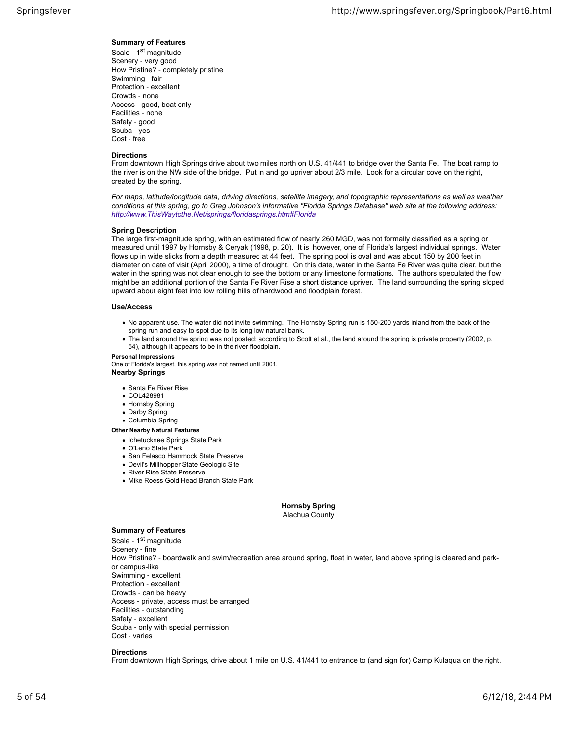## **Summary of Features**

Scale - 1st magnitude Scenery ‐ very good How Pristine? ‐ completely pristine Swimming ‐ fair Protection ‐ excellent Crowds ‐ none Access ‐ good, boat only Facilities ‐ none Safety ‐ good Scuba ‐ yes Cost ‐ free

## **Directions**

From downtown High Springs drive about two miles north on U.S. 41/441 to bridge over the Santa Fe. The boat ramp to the river is on the NW side of the bridge. Put in and go upriver about 2/3 mile. Look for a circular cove on the right, created by the spring.

*For maps, latitude/longitude data, driving directions, satellite imagery, and topographic representations as well as weather conditions at this spring, go to Greg Johnson's informative "Florida Springs Database" web site at the following address: http://www.ThisWaytothe.Net/springs/floridasprings.htm#Florida*

## **Spring Description**

The large first-magnitude spring, with an estimated flow of nearly 260 MGD, was not formally classified as a spring or measured until 1997 by Hornsby & Ceryak (1998, p. 20). It is, however, one of Florida's largest individual springs. Water flows up in wide slicks from a depth measured at 44 feet. The spring pool is oval and was about 150 by 200 feet in diameter on date of visit (April 2000), a time of drought. On this date, water in the Santa Fe River was quite clear, but the water in the spring was not clear enough to see the bottom or any limestone formations. The authors speculated the flow might be an additional portion of the Santa Fe River Rise a short distance upriver. The land surrounding the spring sloped upward about eight feet into low rolling hills of hardwood and floodplain forest.

#### **Use/Access**

- No apparent use. The water did not invite swimming. The Hornsby Spring run is 150-200 yards inland from the back of the spring run and easy to spot due to its long low natural bank.
- The land around the spring was not posted; according to Scott et al., the land around the spring is private property (2002, p. 54), although it appears to be in the river floodplain.

#### **Personal Impressions**

One of Florida's largest, this spring was not named until 2001.

## **Nearby Springs**

- Santa Fe River Rise
- COL428981
- Hornsby Spring
- Darby Spring
- Columbia Spring

## **Other Nearby Natural Features**

- Ichetucknee Springs State Park
- O'Leno State Park
- San Felasco Hammock State Preserve
- Devil's Millhopper State Geologic Site
- River Rise State Preserve
- Mike Roess Gold Head Branch State Park

#### **Hornsby Spring** Alachua County

## **Summary of Features**

Scale - 1st magnitude Scenery ‐ fine How Pristine? ‐ boardwalk and swim/recreation area around spring, float in water, land above spring is cleared and parkor campus-like Swimming ‐ excellent Protection ‐ excellent Crowds ‐ can be heavy Access ‐ private, access must be arranged Facilities ‐ outstanding Safety ‐ excellent Scuba ‐ only with special permission Cost ‐ varies

#### **Directions**

From downtown High Springs, drive about 1 mile on U.S. 41/441 to entrance to (and sign for) Camp Kulaqua on the right.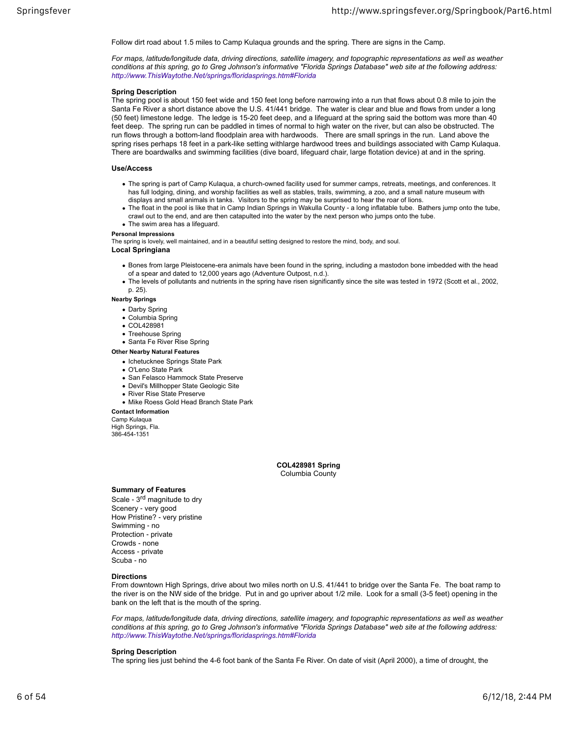Follow dirt road about 1.5 miles to Camp Kulaqua grounds and the spring. There are signs in the Camp.

*For maps, latitude/longitude data, driving directions, satellite imagery, and topographic representations as well as weather conditions at this spring, go to Greg Johnson's informative "Florida Springs Database" web site at the following address: http://www.ThisWaytothe.Net/springs/floridasprings.htm#Florida*

## **Spring Description**

The spring pool is about 150 feet wide and 150 feet long before narrowing into a run that flows about 0.8 mile to join the Santa Fe River a short distance above the U.S. 41/441 bridge. The water is clear and blue and flows from under a long (50 feet) limestone ledge. The ledge is 15-20 feet deep, and a lifeguard at the spring said the bottom was more than 40 feet deep. The spring run can be paddled in times of normal to high water on the river, but can also be obstructed. The run flows through a bottom-land floodplain area with hardwoods. There are small springs in the run. Land above the spring rises perhaps 18 feet in a park-like setting withlarge hardwood trees and buildings associated with Camp Kulaqua. There are boardwalks and swimming facilities (dive board, lifeguard chair, large flotation device) at and in the spring.

#### **Use/Access**

- The spring is part of Camp Kulaqua, a church-owned facility used for summer camps, retreats, meetings, and conferences. It has full lodging, dining, and worship facilities as well as stables, trails, swimming, a zoo, and a small nature museum with displays and small animals in tanks. Visitors to the spring may be surprised to hear the roar of lions.
- The float in the pool is like that in Camp Indian Springs in Wakulla County a long inflatable tube. Bathers jump onto the tube, crawl out to the end, and are then catapulted into the water by the next person who jumps onto the tube.
- The swim area has a lifeguard.

#### **Personal Impressions**

The spring is lovely, well maintained, and in a beautiful setting designed to restore the mind, body, and soul.

## **Local Springiana**

- Bones from large Pleistocene-era animals have been found in the spring, including a mastodon bone imbedded with the head of a spear and dated to 12,000 years ago (Adventure Outpost, n.d.).
- The levels of pollutants and nutrients in the spring have risen significantly since the site was tested in 1972 (Scott et al., 2002, p. 25).

#### **Nearby Springs**

- Darby Spring
- Columbia Spring
- COL428981
- Treehouse Spring
- Santa Fe River Rise Spring

#### **Other Nearby Natural Features**

- Ichetucknee Springs State Park
- O'Leno State Park
- San Felasco Hammock State Preserve
- Devil's Millhopper State Geologic Site
- River Rise State Preserve
- Mike Roess Gold Head Branch State Park

**Contact Information** Camp Kulaqua

High Springs, Fla. 386-454-1351

> **COL428981 Spring** Columbia County

## **Summary of Features**

Scale - 3<sup>rd</sup> magnitude to dry Scenery - very good How Pristine? ‐ very pristine Swimming ‐ no Protection ‐ private Crowds ‐ none Access ‐ private Scuba ‐ no

#### **Directions**

From downtown High Springs, drive about two miles north on U.S. 41/441 to bridge over the Santa Fe. The boat ramp to the river is on the NW side of the bridge. Put in and go upriver about 1/2 mile. Look for a small (3-5 feet) opening in the bank on the left that is the mouth of the spring.

*For maps, latitude/longitude data, driving directions, satellite imagery, and topographic representations as well as weather conditions at this spring, go to Greg Johnson's informative "Florida Springs Database" web site at the following address: http://www.ThisWaytothe.Net/springs/floridasprings.htm#Florida*

#### **Spring Description**

The spring lies just behind the 4-6 foot bank of the Santa Fe River. On date of visit (April 2000), a time of drought, the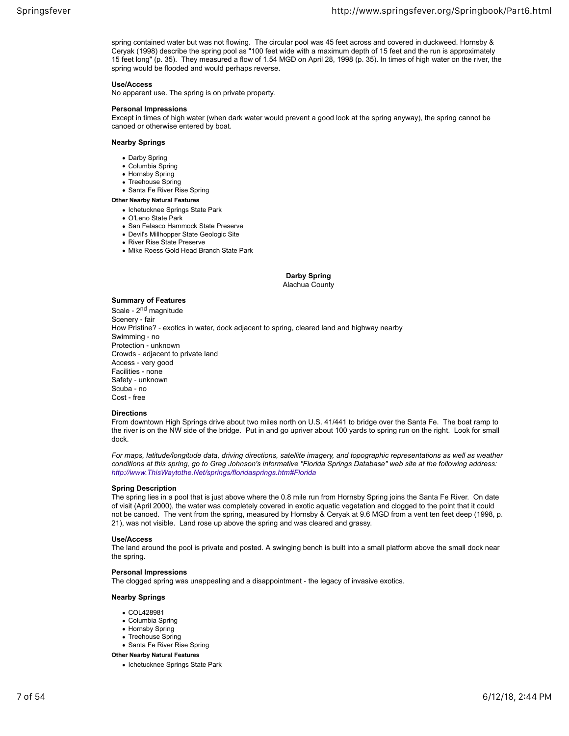spring contained water but was not flowing. The circular pool was 45 feet across and covered in duckweed. Hornsby & Ceryak (1998) describe the spring pool as "100 feet wide with a maximum depth of 15 feet and the run is approximately 15 feet long" (p. 35). They measured a flow of 1.54 MGD on April 28, 1998 (p. 35). In times of high water on the river, the spring would be flooded and would perhaps reverse.

## **Use/Access**

No apparent use. The spring is on private property.

## **Personal Impressions**

Except in times of high water (when dark water would prevent a good look at the spring anyway), the spring cannot be canoed or otherwise entered by boat.

#### **Nearby Springs**

- Darby Spring
- Columbia Spring
- Hornsby Spring
- Treehouse Spring • Santa Fe River Rise Spring
- 

## **Other Nearby Natural Features**

- Ichetucknee Springs State Park
- O'Leno State Park
- San Felasco Hammock State Preserve
- Devil's Millhopper State Geologic Site
- River Rise State Preserve
- Mike Roess Gold Head Branch State Park

## **Darby Spring**

## Alachua County

## **Summary of Features**

Scale - 2<sup>nd</sup> magnitude Scenery ‐ fair How Pristine? ‐ exotics in water, dock adjacent to spring, cleared land and highway nearby Swimming ‐ no Protection ‐ unknown Crowds ‐ adjacent to private land Access ‐ very good Facilities ‐ none Safety ‐ unknown Scuba ‐ no Cost ‐ free

## **Directions**

From downtown High Springs drive about two miles north on U.S. 41/441 to bridge over the Santa Fe. The boat ramp to the river is on the NW side of the bridge. Put in and go upriver about 100 yards to spring run on the right. Look for small dock.

*For maps, latitude/longitude data, driving directions, satellite imagery, and topographic representations as well as weather conditions at this spring, go to Greg Johnson's informative "Florida Springs Database" web site at the following address: http://www.ThisWaytothe.Net/springs/floridasprings.htm#Florida*

## **Spring Description**

The spring lies in a pool that is just above where the 0.8 mile run from Hornsby Spring joins the Santa Fe River. On date of visit (April 2000), the water was completely covered in exotic aquatic vegetation and clogged to the point that it could not be canoed. The vent from the spring, measured by Hornsby & Ceryak at 9.6 MGD from a vent ten feet deep (1998, p. 21), was not visible. Land rose up above the spring and was cleared and grassy.

## **Use/Access**

The land around the pool is private and posted. A swinging bench is built into a small platform above the small dock near the spring.

## **Personal Impressions**

The clogged spring was unappealing and a disappointment ‐ the legacy of invasive exotics.

## **Nearby Springs**

- COL428981
- Columbia Spring
- Hornsby Spring
- Treehouse Spring
- Santa Fe River Rise Spring
- **Other Nearby Natural Features**
	- Ichetucknee Springs State Park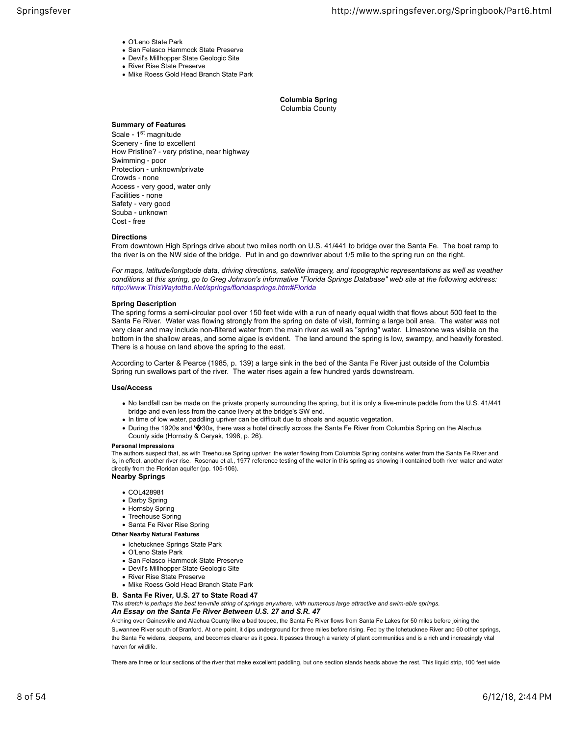- O'Leno State Park
- San Felasco Hammock State Preserve
- Devil's Millhopper State Geologic Site • River Rise State Preserve
- 
- Mike Roess Gold Head Branch State Park

**Columbia Spring** Columbia County

## **Summary of Features**

Scale - 1<sup>st</sup> magnitude Scenery - fine to excellent How Pristine? ‐ very pristine, near highway Swimming ‐ poor Protection ‐ unknown/private Crowds ‐ none Access ‐ very good, water only Facilities ‐ none Safety ‐ very good Scuba ‐ unknown Cost ‐ free

#### **Directions**

From downtown High Springs drive about two miles north on U.S. 41/441 to bridge over the Santa Fe. The boat ramp to the river is on the NW side of the bridge. Put in and go downriver about 1/5 mile to the spring run on the right.

*For maps, latitude/longitude data, driving directions, satellite imagery, and topographic representations as well as weather conditions at this spring, go to Greg Johnson's informative "Florida Springs Database" web site at the following address: http://www.ThisWaytothe.Net/springs/floridasprings.htm#Florida*

#### **Spring Description**

The spring forms a semi-circular pool over 150 feet wide with a run of nearly equal width that flows about 500 feet to the Santa Fe River. Water was flowing strongly from the spring on date of visit, forming a large boil area. The water was not very clear and may include non-filtered water from the main river as well as "spring" water. Limestone was visible on the bottom in the shallow areas, and some algae is evident. The land around the spring is low, swampy, and heavily forested. There is a house on land above the spring to the east.

According to Carter & Pearce (1985, p. 139) a large sink in the bed of the Santa Fe River just outside of the Columbia Spring run swallows part of the river. The water rises again a few hundred yards downstream.

#### **Use/Access**

- No landfall can be made on the private property surrounding the spring, but it is only a five-minute paddle from the U.S. 41/441 bridge and even less from the canoe livery at the bridge's SW end.
- In time of low water, paddling upriver can be difficult due to shoals and aquatic vegetation.
- During the 1920s and '�30s, there was a hotel directly across the Santa Fe River from Columbia Spring on the Alachua County side (Hornsby & Ceryak, 1998, p. 26).

#### **Personal Impressions**

The authors suspect that, as with Treehouse Spring upriver, the water flowing from Columbia Spring contains water from the Santa Fe River and is, in effect, another river rise. Rosenau et al., 1977 reference testing of the water in this spring as showing it contained both river water and water directly from the Floridan aquifer (pp. 105-106).

## **Nearby Springs**

- COL428981
- Darby Spring
- Hornsby Spring
- Treehouse Spring
- Santa Fe River Rise Spring

#### **Other Nearby Natural Features**

- Ichetucknee Springs State Park
- O'Leno State Park
- San Felasco Hammock State Preserve
- Devil's Millhopper State Geologic Site
- River Rise State Preserve
- Mike Roess Gold Head Branch State Park
- **B. Santa Fe River, U.S. 27 to State Road 47**

*This stretch is perhaps the best ten-mile string of springs anywhere, with numerous large attractive and swim-able springs. An Essay on the Santa Fe River Between U.S. 27 and S.R. 47*

Arching over Gainesville and Alachua County like a bad toupee, the Santa Fe River flows from Santa Fe Lakes for 50 miles before joining the Suwannee River south of Branford. At one point, it dips underground for three miles before rising. Fed by the Ichetucknee River and 60 other springs, the Santa Fe widens, deepens, and becomes clearer as it goes. It passes through a variety of plant communities and is a rich and increasingly vital haven for wildlife.

There are three or four sections of the river that make excellent paddling, but one section stands heads above the rest. This liquid strip, 100 feet wide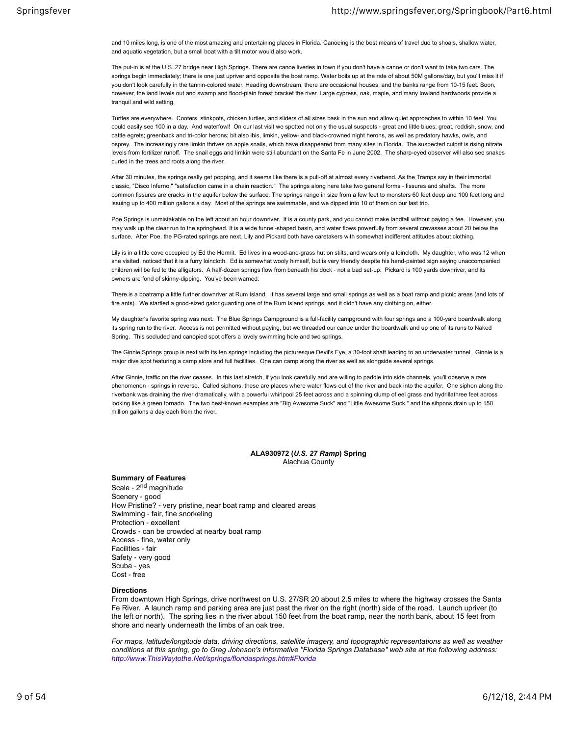and 10 miles long, is one of the most amazing and entertaining places in Florida. Canoeing is the best means of travel due to shoals, shallow water, and aquatic vegetation, but a small boat with a tilt motor would also work.

The put-in is at the U.S. 27 bridge near High Springs. There are canoe liveries in town if you don't have a canoe or don't want to take two cars. The springs begin immediately; there is one just upriver and opposite the boat ramp. Water boils up at the rate of about 50M gallons/day, but you'll miss it if you don't look carefully in the tannin-colored water. Heading downstream, there are occasional houses, and the banks range from 10-15 feet. Soon, however, the land levels out and swamp and flood-plain forest bracket the river. Large cypress, oak, maple, and many lowland hardwoods provide a tranquil and wild setting.

Turtles are everywhere. Cooters, stinkpots, chicken turtles, and sliders of all sizes bask in the sun and allow quiet approaches to within 10 feet. You could easily see 100 in a day. And waterfow!! On our last visit we spotted not only the usual suspects - great and little blues; great, reddish, snow, and cattle egrets; greenback and tri-color herons; bit also ibis, limkin, yellow- and black-crowned night herons, as well as predatory hawks, owls, and osprey. The increasingly rare limkin thrives on apple snails, which have disappeared from many sites in Florida. The suspected culprit is rising nitrate levels from fertilizer runoff. The snail eggs and limkin were still abundant on the Santa Fe in June 2002. The sharp-eyed observer will also see snakes curled in the trees and roots along the river.

After 30 minutes, the springs really get popping, and it seems like there is a pull-off at almost every riverbend. As the Tramps say in their immortal classic, "Disco Inferno," "satisfaction came in a chain reaction." The springs along here take two general forms ‐ fissures and shafts. The more common fissures are cracks in the aquifer below the surface. The springs range in size from a few feet to monsters 60 feet deep and 100 feet long and issuing up to 400 million gallons a day. Most of the springs are swimmable, and we dipped into 10 of them on our last trip.

Poe Springs is unmistakable on the left about an hour downriver. It is a county park, and you cannot make landfall without paying a fee. However, you may walk up the clear run to the springhead. It is a wide funnel-shaped basin, and water flows powerfully from several crevasses about 20 below the surface. After Poe, the PG-rated springs are next. Lily and Pickard both have caretakers with somewhat indifferent attitudes about clothing.

Lily is in a little cove occupied by Ed the Hermit. Ed lives in a wood-and-grass hut on stilts, and wears only a loincloth. My daughter, who was 12 when she visited, noticed that it is a furry loincloth. Ed is somewhat wooly himself, but is very friendly despite his hand-painted sign saying unaccompanied children will be fed to the alligators. A half-dozen springs flow from beneath his dock ‐ not a bad set-up. Pickard is 100 yards downriver, and its owners are fond of skinny-dipping. You've been warned.

There is a boatramp a little further downriver at Rum Island. It has several large and small springs as well as a boat ramp and picnic areas (and lots of fire ants). We startled a good-sized gator guarding one of the Rum Island springs, and it didn't have any clothing on, either.

My daughter's favorite spring was next. The Blue Springs Campground is a full-facility campground with four springs and a 100-yard boardwalk along its spring run to the river. Access is not permitted without paying, but we threaded our canoe under the boardwalk and up one of its runs to Naked Spring. This secluded and canopied spot offers a lovely swimming hole and two springs.

The Ginnie Springs group is next with its ten springs including the picturesque Devil's Eye, a 30-foot shaft leading to an underwater tunnel. Ginnie is a major dive spot featuring a camp store and full facilities. One can camp along the river as well as alongside several springs.

After Ginnie, traffic on the river ceases. In this last stretch, if you look carefully and are willing to paddle into side channels, you'll observe a rare phenomenon ‐ springs in reverse. Called siphons, these are places where water flows out of the river and back into the aquifer. One siphon along the riverbank was draining the river dramatically, with a powerful whirlpool 25 feet across and a spinning clump of eel grass and hydrillathree feet across looking like a green tornado. The two best-known examples are "Big Awesome Suck" and "Little Awesome Suck," and the sihpons drain up to 150 million gallons a day each from the river.

#### **ALA930972 (***U.S. 27 Ramp***) Spring** Alachua County

## **Summary of Features**

Scale - 2<sup>nd</sup> magnitude Scenery ‐ good How Pristine? ‐ very pristine, near boat ramp and cleared areas Swimming ‐ fair, fine snorkeling Protection ‐ excellent Crowds ‐ can be crowded at nearby boat ramp Access ‐ fine, water only Facilities ‐ fair Safety ‐ very good Scuba ‐ yes Cost ‐ free

#### **Directions**

From downtown High Springs, drive northwest on U.S. 27/SR 20 about 2.5 miles to where the highway crosses the Santa Fe River. A launch ramp and parking area are just past the river on the right (north) side of the road. Launch upriver (to the left or north). The spring lies in the river about 150 feet from the boat ramp, near the north bank, about 15 feet from shore and nearly underneath the limbs of an oak tree.

*For maps, latitude/longitude data, driving directions, satellite imagery, and topographic representations as well as weather conditions at this spring, go to Greg Johnson's informative "Florida Springs Database" web site at the following address: http://www.ThisWaytothe.Net/springs/floridasprings.htm#Florida*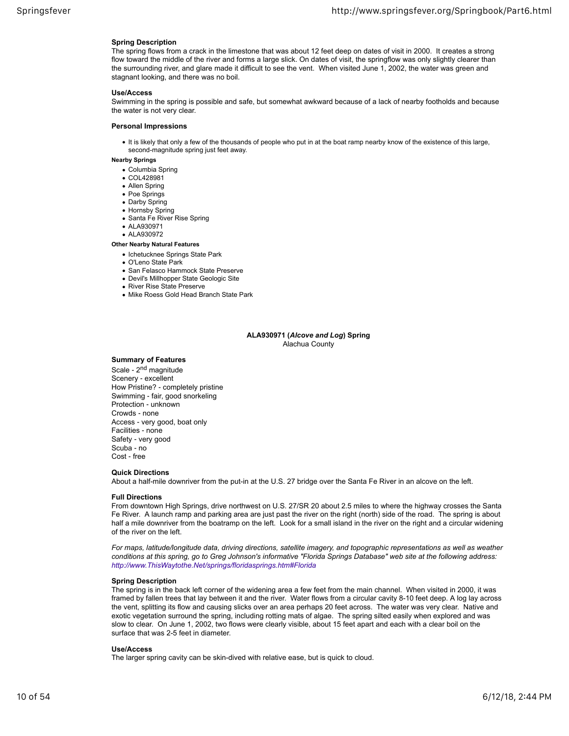## **Spring Description**

The spring flows from a crack in the limestone that was about 12 feet deep on dates of visit in 2000. It creates a strong flow toward the middle of the river and forms a large slick. On dates of visit, the springflow was only slightly clearer than the surrounding river, and glare made it difficult to see the vent. When visited June 1, 2002, the water was green and stagnant looking, and there was no boil.

## **Use/Access**

Swimming in the spring is possible and safe, but somewhat awkward because of a lack of nearby footholds and because the water is not very clear.

## **Personal Impressions**

It is likely that only a few of the thousands of people who put in at the boat ramp nearby know of the existence of this large, second-magnitude spring just feet away.

## **Nearby Springs**

- Columbia Spring
- COL428981
- Allen Spring
- Poe Springs
- Darby Spring
- Hornsby Spring
- Santa Fe River Rise Spring
- ALA930971
- AI A930972
- **Other Nearby Natural Features**
	- Ichetucknee Springs State Park
	- O'Leno State Park
	- San Felasco Hammock State Preserve
	- Devil's Millhopper State Geologic Site
	- River Rise State Preserve
	- Mike Roess Gold Head Branch State Park

#### **ALA930971 (***Alcove and Log***) Spring** Alachua County

#### **Summary of Features**

Scale - 2<sup>nd</sup> magnitude Scenery ‐ excellent How Pristine? ‐ completely pristine Swimming ‐ fair, good snorkeling Protection ‐ unknown Crowds ‐ none Access ‐ very good, boat only Facilities ‐ none Safety ‐ very good Scuba ‐ no Cost ‐ free

#### **Quick Directions**

About a half-mile downriver from the put-in at the U.S. 27 bridge over the Santa Fe River in an alcove on the left.

## **Full Directions**

From downtown High Springs, drive northwest on U.S. 27/SR 20 about 2.5 miles to where the highway crosses the Santa Fe River. A launch ramp and parking area are just past the river on the right (north) side of the road. The spring is about half a mile downriver from the boatramp on the left. Look for a small island in the river on the right and a circular widening of the river on the left.

*For maps, latitude/longitude data, driving directions, satellite imagery, and topographic representations as well as weather conditions at this spring, go to Greg Johnson's informative "Florida Springs Database" web site at the following address: http://www.ThisWaytothe.Net/springs/floridasprings.htm#Florida*

#### **Spring Description**

The spring is in the back left corner of the widening area a few feet from the main channel. When visited in 2000, it was framed by fallen trees that lay between it and the river. Water flows from a circular cavity 8-10 feet deep. A log lay across the vent, splitting its flow and causing slicks over an area perhaps 20 feet across. The water was very clear. Native and exotic vegetation surround the spring, including rotting mats of algae. The spring silted easily when explored and was slow to clear. On June 1, 2002, two flows were clearly visible, about 15 feet apart and each with a clear boil on the surface that was 2-5 feet in diameter.

#### **Use/Access**

The larger spring cavity can be skin-dived with relative ease, but is quick to cloud.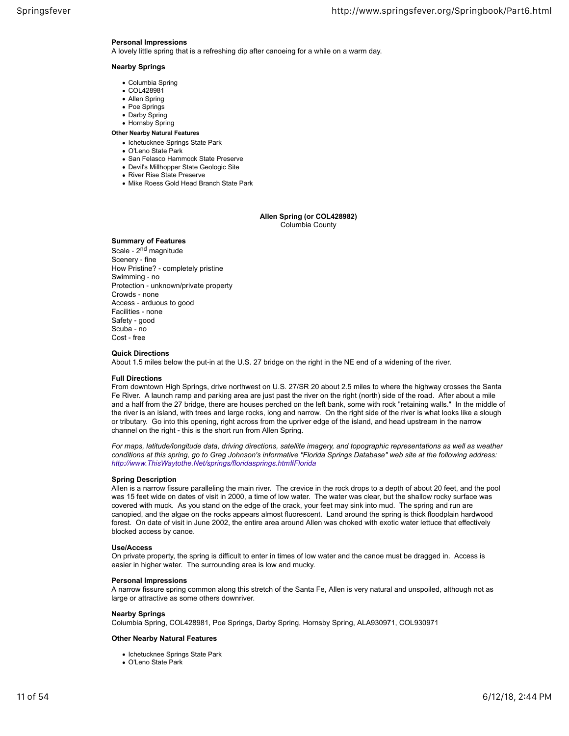## **Personal Impressions**

A lovely little spring that is a refreshing dip after canoeing for a while on a warm day.

## **Nearby Springs**

- Columbia Spring
- COL428981
- Allen Spring
- Poe Springs • Darby Spring
- Hornsby Spring
- 
- **Other Nearby Natural Features** • Ichetucknee Springs State Park
	- O'Leno State Park
	- San Felasco Hammock State Preserve
	- Devil's Millhopper State Geologic Site
	- River Rise State Preserve
	- Mike Roess Gold Head Branch State Park

## **Allen Spring (or COL428982)** Columbia County

## **Summary of Features**

Scale - 2<sup>nd</sup> magnitude Scenery ‐ fine How Pristine? ‐ completely pristine Swimming ‐ no Protection ‐ unknown/private property Crowds ‐ none Access ‐ arduous to good Facilities ‐ none Safety ‐ good Scuba ‐ no Cost ‐ free

#### **Quick Directions**

About 1.5 miles below the put-in at the U.S. 27 bridge on the right in the NE end of a widening of the river.

#### **Full Directions**

From downtown High Springs, drive northwest on U.S. 27/SR 20 about 2.5 miles to where the highway crosses the Santa Fe River. A launch ramp and parking area are just past the river on the right (north) side of the road. After about a mile and a half from the 27 bridge, there are houses perched on the left bank, some with rock "retaining walls." In the middle of the river is an island, with trees and large rocks, long and narrow. On the right side of the river is what looks like a slough or tributary. Go into this opening, right across from the upriver edge of the island, and head upstream in the narrow channel on the right ‐ this is the short run from Allen Spring.

*For maps, latitude/longitude data, driving directions, satellite imagery, and topographic representations as well as weather conditions at this spring, go to Greg Johnson's informative "Florida Springs Database" web site at the following address: http://www.ThisWaytothe.Net/springs/floridasprings.htm#Florida*

## **Spring Description**

Allen is a narrow fissure paralleling the main river. The crevice in the rock drops to a depth of about 20 feet, and the pool was 15 feet wide on dates of visit in 2000, a time of low water. The water was clear, but the shallow rocky surface was covered with muck. As you stand on the edge of the crack, your feet may sink into mud. The spring and run are canopied, and the algae on the rocks appears almost fluorescent. Land around the spring is thick floodplain hardwood forest. On date of visit in June 2002, the entire area around Allen was choked with exotic water lettuce that effectively blocked access by canoe.

#### **Use/Access**

On private property, the spring is difficult to enter in times of low water and the canoe must be dragged in. Access is easier in higher water. The surrounding area is low and mucky.

## **Personal Impressions**

A narrow fissure spring common along this stretch of the Santa Fe, Allen is very natural and unspoiled, although not as large or attractive as some others downriver.

## **Nearby Springs**

Columbia Spring, COL428981, Poe Springs, Darby Spring, Hornsby Spring, ALA930971, COL930971

- Ichetucknee Springs State Park
- O'Leno State Park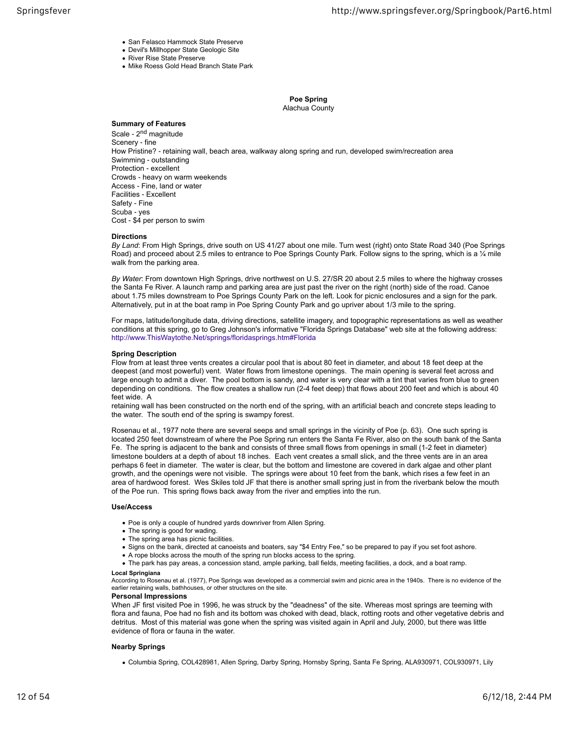- San Felasco Hammock State Preserve
- Devil's Millhopper State Geologic Site
- River Rise State Preserve
- Mike Roess Gold Head Branch State Park

**Poe Spring** Alachua County

## **Summary of Features**

Scale - 2<sup>nd</sup> magnitude Scenery ‐ fine How Pristine? ‐ retaining wall, beach area, walkway along spring and run, developed swim/recreation area Swimming ‐ outstanding Protection ‐ excellent Crowds ‐ heavy on warm weekends Access ‐ Fine, land or water Facilities ‐ Excellent Safety ‐ Fine Scuba ‐ yes Cost ‐ \$4 per person to swim

#### **Directions**

*By Land*: From High Springs, drive south on US 41/27 about one mile. Turn west (right) onto State Road 340 (Poe Springs Road) and proceed about 2.5 miles to entrance to Poe Springs County Park. Follow signs to the spring, which is a  $\frac{1}{4}$  mile walk from the parking area.

*By Water*: From downtown High Springs, drive northwest on U.S. 27/SR 20 about 2.5 miles to where the highway crosses the Santa Fe River. A launch ramp and parking area are just past the river on the right (north) side of the road. Canoe about 1.75 miles downstream to Poe Springs County Park on the left. Look for picnic enclosures and a sign for the park. Alternatively, put in at the boat ramp in Poe Spring County Park and go upriver about 1/3 mile to the spring.

For maps, latitude/longitude data, driving directions, satellite imagery, and topographic representations as well as weather conditions at this spring, go to Greg Johnson's informative "Florida Springs Database" web site at the following address: http://www.ThisWaytothe.Net/springs/floridasprings.htm#Florida

## **Spring Description**

Flow from at least three vents creates a circular pool that is about 80 feet in diameter, and about 18 feet deep at the deepest (and most powerful) vent. Water flows from limestone openings. The main opening is several feet across and large enough to admit a diver. The pool bottom is sandy, and water is very clear with a tint that varies from blue to green depending on conditions. The flow creates a shallow run (2-4 feet deep) that flows about 200 feet and which is about 40 feet wide. A

retaining wall has been constructed on the north end of the spring, with an artificial beach and concrete steps leading to the water. The south end of the spring is swampy forest.

Rosenau et al., 1977 note there are several seeps and small springs in the vicinity of Poe (p. 63). One such spring is located 250 feet downstream of where the Poe Spring run enters the Santa Fe River, also on the south bank of the Santa Fe. The spring is adjacent to the bank and consists of three small flows from openings in small (1-2 feet in diameter) limestone boulders at a depth of about 18 inches. Each vent creates a small slick, and the three vents are in an area perhaps 6 feet in diameter. The water is clear, but the bottom and limestone are covered in dark algae and other plant growth, and the openings were not visible. The springs were about 10 feet from the bank, which rises a few feet in an area of hardwood forest. Wes Skiles told JF that there is another small spring just in from the riverbank below the mouth of the Poe run. This spring flows back away from the river and empties into the run.

#### **Use/Access**

- Poe is only a couple of hundred yards downriver from Allen Spring.
- The spring is good for wading.
- The spring area has picnic facilities.
- Signs on the bank, directed at canoeists and boaters, say "\$4 Entry Fee," so be prepared to pay if you set foot ashore.
- A rope blocks across the mouth of the spring run blocks access to the spring.
- The park has pay areas, a concession stand, ample parking, ball fields, meeting facilities, a dock, and a boat ramp.

#### **Local Springiana**

According to Rosenau et al. (1977), Poe Springs was developed as a commercial swim and picnic area in the 1940s. There is no evidence of the earlier retaining walls, bathhouses, or other structures on the site.

#### **Personal Impressions**

When JF first visited Poe in 1996, he was struck by the "deadness" of the site. Whereas most springs are teeming with flora and fauna, Poe had no fish and its bottom was choked with dead, black, rotting roots and other vegetative debris and detritus. Most of this material was gone when the spring was visited again in April and July, 2000, but there was little evidence of flora or fauna in the water.

## **Nearby Springs**

Columbia Spring, COL428981, Allen Spring, Darby Spring, Hornsby Spring, Santa Fe Spring, ALA930971, COL930971, Lily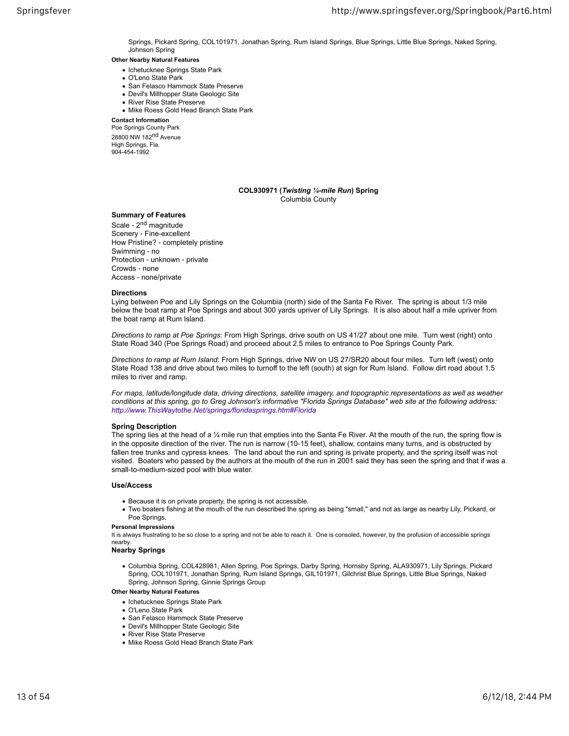Springs, Pickard Spring, COL101971, Jonathan Spring, Rum Island Springs, Blue Springs, Little Blue Springs, Naked Spring, Johnson Spring

**Other Nearby Natural Features** • Ichetucknee Springs State Park

- O'Leno State Park
- San Felasco Hammock State Preserve
- Devil's Millhopper State Geologic Site
- River Rise State Preserve
- Mike Roess Gold Head Branch State Park

**Contact Information**

Poe Springs County Park 28800 NW 182nd Avenue High Springs, Fla. 904-454-1992

## **COL930971 (***Twisting ¼-mile Run***) Spring** Columbia County

## **Summary of Features**

Scale - 2<sup>nd</sup> magnitude Scenery ‐ Fine-excellent How Pristine? ‐ completely pristine Swimming ‐ no Protection ‐ unknown ‐ private Crowds ‐ none Access ‐ none/private

#### **Directions**

Lying between Poe and Lily Springs on the Columbia (north) side of the Santa Fe River. The spring is about 1/3 mile below the boat ramp at Poe Springs and about 300 yards upriver of Lily Springs. It is also about half a mile upriver from the boat ramp at Rum Island.

*Directions to ramp at Poe Springs*: From High Springs, drive south on US 41/27 about one mile. Turn west (right) onto State Road 340 (Poe Springs Road) and proceed about 2.5 miles to entrance to Poe Springs County Park.

*Directions to ramp at Rum Island*: From High Springs, drive NW on US 27/SR20 about four miles. Turn left (west) onto State Road 138 and drive about two miles to turnoff to the left (south) at sign for Rum Island. Follow dirt road about 1.5 miles to river and ramp.

*For maps, latitude/longitude data, driving directions, satellite imagery, and topographic representations as well as weather conditions at this spring, go to Greg Johnson's informative "Florida Springs Database" web site at the following address: http://www.ThisWaytothe.Net/springs/floridasprings.htm#Florida*

## **Spring Description**

The spring lies at the head of a 1/4 mile run that empties into the Santa Fe River. At the mouth of the run, the spring flow is in the opposite direction of the river. The run is narrow (10-15 feet), shallow, contains many turns, and is obstructed by fallen tree trunks and cypress knees. The land about the run and spring is private property, and the spring itself was not visited. Boaters who passed by the authors at the mouth of the run in 2001 said they has seen the spring and that if was a small-to-medium-sized pool with blue water.

#### **Use/Access**

- Because it is on private property, the spring is not accessible.
- Two boaters fishing at the mouth of the run described the spring as being "small," and not as large as nearby Lily, Pickard, or Poe Springs.

#### **Personal Impressions**

It is always frustrating to be so close to a spring and not be able to reach it. One is consoled, however, by the profusion of accessible springs nearby.

#### **Nearby Springs**

Columbia Spring, COL428981, Allen Spring, Poe Springs, Darby Spring, Hornsby Spring, ALA930971, Lily Springs, Pickard Spring, COL101971, Jonathan Spring, Rum Island Springs, GIL101971, Gilchrist Blue Springs, Little Blue Springs, Naked Spring, Johnson Spring, Ginnie Springs Group

- Ichetucknee Springs State Park
- O'Leno State Park
- San Felasco Hammock State Preserve
- Devil's Millhopper State Geologic Site
- River Rise State Preserve
- Mike Roess Gold Head Branch State Park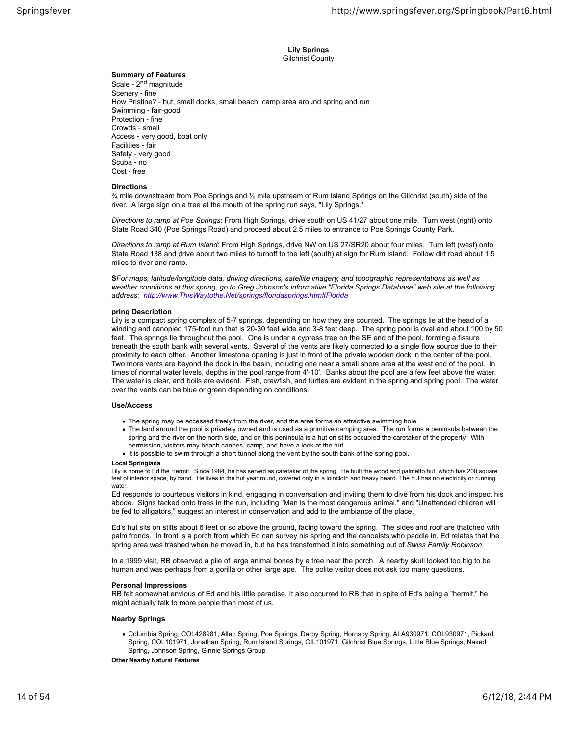**Lily Springs** Gilchrist County

## **Summary of Features**

Scale - 2<sup>nd</sup> magnitude Scenery ‐ fine How Pristine? ‐ hut, small docks, small beach, camp area around spring and run Swimming ‐ fair-good Protection ‐ fine Crowds ‐ small Access ‐ very good, boat only Facilities ‐ fair Safety ‐ very good Scuba ‐ no Cost ‐ free

## **Directions**

¾ mile downstream from Poe Springs and ½ mile upstream of Rum Island Springs on the Gilchrist (south) side of the river. A large sign on a tree at the mouth of the spring run says, "Lily Springs."

*Directions to ramp at Poe Springs*: From High Springs, drive south on US 41/27 about one mile. Turn west (right) onto State Road 340 (Poe Springs Road) and proceed about 2.5 miles to entrance to Poe Springs County Park.

*Directions to ramp at Rum Island*: From High Springs, drive NW on US 27/SR20 about four miles. Turn left (west) onto State Road 138 and drive about two miles to turnoff to the left (south) at sign for Rum Island. Follow dirt road about 1.5 miles to river and ramp.

**S***For maps, latitude/longitude data, driving directions, satellite imagery, and topographic representations as well as weather conditions at this spring, go to Greg Johnson's informative "Florida Springs Database" web site at the following address: http://www.ThisWaytothe.Net/springs/floridasprings.htm#Florida*

## **pring Description**

Lily is a compact spring complex of 5-7 springs, depending on how they are counted. The springs lie at the head of a winding and canopied 175-foot run that is 20-30 feet wide and 3-8 feet deep. The spring pool is oval and about 100 by 50 feet. The springs lie throughout the pool. One is under a cypress tree on the SE end of the pool, forming a fissure beneath the south bank with several vents. Several of the vents are likely connected to a single flow source due to their proximity to each other. Another limestone opening is just in front of the private wooden dock in the center of the pool. Two more vents are beyond the dock in the basin, including one near a small shore area at the west end of the pool. In times of normal water levels, depths in the pool range from 4'-10'. Banks about the pool are a few feet above the water. The water is clear, and boils are evident. Fish, crawfish, and turtles are evident in the spring and spring pool. The water over the vents can be blue or green depending on conditions.

## **Use/Access**

- The spring may be accessed freely from the river, and the area forms an attractive swimming hole.
- The land around the pool is privately owned and is used as a primitive camping area. The run forms a peninsula between the spring and the river on the north side, and on this peninsula is a hut on stilts occupied the caretaker of the property. With permission, visitors may beach canoes, camp, and have a look at the hut.
- . It is possible to swim through a short tunnel along the vent by the south bank of the spring pool.

#### **Local Springiana**

Lily is home to Ed the Hermit. Since 1984, he has served as caretaker of the spring. He built the wood and palmetto hut, which has 200 square feet of interior space, by hand. He lives in the hut year round, covered only in a loincloth and heavy beard. The hut has no electricity or running water

Ed responds to courteous visitors in kind, engaging in conversation and inviting them to dive from his dock and inspect his abode. Signs tacked onto trees in the run, including "Man is the most dangerous animal," and "Unattended children will be fed to alligators," suggest an interest in conservation and add to the ambiance of the place.

Ed's hut sits on stilts about 6 feet or so above the ground, facing toward the spring. The sides and roof are thatched with palm fronds. In front is a porch from which Ed can survey his spring and the canoeists who paddle in. Ed relates that the spring area was trashed when he moved in, but he has transformed it into something out of *Swiss Family Robinson*.

In a 1999 visit, RB observed a pile of large animal bones by a tree near the porch. A nearby skull looked too big to be human and was perhaps from a gorilla or other large ape. The polite visitor does not ask too many questions.

## **Personal Impressions**

RB felt somewhat envious of Ed and his little paradise. It also occurred to RB that in spite of Ed's being a "hermit," he might actually talk to more people than most of us.

## **Nearby Springs**

Columbia Spring, COL428981, Allen Spring, Poe Springs, Darby Spring, Hornsby Spring, ALA930971, COL930971, Pickard Spring, COL101971, Jonathan Spring, Rum Island Springs, GIL101971, Gilchrist Blue Springs, Little Blue Springs, Naked Spring, Johnson Spring, Ginnie Springs Group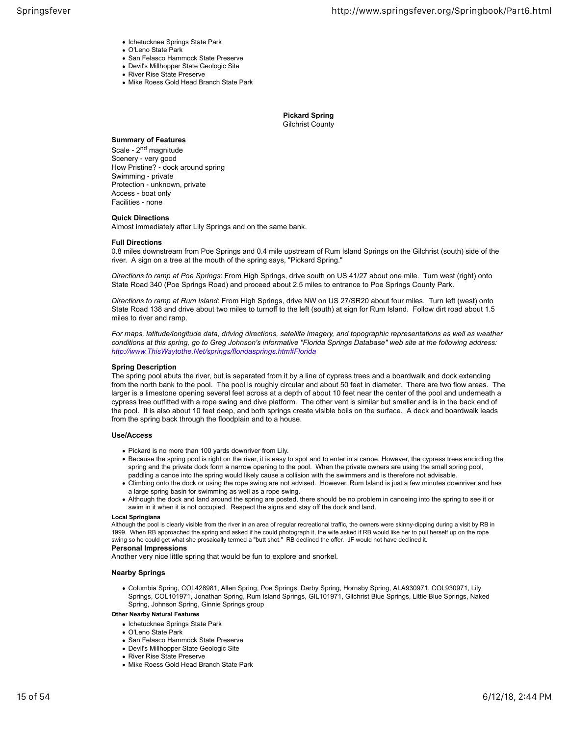- Ichetucknee Springs State Park
- O'Leno State Park
- San Felasco Hammock State Preserve
- Devil's Millhopper State Geologic Site • River Rise State Preserve
- 
- Mike Roess Gold Head Branch State Park

**Pickard Spring** Gilchrist County

## **Summary of Features**

Scale - 2<sup>nd</sup> magnitude Scenery ‐ very good How Pristine? ‐ dock around spring Swimming ‐ private Protection ‐ unknown, private Access ‐ boat only Facilities ‐ none

## **Quick Directions**

Almost immediately after Lily Springs and on the same bank.

#### **Full Directions**

0.8 miles downstream from Poe Springs and 0.4 mile upstream of Rum Island Springs on the Gilchrist (south) side of the river. A sign on a tree at the mouth of the spring says, "Pickard Spring."

*Directions to ramp at Poe Springs*: From High Springs, drive south on US 41/27 about one mile. Turn west (right) onto State Road 340 (Poe Springs Road) and proceed about 2.5 miles to entrance to Poe Springs County Park.

*Directions to ramp at Rum Island*: From High Springs, drive NW on US 27/SR20 about four miles. Turn left (west) onto State Road 138 and drive about two miles to turnoff to the left (south) at sign for Rum Island. Follow dirt road about 1.5 miles to river and ramp.

*For maps, latitude/longitude data, driving directions, satellite imagery, and topographic representations as well as weather conditions at this spring, go to Greg Johnson's informative "Florida Springs Database" web site at the following address: http://www.ThisWaytothe.Net/springs/floridasprings.htm#Florida*

#### **Spring Description**

The spring pool abuts the river, but is separated from it by a line of cypress trees and a boardwalk and dock extending from the north bank to the pool. The pool is roughly circular and about 50 feet in diameter. There are two flow areas. The larger is a limestone opening several feet across at a depth of about 10 feet near the center of the pool and underneath a cypress tree outfitted with a rope swing and dive platform. The other vent is similar but smaller and is in the back end of the pool. It is also about 10 feet deep, and both springs create visible boils on the surface. A deck and boardwalk leads from the spring back through the floodplain and to a house.

## **Use/Access**

- Pickard is no more than 100 yards downriver from Lily.
- Because the spring pool is right on the river, it is easy to spot and to enter in a canoe. However, the cypress trees encircling the spring and the private dock form a narrow opening to the pool. When the private owners are using the small spring pool, paddling a canoe into the spring would likely cause a collision with the swimmers and is therefore not advisable.
- Climbing onto the dock or using the rope swing are not advised. However, Rum Island is just a few minutes downriver and has a large spring basin for swimming as well as a rope swing.
- Although the dock and land around the spring are posted, there should be no problem in canoeing into the spring to see it or swim in it when it is not occupied. Respect the signs and stay off the dock and land.

#### **Local Springiana**

Although the pool is clearly visible from the river in an area of regular recreational traffic, the owners were skinny-dipping during a visit by RB in 1999. When RB approached the spring and asked if he could photograph it, the wife asked if RB would like her to pull herself up on the rope swing so he could get what she prosaically termed a "butt shot." RB declined the offer. JF would not have declined it.

#### **Personal Impressions**

Another very nice little spring that would be fun to explore and snorkel.

## **Nearby Springs**

Columbia Spring, COL428981, Allen Spring, Poe Springs, Darby Spring, Hornsby Spring, ALA930971, COL930971, Lily Springs, COL101971, Jonathan Spring, Rum Island Springs, GIL101971, Gilchrist Blue Springs, Little Blue Springs, Naked Spring, Johnson Spring, Ginnie Springs group

- Ichetucknee Springs State Park
- O'Leno State Park
- San Felasco Hammock State Preserve
- Devil's Millhopper State Geologic Site
- River Rise State Preserve
- Mike Roess Gold Head Branch State Park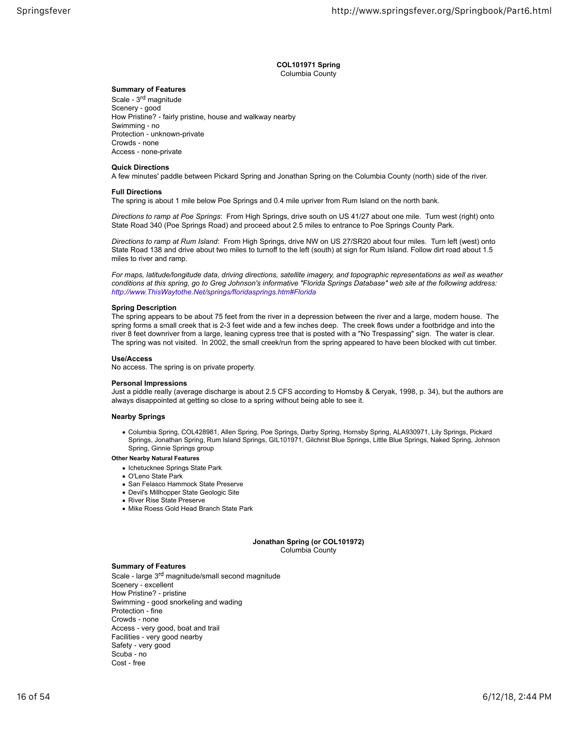## **COL101971 Spring** Columbia County

## **Summary of Features**

Scale ‐ 3rd magnitude Scenery ‐ good How Pristine? ‐ fairly pristine, house and walkway nearby Swimming ‐ no Protection ‐ unknown-private Crowds ‐ none Access ‐ none-private

#### **Quick Directions**

A few minutes' paddle between Pickard Spring and Jonathan Spring on the Columbia County (north) side of the river.

## **Full Directions**

The spring is about 1 mile below Poe Springs and 0.4 mile upriver from Rum Island on the north bank.

*Directions to ramp at Poe Springs*: From High Springs, drive south on US 41/27 about one mile. Turn west (right) onto State Road 340 (Poe Springs Road) and proceed about 2.5 miles to entrance to Poe Springs County Park.

*Directions to ramp at Rum Island*: From High Springs, drive NW on US 27/SR20 about four miles. Turn left (west) onto State Road 138 and drive about two miles to turnoff to the left (south) at sign for Rum Island. Follow dirt road about 1.5 miles to river and ramp.

*For maps, latitude/longitude data, driving directions, satellite imagery, and topographic representations as well as weather conditions at this spring, go to Greg Johnson's informative "Florida Springs Database" web site at the following address: http://www.ThisWaytothe.Net/springs/floridasprings.htm#Florida*

## **Spring Description**

The spring appears to be about 75 feet from the river in a depression between the river and a large, modern house. The spring forms a small creek that is 2-3 feet wide and a few inches deep. The creek flows under a footbridge and into the river 8 feet downriver from a large, leaning cypress tree that is posted with a "No Trespassing" sign. The water is clear. The spring was not visited. In 2002, the small creek/run from the spring appeared to have been blocked with cut timber.

#### **Use/Access**

No access. The spring is on private property.

#### **Personal Impressions**

Just a piddle really (average discharge is about 2.5 CFS according to Hornsby & Ceryak, 1998, p. 34), but the authors are always disappointed at getting so close to a spring without being able to see it.

## **Nearby Springs**

Columbia Spring, COL428981, Allen Spring, Poe Springs, Darby Spring, Hornsby Spring, ALA930971, Lily Springs, Pickard Springs, Jonathan Spring, Rum Island Springs, GIL101971, Gilchrist Blue Springs, Little Blue Springs, Naked Spring, Johnson Spring, Ginnie Springs group

#### **Other Nearby Natural Features**

- Ichetucknee Springs State Park
- O'Leno State Park
- San Felasco Hammock State Preserve
- Devil's Millhopper State Geologic Site
- River Rise State Preserve
- Mike Roess Gold Head Branch State Park

**Jonathan Spring (or COL101972)** Columbia County

#### **Summary of Features**

Scale - large 3<sup>rd</sup> magnitude/small second magnitude Scenery ‐ excellent How Pristine? ‐ pristine Swimming ‐ good snorkeling and wading Protection ‐ fine Crowds ‐ none Access ‐ very good, boat and trail Facilities ‐ very good nearby Safety ‐ very good Scuba ‐ no Cost ‐ free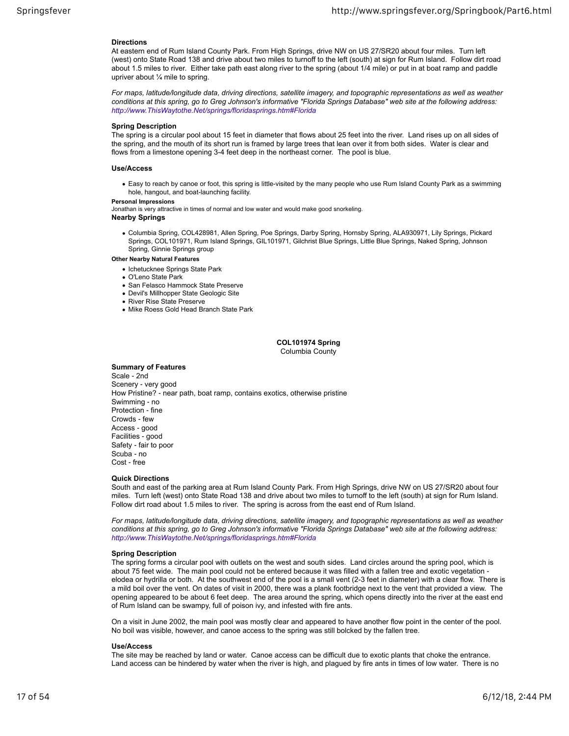#### **Directions**

At eastern end of Rum Island County Park. From High Springs, drive NW on US 27/SR20 about four miles. Turn left (west) onto State Road 138 and drive about two miles to turnoff to the left (south) at sign for Rum Island. Follow dirt road about 1.5 miles to river. Either take path east along river to the spring (about 1/4 mile) or put in at boat ramp and paddle upriver about ¼ mile to spring.

*For maps, latitude/longitude data, driving directions, satellite imagery, and topographic representations as well as weather conditions at this spring, go to Greg Johnson's informative "Florida Springs Database" web site at the following address: http://www.ThisWaytothe.Net/springs/floridasprings.htm#Florida*

#### **Spring Description**

The spring is a circular pool about 15 feet in diameter that flows about 25 feet into the river. Land rises up on all sides of the spring, and the mouth of its short run is framed by large trees that lean over it from both sides. Water is clear and flows from a limestone opening 3-4 feet deep in the northeast corner. The pool is blue.

#### **Use/Access**

Easy to reach by canoe or foot, this spring is little-visited by the many people who use Rum Island County Park as a swimming hole, hangout, and boat-launching facility.

#### **Personal Impressions**

Jonathan is very attractive in times of normal and low water and would make good snorkeling. **Nearby Springs**

Columbia Spring, COL428981, Allen Spring, Poe Springs, Darby Spring, Hornsby Spring, ALA930971, Lily Springs, Pickard Springs, COL101971, Rum Island Springs, GIL101971, Gilchrist Blue Springs, Little Blue Springs, Naked Spring, Johnson Spring, Ginnie Springs group

## **Other Nearby Natural Features**

- Ichetucknee Springs State Park
- O'Leno State Park
- San Felasco Hammock State Preserve
- Devil's Millhopper State Geologic Site
- River Rise State Preserve
- Mike Roess Gold Head Branch State Park

**COL101974 Spring** Columbia County

#### **Summary of Features**

Scale ‐ 2nd Scenery ‐ very good How Pristine? ‐ near path, boat ramp, contains exotics, otherwise pristine Swimming ‐ no Protection ‐ fine Crowds ‐ few Access ‐ good Facilities ‐ good Safety ‐ fair to poor Scuba ‐ no Cost ‐ free

## **Quick Directions**

South and east of the parking area at Rum Island County Park. From High Springs, drive NW on US 27/SR20 about four miles. Turn left (west) onto State Road 138 and drive about two miles to turnoff to the left (south) at sign for Rum Island. Follow dirt road about 1.5 miles to river. The spring is across from the east end of Rum Island.

*For maps, latitude/longitude data, driving directions, satellite imagery, and topographic representations as well as weather conditions at this spring, go to Greg Johnson's informative "Florida Springs Database" web site at the following address: http://www.ThisWaytothe.Net/springs/floridasprings.htm#Florida*

#### **Spring Description**

The spring forms a circular pool with outlets on the west and south sides. Land circles around the spring pool, which is about 75 feet wide. The main pool could not be entered because it was filled with a fallen tree and exotic vegetation elodea or hydrilla or both. At the southwest end of the pool is a small vent (2-3 feet in diameter) with a clear flow. There is a mild boil over the vent. On dates of visit in 2000, there was a plank footbridge next to the vent that provided a view. The opening appeared to be about 6 feet deep. The area around the spring, which opens directly into the river at the east end of Rum Island can be swampy, full of poison ivy, and infested with fire ants.

On a visit in June 2002, the main pool was mostly clear and appeared to have another flow point in the center of the pool. No boil was visible, however, and canoe access to the spring was still bolcked by the fallen tree.

#### **Use/Access**

The site may be reached by land or water. Canoe access can be difficult due to exotic plants that choke the entrance. Land access can be hindered by water when the river is high, and plagued by fire ants in times of low water. There is no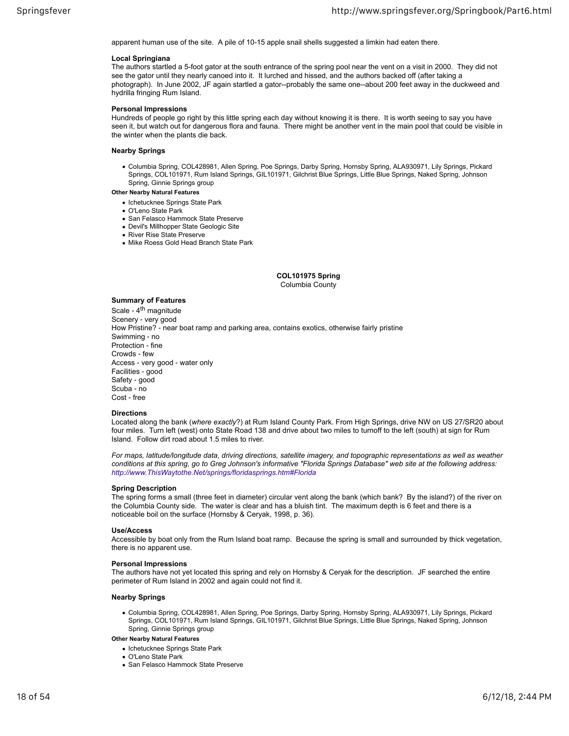apparent human use of the site. A pile of 10-15 apple snail shells suggested a limkin had eaten there.

#### **Local Springiana**

The authors startled a 5-foot gator at the south entrance of the spring pool near the vent on a visit in 2000. They did not see the gator until they nearly canoed into it. It lurched and hissed, and the authors backed off (after taking a photograph). In June 2002, JF again startled a gator--probably the same one--about 200 feet away in the duckweed and hydrilla fringing Rum Island.

## **Personal Impressions**

Hundreds of people go right by this little spring each day without knowing it is there. It is worth seeing to say you have seen it, but watch out for dangerous flora and fauna. There might be another vent in the main pool that could be visible in the winter when the plants die back.

#### **Nearby Springs**

Columbia Spring, COL428981, Allen Spring, Poe Springs, Darby Spring, Hornsby Spring, ALA930971, Lily Springs, Pickard Springs, COL101971, Rum Island Springs, GIL101971, Gilchrist Blue Springs, Little Blue Springs, Naked Spring, Johnson Spring, Ginnie Springs group

## **Other Nearby Natural Features**

- Ichetucknee Springs State Park
- O'Leno State Park
- San Felasco Hammock State Preserve
- Devil's Millhopper State Geologic Site • River Rise State Preserve
- Mike Roess Gold Head Branch State Park

## **COL101975 Spring**

Columbia County

## **Summary of Features**

Scale - 4<sup>th</sup> magnitude Scenery ‐ very good How Pristine? ‐ near boat ramp and parking area, contains exotics, otherwise fairly pristine Swimming ‐ no Protection ‐ fine Crowds ‐ few Access ‐ very good ‐ water only Facilities ‐ good Safety ‐ good Scuba ‐ no Cost ‐ free

#### **Directions**

Located along the bank (*where exactly*?) at Rum Island County Park. From High Springs, drive NW on US 27/SR20 about four miles. Turn left (west) onto State Road 138 and drive about two miles to turnoff to the left (south) at sign for Rum Island. Follow dirt road about 1.5 miles to river.

*For maps, latitude/longitude data, driving directions, satellite imagery, and topographic representations as well as weather conditions at this spring, go to Greg Johnson's informative "Florida Springs Database" web site at the following address: http://www.ThisWaytothe.Net/springs/floridasprings.htm#Florida*

## **Spring Description**

The spring forms a small (three feet in diameter) circular vent along the bank (which bank? By the island?) of the river on the Columbia County side. The water is clear and has a bluish tint. The maximum depth is 6 feet and there is a noticeable boil on the surface (Hornsby & Ceryak, 1998, p. 36).

## **Use/Access**

Accessible by boat only from the Rum Island boat ramp. Because the spring is small and surrounded by thick vegetation, there is no apparent use.

## **Personal Impressions**

The authors have not yet located this spring and rely on Hornsby & Ceryak for the description. JF searched the entire perimeter of Rum Island in 2002 and again could not find it.

#### **Nearby Springs**

Columbia Spring, COL428981, Allen Spring, Poe Springs, Darby Spring, Hornsby Spring, ALA930971, Lily Springs, Pickard Springs, COL101971, Rum Island Springs, GIL101971, Gilchrist Blue Springs, Little Blue Springs, Naked Spring, Johnson Spring, Ginnie Springs group

- Ichetucknee Springs State Park
- O'Leno State Park
- San Felasco Hammock State Preserve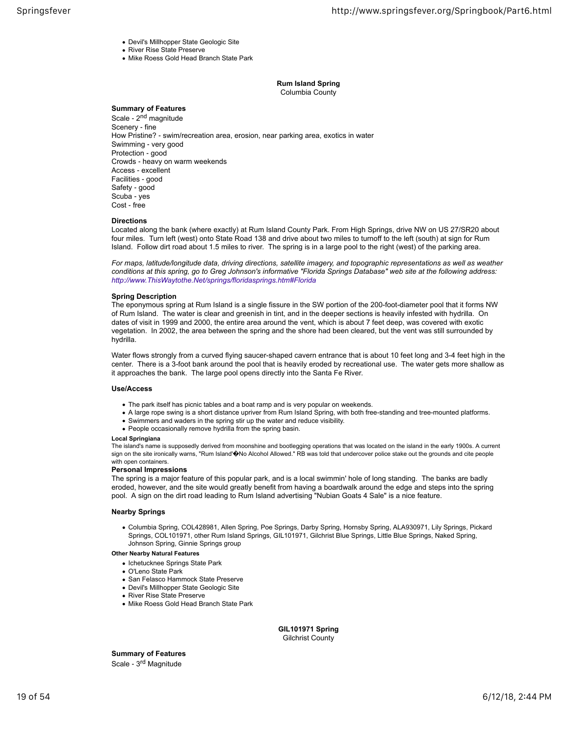- Devil's Millhopper State Geologic Site
- River Rise State Preserve
- Mike Roess Gold Head Branch State Park

**Rum Island Spring** Columbia County

## **Summary of Features**

Scale - 2<sup>nd</sup> magnitude Scenery ‐ fine How Pristine? ‐ swim/recreation area, erosion, near parking area, exotics in water Swimming ‐ very good Protection ‐ good Crowds ‐ heavy on warm weekends Access ‐ excellent Facilities ‐ good Safety ‐ good Scuba ‐ yes Cost ‐ free

## **Directions**

Located along the bank (where exactly) at Rum Island County Park. From High Springs, drive NW on US 27/SR20 about four miles. Turn left (west) onto State Road 138 and drive about two miles to turnoff to the left (south) at sign for Rum Island. Follow dirt road about 1.5 miles to river. The spring is in a large pool to the right (west) of the parking area.

*For maps, latitude/longitude data, driving directions, satellite imagery, and topographic representations as well as weather conditions at this spring, go to Greg Johnson's informative "Florida Springs Database" web site at the following address: http://www.ThisWaytothe.Net/springs/floridasprings.htm#Florida*

#### **Spring Description**

The eponymous spring at Rum Island is a single fissure in the SW portion of the 200-foot-diameter pool that it forms NW of Rum Island. The water is clear and greenish in tint, and in the deeper sections is heavily infested with hydrilla. On dates of visit in 1999 and 2000, the entire area around the vent, which is about 7 feet deep, was covered with exotic vegetation. In 2002, the area between the spring and the shore had been cleared, but the vent was still surrounded by hydrilla.

Water flows strongly from a curved flying saucer-shaped cavern entrance that is about 10 feet long and 3-4 feet high in the center. There is a 3-foot bank around the pool that is heavily eroded by recreational use. The water gets more shallow as it approaches the bank. The large pool opens directly into the Santa Fe River.

## **Use/Access**

- The park itself has picnic tables and a boat ramp and is very popular on weekends.
- A large rope swing is a short distance upriver from Rum Island Spring, with both free-standing and tree-mounted platforms.
- Swimmers and waders in the spring stir up the water and reduce visibility.
- People occasionally remove hydrilla from the spring basin.

## **Local Springiana**

The island's name is supposedly derived from moonshine and bootlegging operations that was located on the island in the early 1900s. A current sign on the site ironically warns, "Rum Island' $\hat{\phi}$ No Alcohol Allowed." RB was told that undercover police stake out the grounds and cite people with open containers.

## **Personal Impressions**

The spring is a major feature of this popular park, and is a local swimmin' hole of long standing. The banks are badly eroded, however, and the site would greatly benefit from having a boardwalk around the edge and steps into the spring pool. A sign on the dirt road leading to Rum Island advertising "Nubian Goats 4 Sale" is a nice feature.

## **Nearby Springs**

Columbia Spring, COL428981, Allen Spring, Poe Springs, Darby Spring, Hornsby Spring, ALA930971, Lily Springs, Pickard Springs, COL101971, other Rum Island Springs, GIL101971, Gilchrist Blue Springs, Little Blue Springs, Naked Spring, Johnson Spring, Ginnie Springs group

## **Other Nearby Natural Features**

- Ichetucknee Springs State Park
- O'Leno State Park
- San Felasco Hammock State Preserve
- Devil's Millhopper State Geologic Site
- River Rise State Preserve
- Mike Roess Gold Head Branch State Park

**GIL101971 Spring** Gilchrist County

**Summary of Features** Scale - 3<sup>rd</sup> Magnitude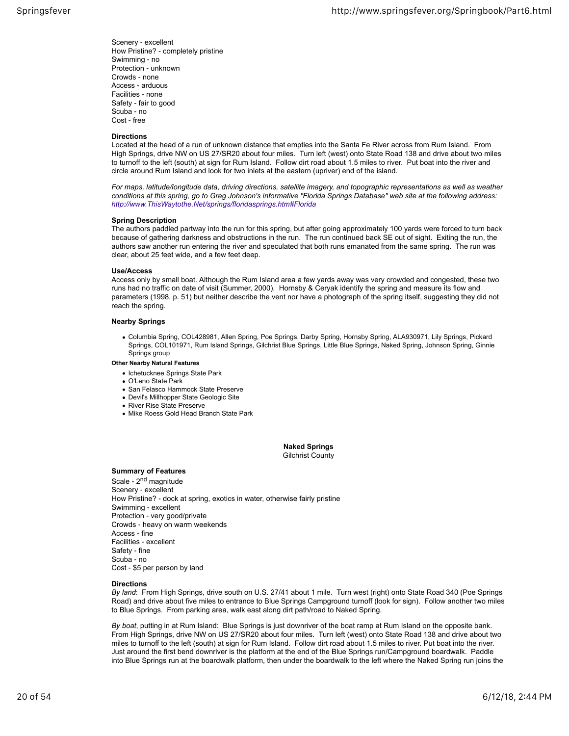Scenery ‐ excellent How Pristine? ‐ completely pristine Swimming ‐ no Protection ‐ unknown Crowds ‐ none Access ‐ arduous Facilities ‐ none Safety ‐ fair to good Scuba ‐ no Cost ‐ free

## **Directions**

Located at the head of a run of unknown distance that empties into the Santa Fe River across from Rum Island. From High Springs, drive NW on US 27/SR20 about four miles. Turn left (west) onto State Road 138 and drive about two miles to turnoff to the left (south) at sign for Rum Island. Follow dirt road about 1.5 miles to river. Put boat into the river and circle around Rum Island and look for two inlets at the eastern (upriver) end of the island.

*For maps, latitude/longitude data, driving directions, satellite imagery, and topographic representations as well as weather conditions at this spring, go to Greg Johnson's informative "Florida Springs Database" web site at the following address: http://www.ThisWaytothe.Net/springs/floridasprings.htm#Florida*

#### **Spring Description**

The authors paddled partway into the run for this spring, but after going approximately 100 yards were forced to turn back because of gathering darkness and obstructions in the run. The run continued back SE out of sight. Exiting the run, the authors saw another run entering the river and speculated that both runs emanated from the same spring. The run was clear, about 25 feet wide, and a few feet deep.

#### **Use/Access**

Access only by small boat. Although the Rum Island area a few yards away was very crowded and congested, these two runs had no traffic on date of visit (Summer, 2000). Hornsby & Ceryak identify the spring and measure its flow and parameters (1998, p. 51) but neither describe the vent nor have a photograph of the spring itself, suggesting they did not reach the spring.

## **Nearby Springs**

Columbia Spring, COL428981, Allen Spring, Poe Springs, Darby Spring, Hornsby Spring, ALA930971, Lily Springs, Pickard Springs, COL101971, Rum Island Springs, Gilchrist Blue Springs, Little Blue Springs, Naked Spring, Johnson Spring, Ginnie Springs group

#### **Other Nearby Natural Features**

- Ichetucknee Springs State Park
- O'Leno State Park
- San Felasco Hammock State Preserve
- Devil's Millhopper State Geologic Site
- River Rise State Preserve
- Mike Roess Gold Head Branch State Park

#### **Naked Springs** Gilchrist County

#### **Summary of Features**

Scale - 2<sup>nd</sup> magnitude Scenery ‐ excellent How Pristine? ‐ dock at spring, exotics in water, otherwise fairly pristine Swimming ‐ excellent Protection ‐ very good/private Crowds ‐ heavy on warm weekends Access ‐ fine Facilities ‐ excellent Safety ‐ fine Scuba ‐ no Cost ‐ \$5 per person by land

#### **Directions**

*By land*: From High Springs, drive south on U.S. 27/41 about 1 mile. Turn west (right) onto State Road 340 (Poe Springs Road) and drive about five miles to entrance to Blue Springs Campground turnoff (look for sign). Follow another two miles to Blue Springs. From parking area, walk east along dirt path/road to Naked Spring.

*By boat*, putting in at Rum Island: Blue Springs is just downriver of the boat ramp at Rum Island on the opposite bank. From High Springs, drive NW on US 27/SR20 about four miles. Turn left (west) onto State Road 138 and drive about two miles to turnoff to the left (south) at sign for Rum Island. Follow dirt road about 1.5 miles to river. Put boat into the river. Just around the first bend downriver is the platform at the end of the Blue Springs run/Campground boardwalk. Paddle into Blue Springs run at the boardwalk platform, then under the boardwalk to the left where the Naked Spring run joins the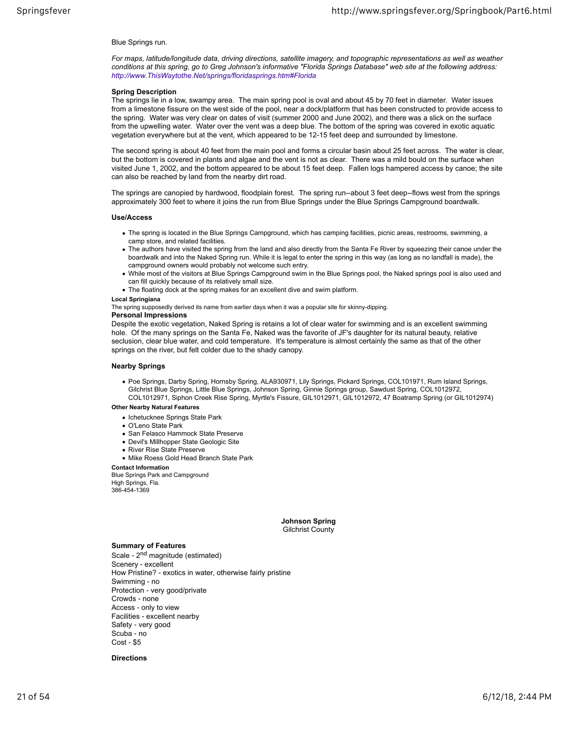## Blue Springs run.

*For maps, latitude/longitude data, driving directions, satellite imagery, and topographic representations as well as weather conditions at this spring, go to Greg Johnson's informative "Florida Springs Database" web site at the following address: http://www.ThisWaytothe.Net/springs/floridasprings.htm#Florida*

## **Spring Description**

The springs lie in a low, swampy area. The main spring pool is oval and about 45 by 70 feet in diameter. Water issues from a limestone fissure on the west side of the pool, near a dock/platform that has been constructed to provide access to the spring. Water was very clear on dates of visit (summer 2000 and June 2002), and there was a slick on the surface from the upwelling water. Water over the vent was a deep blue. The bottom of the spring was covered in exotic aquatic vegetation everywhere but at the vent, which appeared to be 12-15 feet deep and surrounded by limestone.

The second spring is about 40 feet from the main pool and forms a circular basin about 25 feet across. The water is clear, but the bottom is covered in plants and algae and the vent is not as clear. There was a mild bould on the surface when visited June 1, 2002, and the bottom appeared to be about 15 feet deep. Fallen logs hampered access by canoe; the site can also be reached by land from the nearby dirt road.

The springs are canopied by hardwood, floodplain forest. The spring run--about 3 feet deep--flows west from the springs approximately 300 feet to where it joins the run from Blue Springs under the Blue Springs Campground boardwalk.

#### **Use/Access**

- The spring is located in the Blue Springs Campground, which has camping facilities, picnic areas, restrooms, swimming, a camp store, and related facilities.
- The authors have visited the spring from the land and also directly from the Santa Fe River by squeezing their canoe under the boardwalk and into the Naked Spring run. While it is legal to enter the spring in this way (as long as no landfall is made), the campground owners would probably not welcome such entry.
- While most of the visitors at Blue Springs Campground swim in the Blue Springs pool, the Naked springs pool is also used and can fill quickly because of its relatively small size.
- The floating dock at the spring makes for an excellent dive and swim platform.

#### **Local Springiana**

The spring supposedly derived its name from earlier days when it was a popular site for skinny-dipping.

## **Personal Impressions**

Despite the exotic vegetation, Naked Spring is retains a lot of clear water for swimming and is an excellent swimming hole. Of the many springs on the Santa Fe, Naked was the favorite of JF's daughter for its natural beauty, relative seclusion, clear blue water, and cold temperature. It's temperature is almost certainly the same as that of the other springs on the river, but felt colder due to the shady canopy.

#### **Nearby Springs**

Poe Springs, Darby Spring, Hornsby Spring, ALA930971, Lily Springs, Pickard Springs, COL101971, Rum Island Springs, Gilchrist Blue Springs, Little Blue Springs, Johnson Spring, Ginnie Springs group, Sawdust Spring, COL1012972, COL1012971, Siphon Creek Rise Spring, Myrtle's Fissure, GIL1012971, GIL1012972, 47 Boatramp Spring (or GIL1012974)

## **Other Nearby Natural Features**

- Ichetucknee Springs State Park
- O'Leno State Park
- San Felasco Hammock State Preserve
- Devil's Millhopper State Geologic Site
- River Rise State Preserve
- Mike Roess Gold Head Branch State Park

#### **Contact Information**

Blue Springs Park and Campground High Springs, Fla. 386-454-1369

> **Johnson Spring** Gilchrist County

#### **Summary of Features**

Scale - 2<sup>nd</sup> magnitude (estimated) Scenery ‐ excellent How Pristine? ‐ exotics in water, otherwise fairly pristine Swimming ‐ no Protection ‐ very good/private Crowds ‐ none Access ‐ only to view Facilities ‐ excellent nearby Safety ‐ very good Scuba ‐ no  $Cost - $5$ 

## **Directions**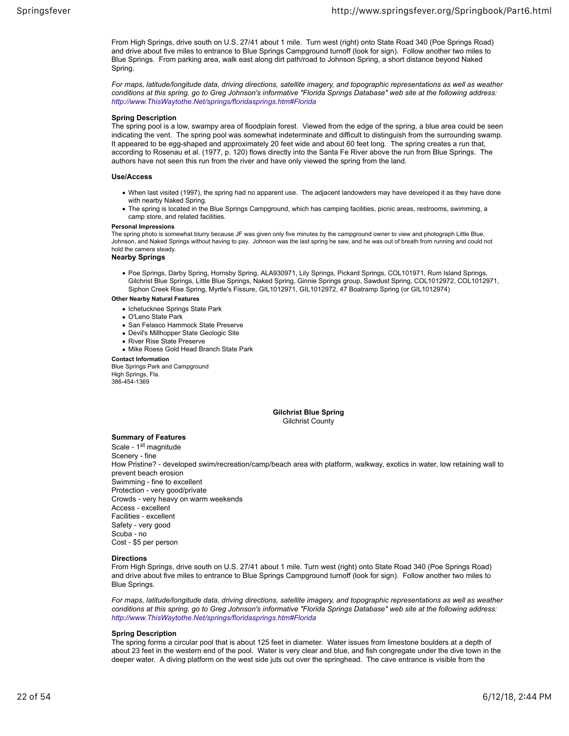From High Springs, drive south on U.S. 27/41 about 1 mile. Turn west (right) onto State Road 340 (Poe Springs Road) and drive about five miles to entrance to Blue Springs Campground turnoff (look for sign). Follow another two miles to Blue Springs. From parking area, walk east along dirt path/road to Johnson Spring, a short distance beyond Naked Spring.

*For maps, latitude/longitude data, driving directions, satellite imagery, and topographic representations as well as weather conditions at this spring, go to Greg Johnson's informative "Florida Springs Database" web site at the following address: http://www.ThisWaytothe.Net/springs/floridasprings.htm#Florida*

#### **Spring Description**

The spring pool is a low, swampy area of floodplain forest. Viewed from the edge of the spring, a blue area could be seen indicating the vent. The spring pool was somewhat indeterminate and difficult to distinguish from the surrounding swamp. It appeared to be egg-shaped and approximately 20 feet wide and about 60 feet long. The spring creates a run that, according to Rosenau et al. (1977, p. 120) flows directly into the Santa Fe River above the run from Blue Springs. The authors have not seen this run from the river and have only viewed the spring from the land.

#### **Use/Access**

- When last visited (1997), the spring had no apparent use. The adjacent landowders may have developed it as they have done with nearby Naked Spring.
- The spring is located in the Blue Springs Campground, which has camping facilities, picnic areas, restrooms, swimming, a camp store, and related facilities.

#### **Personal Impressions**

The spring photo is somewhat blurry because JF was given only five minutes by the campground owner to view and photograph Little Blue, Johnson, and Naked Springs without having to pay. Johnson was the last spring he saw, and he was out of breath from running and could not hold the camera steady.

#### **Nearby Springs**

Poe Springs, Darby Spring, Hornsby Spring, ALA930971, Lily Springs, Pickard Springs, COL101971, Rum Island Springs, Gilchrist Blue Springs, Little Blue Springs, Naked Spring, Ginnie Springs group, Sawdust Spring, COL1012972, COL1012971, Siphon Creek Rise Spring, Myrtle's Fissure, GIL1012971, GIL1012972, 47 Boatramp Spring (or GIL1012974)

#### **Other Nearby Natural Features**

- Ichetucknee Springs State Park
- O'Leno State Park
- San Felasco Hammock State Preserve
- Devil's Millhopper State Geologic Site
- River Rise State Preserve
- Mike Roess Gold Head Branch State Park

## **Contact Information**

Blue Springs Park and Campground High Springs, Fla. 386-454-1369

## **Gilchrist Blue Spring**

Gilchrist County

## **Summary of Features**

Scale - 1<sup>st</sup> magnitude Scenery ‐ fine How Pristine? ‐ developed swim/recreation/camp/beach area with platform, walkway, exotics in water, low retaining wall to prevent beach erosion Swimming ‐ fine to excellent Protection ‐ very good/private Crowds ‐ very heavy on warm weekends Access ‐ excellent Facilities ‐ excellent Safety ‐ very good Scuba ‐ no Cost ‐ \$5 per person

## **Directions**

From High Springs, drive south on U.S. 27/41 about 1 mile. Turn west (right) onto State Road 340 (Poe Springs Road) and drive about five miles to entrance to Blue Springs Campground turnoff (look for sign). Follow another two miles to Blue Springs.

*For maps, latitude/longitude data, driving directions, satellite imagery, and topographic representations as well as weather conditions at this spring, go to Greg Johnson's informative "Florida Springs Database" web site at the following address: http://www.ThisWaytothe.Net/springs/floridasprings.htm#Florida*

## **Spring Description**

The spring forms a circular pool that is about 125 feet in diameter. Water issues from limestone boulders at a depth of about 23 feet in the western end of the pool. Water is very clear and blue, and fish congregate under the dive town in the deeper water. A diving platform on the west side juts out over the springhead. The cave entrance is visible from the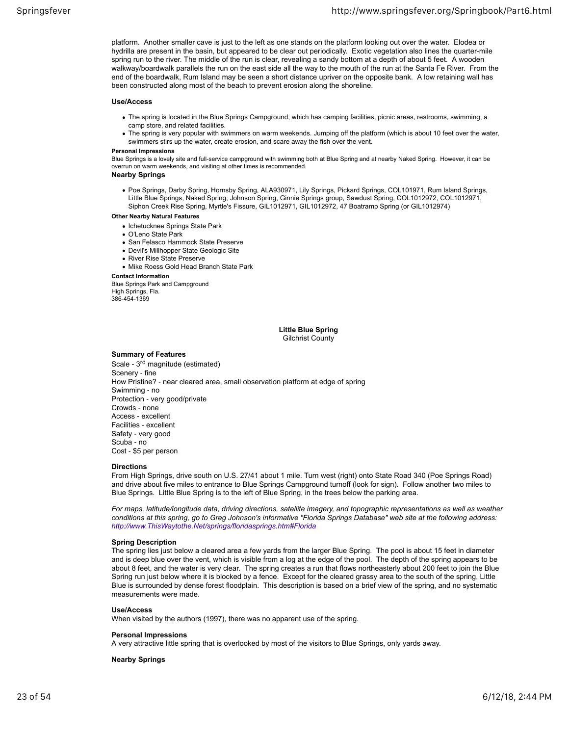platform. Another smaller cave is just to the left as one stands on the platform looking out over the water. Elodea or hydrilla are present in the basin, but appeared to be clear out periodically. Exotic vegetation also lines the quarter-mile spring run to the river. The middle of the run is clear, revealing a sandy bottom at a depth of about 5 feet. A wooden walkway/boardwalk parallels the run on the east side all the way to the mouth of the run at the Santa Fe River. From the end of the boardwalk, Rum Island may be seen a short distance upriver on the opposite bank. A low retaining wall has been constructed along most of the beach to prevent erosion along the shoreline.

#### **Use/Access**

- The spring is located in the Blue Springs Campground, which has camping facilities, picnic areas, restrooms, swimming, a camp store, and related facilities.
- The spring is very popular with swimmers on warm weekends. Jumping off the platform (which is about 10 feet over the water, swimmers stirs up the water, create erosion, and scare away the fish over the vent.

#### **Personal Impressions**

Blue Springs is a lovely site and full-service campground with swimming both at Blue Spring and at nearby Naked Spring. However, it can be overrun on warm weekends, and visiting at other times is recommended.

## **Nearby Springs**

- Poe Springs, Darby Spring, Hornsby Spring, ALA930971, Lily Springs, Pickard Springs, COL101971, Rum Island Springs, Little Blue Springs, Naked Spring, Johnson Spring, Ginnie Springs group, Sawdust Spring, COL1012972, COL1012971, Siphon Creek Rise Spring, Myrtle's Fissure, GIL1012971, GIL1012972, 47 Boatramp Spring (or GIL1012974)
- **Other Nearby Natural Features**
	- Ichetucknee Springs State Park
	- O'Leno State Park
	- San Felasco Hammock State Preserve
	- Devil's Millhopper State Geologic Site
	- River Rise State Preserve
	- Mike Roess Gold Head Branch State Park

#### **Contact Information**

Blue Springs Park and Campground High Springs, Fla. 386-454-1369

## **Little Blue Spring** Gilchrist County

## **Summary of Features**

Scale - 3<sup>rd</sup> magnitude (estimated) Scenery ‐ fine How Pristine? ‐ near cleared area, small observation platform at edge of spring Swimming ‐ no Protection ‐ very good/private Crowds ‐ none Access ‐ excellent Facilities ‐ excellent Safety ‐ very good Scuba ‐ no Cost ‐ \$5 per person

#### **Directions**

From High Springs, drive south on U.S. 27/41 about 1 mile. Turn west (right) onto State Road 340 (Poe Springs Road) and drive about five miles to entrance to Blue Springs Campground turnoff (look for sign). Follow another two miles to Blue Springs. Little Blue Spring is to the left of Blue Spring, in the trees below the parking area.

*For maps, latitude/longitude data, driving directions, satellite imagery, and topographic representations as well as weather conditions at this spring, go to Greg Johnson's informative "Florida Springs Database" web site at the following address: http://www.ThisWaytothe.Net/springs/floridasprings.htm#Florida*

## **Spring Description**

The spring lies just below a cleared area a few yards from the larger Blue Spring. The pool is about 15 feet in diameter and is deep blue over the vent, which is visible from a log at the edge of the pool. The depth of the spring appears to be about 8 feet, and the water is very clear. The spring creates a run that flows northeasterly about 200 feet to join the Blue Spring run just below where it is blocked by a fence. Except for the cleared grassy area to the south of the spring, Little Blue is surrounded by dense forest floodplain. This description is based on a brief view of the spring, and no systematic measurements were made.

#### **Use/Access**

When visited by the authors (1997), there was no apparent use of the spring.

## **Personal Impressions**

A very attractive little spring that is overlooked by most of the visitors to Blue Springs, only yards away.

## **Nearby Springs**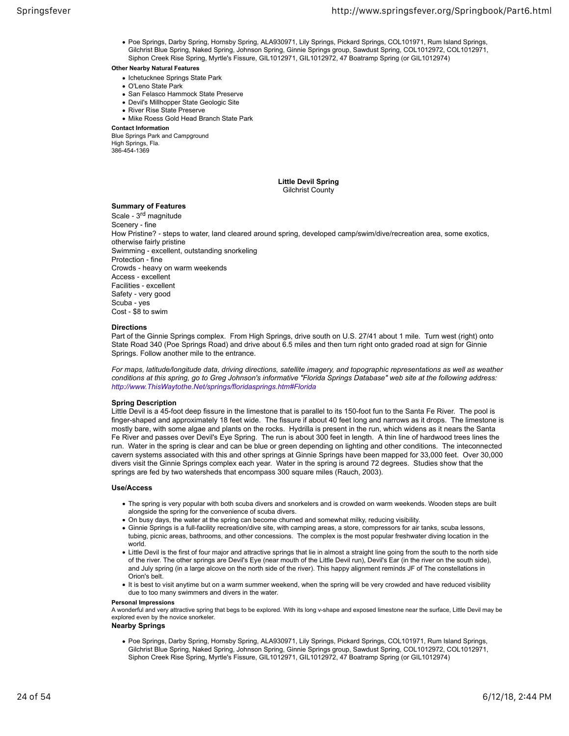Poe Springs, Darby Spring, Hornsby Spring, ALA930971, Lily Springs, Pickard Springs, COL101971, Rum Island Springs, Gilchrist Blue Spring, Naked Spring, Johnson Spring, Ginnie Springs group, Sawdust Spring, COL1012972, COL1012971, Siphon Creek Rise Spring, Myrtle's Fissure, GIL1012971, GIL1012972, 47 Boatramp Spring (or GIL1012974)

## **Other Nearby Natural Features**

- Ichetucknee Springs State Park
- O'Leno State Park
- San Felasco Hammock State Preserve
- Devil's Millhopper State Geologic Site
- River Rise State Preserve
- Mike Roess Gold Head Branch State Park

**Contact Information**

Blue Springs Park and Campground High Springs, Fla. 386-454-1369

## **Little Devil Spring**

Gilchrist County

## **Summary of Features**

Scale ‐ 3rd magnitude Scenery - fine How Pristine? ‐ steps to water, land cleared around spring, developed camp/swim/dive/recreation area, some exotics, otherwise fairly pristine Swimming ‐ excellent, outstanding snorkeling Protection ‐ fine Crowds ‐ heavy on warm weekends Access ‐ excellent Facilities ‐ excellent Safety ‐ very good Scuba ‐ yes Cost ‐ \$8 to swim

## **Directions**

Part of the Ginnie Springs complex. From High Springs, drive south on U.S. 27/41 about 1 mile. Turn west (right) onto State Road 340 (Poe Springs Road) and drive about 6.5 miles and then turn right onto graded road at sign for Ginnie Springs. Follow another mile to the entrance.

*For maps, latitude/longitude data, driving directions, satellite imagery, and topographic representations as well as weather conditions at this spring, go to Greg Johnson's informative "Florida Springs Database" web site at the following address: http://www.ThisWaytothe.Net/springs/floridasprings.htm#Florida*

## **Spring Description**

Little Devil is a 45-foot deep fissure in the limestone that is parallel to its 150-foot fun to the Santa Fe River. The pool is finger-shaped and approximately 18 feet wide. The fissure if about 40 feet long and narrows as it drops. The limestone is mostly bare, with some algae and plants on the rocks. Hydrilla is present in the run, which widens as it nears the Santa Fe River and passes over Devil's Eye Spring. The run is about 300 feet in length. A thin line of hardwood trees lines the run. Water in the spring is clear and can be blue or green depending on lighting and other conditions. The inteconnected cavern systems associated with this and other springs at Ginnie Springs have been mapped for 33,000 feet. Over 30,000 divers visit the Ginnie Springs complex each year. Water in the spring is around 72 degrees. Studies show that the springs are fed by two watersheds that encompass 300 square miles (Rauch, 2003).

## **Use/Access**

- The spring is very popular with both scuba divers and snorkelers and is crowded on warm weekends. Wooden steps are built alongside the spring for the convenience of scuba divers.
- On busy days, the water at the spring can become churned and somewhat milky, reducing visibility.
- Ginnie Springs is a full-facility recreation/dive site, with camping areas, a store, compressors for air tanks, scuba lessons, tubing, picnic areas, bathrooms, and other concessions. The complex is the most popular freshwater diving location in the world.
- Little Devil is the first of four major and attractive springs that lie in almost a straight line going from the south to the north side of the river. The other springs are Devil's Eye (near mouth of the Little Devil run), Devil's Ear (in the river on the south side), and July spring (in a large alcove on the north side of the river). This happy alignment reminds JF of The constellations in Orion's belt.
- It is best to visit anytime but on a warm summer weekend, when the spring will be very crowded and have reduced visibility due to too many swimmers and divers in the water.

## **Personal Impressions**

A wonderful and very attractive spring that begs to be explored. With its long v-shape and exposed limestone near the surface, Little Devil may be explored even by the novice snorkeler.

## **Nearby Springs**

Poe Springs, Darby Spring, Hornsby Spring, ALA930971, Lily Springs, Pickard Springs, COL101971, Rum Island Springs, Gilchrist Blue Spring, Naked Spring, Johnson Spring, Ginnie Springs group, Sawdust Spring, COL1012972, COL1012971, Siphon Creek Rise Spring, Myrtle's Fissure, GIL1012971, GIL1012972, 47 Boatramp Spring (or GIL1012974)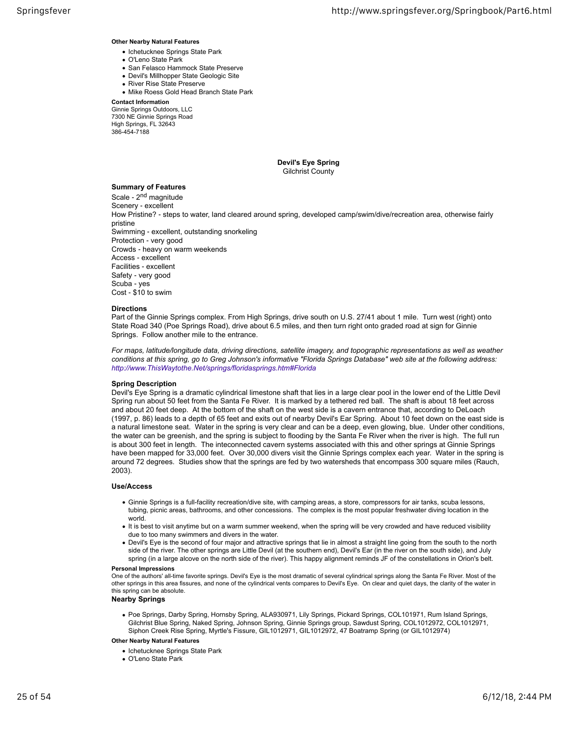**Other Nearby Natural Features**

- Ichetucknee Springs State Park
- O'Leno State Park
- San Felasco Hammock State Preserve
- Devil's Millhopper State Geologic Site
- River Rise State Preserve
- Mike Roess Gold Head Branch State Park

**Contact Information**

Ginnie Springs Outdoors, LLC 7300 NE Ginnie Springs Road High Springs, FL 32643 386-454-7188

> **Devil's Eye Spring** Gilchrist County

## **Summary of Features**

Scale - 2<sup>nd</sup> magnitude Scenery ‐ excellent How Pristine? ‐ steps to water, land cleared around spring, developed camp/swim/dive/recreation area, otherwise fairly pristine Swimming ‐ excellent, outstanding snorkeling Protection ‐ very good Crowds ‐ heavy on warm weekends Access ‐ excellent Facilities ‐ excellent Safety ‐ very good Scuba ‐ yes Cost ‐ \$10 to swim

#### **Directions**

Part of the Ginnie Springs complex. From High Springs, drive south on U.S. 27/41 about 1 mile. Turn west (right) onto State Road 340 (Poe Springs Road), drive about 6.5 miles, and then turn right onto graded road at sign for Ginnie Springs. Follow another mile to the entrance.

*For maps, latitude/longitude data, driving directions, satellite imagery, and topographic representations as well as weather conditions at this spring, go to Greg Johnson's informative "Florida Springs Database" web site at the following address: http://www.ThisWaytothe.Net/springs/floridasprings.htm#Florida*

## **Spring Description**

Devil's Eye Spring is a dramatic cylindrical limestone shaft that lies in a large clear pool in the lower end of the Little Devil Spring run about 50 feet from the Santa Fe River. It is marked by a tethered red ball. The shaft is about 18 feet across and about 20 feet deep. At the bottom of the shaft on the west side is a cavern entrance that, according to DeLoach (1997, p. 86) leads to a depth of 65 feet and exits out of nearby Devil's Ear Spring. About 10 feet down on the east side is a natural limestone seat. Water in the spring is very clear and can be a deep, even glowing, blue. Under other conditions, the water can be greenish, and the spring is subject to flooding by the Santa Fe River when the river is high. The full run is about 300 feet in length. The inteconnected cavern systems associated with this and other springs at Ginnie Springs have been mapped for 33,000 feet. Over 30,000 divers visit the Ginnie Springs complex each year. Water in the spring is around 72 degrees. Studies show that the springs are fed by two watersheds that encompass 300 square miles (Rauch, 2003).

#### **Use/Access**

- Ginnie Springs is a full-facility recreation/dive site, with camping areas, a store, compressors for air tanks, scuba lessons, tubing, picnic areas, bathrooms, and other concessions. The complex is the most popular freshwater diving location in the world.
- It is best to visit anytime but on a warm summer weekend, when the spring will be very crowded and have reduced visibility due to too many swimmers and divers in the water.
- Devil's Eye is the second of four major and attractive springs that lie in almost a straight line going from the south to the north side of the river. The other springs are Little Devil (at the southern end), Devil's Ear (in the river on the south side), and July spring (in a large alcove on the north side of the river). This happy alignment reminds JF of the constellations in Orion's belt.

#### **Personal Impressions**

One of the authors' all-time favorite springs. Devil's Eye is the most dramatic of several cylindrical springs along the Santa Fe River. Most of the other springs in this area fissures, and none of the cylindrical vents compares to Devil's Eye. On clear and quiet days, the clarity of the water in this spring can be absolute.

#### **Nearby Springs**

Poe Springs, Darby Spring, Hornsby Spring, ALA930971, Lily Springs, Pickard Springs, COL101971, Rum Island Springs, Gilchrist Blue Spring, Naked Spring, Johnson Spring, Ginnie Springs group, Sawdust Spring, COL1012972, COL1012971, Siphon Creek Rise Spring, Myrtle's Fissure, GIL1012971, GIL1012972, 47 Boatramp Spring (or GIL1012974)

- Ichetucknee Springs State Park
- O'Leno State Park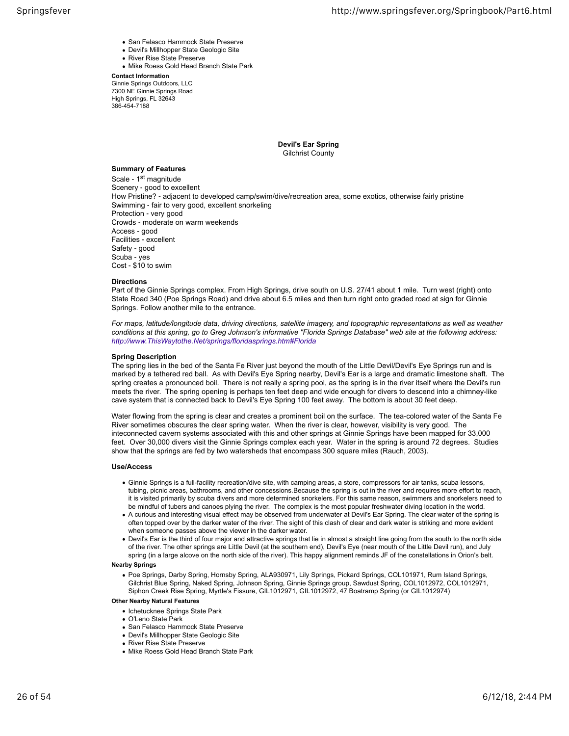- San Felasco Hammock State Preserve
- Devil's Millhopper State Geologic Site
- River Rise State Preserve
- Mike Roess Gold Head Branch State Park

**Contact Information** Ginnie Springs Outdoors, LLC 7300 NE Ginnie Springs Road High Springs, FL 32643 386-454-7188

> **Devil's Ear Spring** Gilchrist County

## **Summary of Features**

Scale - 1<sup>st</sup> magnitude Scenery ‐ good to excellent How Pristine? ‐ adjacent to developed camp/swim/dive/recreation area, some exotics, otherwise fairly pristine Swimming ‐ fair to very good, excellent snorkeling Protection ‐ very good Crowds ‐ moderate on warm weekends Access ‐ good Facilities ‐ excellent Safety - good Scuba ‐ yes Cost ‐ \$10 to swim

#### **Directions**

Part of the Ginnie Springs complex. From High Springs, drive south on U.S. 27/41 about 1 mile. Turn west (right) onto State Road 340 (Poe Springs Road) and drive about 6.5 miles and then turn right onto graded road at sign for Ginnie Springs. Follow another mile to the entrance.

*For maps, latitude/longitude data, driving directions, satellite imagery, and topographic representations as well as weather conditions at this spring, go to Greg Johnson's informative "Florida Springs Database" web site at the following address: http://www.ThisWaytothe.Net/springs/floridasprings.htm#Florida*

#### **Spring Description**

The spring lies in the bed of the Santa Fe River just beyond the mouth of the Little Devil/Devil's Eye Springs run and is marked by a tethered red ball. As with Devil's Eye Spring nearby, Devil's Ear is a large and dramatic limestone shaft. The spring creates a pronounced boil. There is not really a spring pool, as the spring is in the river itself where the Devil's run meets the river. The spring opening is perhaps ten feet deep and wide enough for divers to descend into a chimney-like cave system that is connected back to Devil's Eye Spring 100 feet away. The bottom is about 30 feet deep.

Water flowing from the spring is clear and creates a prominent boil on the surface. The tea-colored water of the Santa Fe River sometimes obscures the clear spring water. When the river is clear, however, visibility is very good. The inteconnected cavern systems associated with this and other springs at Ginnie Springs have been mapped for 33,000 feet. Over 30,000 divers visit the Ginnie Springs complex each year. Water in the spring is around 72 degrees. Studies show that the springs are fed by two watersheds that encompass 300 square miles (Rauch, 2003).

#### **Use/Access**

- Ginnie Springs is a full-facility recreation/dive site, with camping areas, a store, compressors for air tanks, scuba lessons, tubing, picnic areas, bathrooms, and other concessions.Because the spring is out in the river and requires more effort to reach, it is visited primarily by scuba divers and more determined snorkelers. For this same reason, swimmers and snorkelers need to be mindful of tubers and canoes plying the river. The complex is the most popular freshwater diving location in the world.
- A curious and interesting visual effect may be observed from underwater at Devil's Ear Spring. The clear water of the spring is often topped over by the darker water of the river. The sight of this clash of clear and dark water is striking and more evident when someone passes above the viewer in the darker water.
- Devil's Ear is the third of four major and attractive springs that lie in almost a straight line going from the south to the north side of the river. The other springs are Little Devil (at the southern end), Devil's Eye (near mouth of the Little Devil run), and July spring (in a large alcove on the north side of the river). This happy alignment reminds JF of the constellations in Orion's belt.

#### **Nearby Springs**

Poe Springs, Darby Spring, Hornsby Spring, ALA930971, Lily Springs, Pickard Springs, COL101971, Rum Island Springs, Gilchrist Blue Spring, Naked Spring, Johnson Spring, Ginnie Springs group, Sawdust Spring, COL1012972, COL1012971, Siphon Creek Rise Spring, Myrtle's Fissure, GIL1012971, GIL1012972, 47 Boatramp Spring (or GIL1012974)

- Ichetucknee Springs State Park
- O'Leno State Park
- San Felasco Hammock State Preserve
- Devil's Millhopper State Geologic Site
- River Rise State Preserve
- Mike Roess Gold Head Branch State Park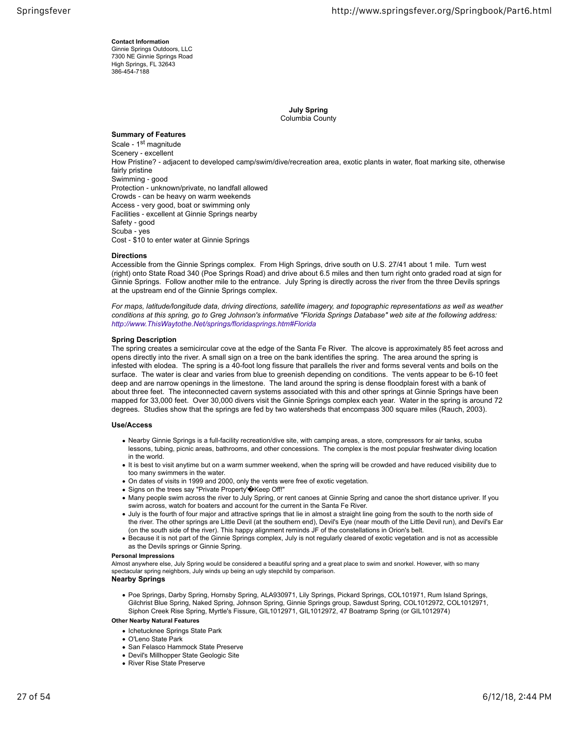**Contact Information** Ginnie Springs Outdoors, LLC 7300 NE Ginnie Springs Road High Springs, FL 32643 386-454-7188

> **July Spring** Columbia County

## **Summary of Features**

Scale - 1<sup>st</sup> magnitude Scenery ‐ excellent How Pristine? ‐ adjacent to developed camp/swim/dive/recreation area, exotic plants in water, float marking site, otherwise fairly pristine Swimming ‐ good Protection ‐ unknown/private, no landfall allowed Crowds ‐ can be heavy on warm weekends Access ‐ very good, boat or swimming only Facilities ‐ excellent at Ginnie Springs nearby Safety ‐ good Scuba ‐ yes Cost ‐ \$10 to enter water at Ginnie Springs

## **Directions**

Accessible from the Ginnie Springs complex. From High Springs, drive south on U.S. 27/41 about 1 mile. Turn west (right) onto State Road 340 (Poe Springs Road) and drive about 6.5 miles and then turn right onto graded road at sign for Ginnie Springs. Follow another mile to the entrance. July Spring is directly across the river from the three Devils springs at the upstream end of the Ginnie Springs complex.

*For maps, latitude/longitude data, driving directions, satellite imagery, and topographic representations as well as weather conditions at this spring, go to Greg Johnson's informative "Florida Springs Database" web site at the following address: http://www.ThisWaytothe.Net/springs/floridasprings.htm#Florida*

## **Spring Description**

The spring creates a semicircular cove at the edge of the Santa Fe River. The alcove is approximately 85 feet across and opens directly into the river. A small sign on a tree on the bank identifies the spring. The area around the spring is infested with elodea. The spring is a 40-foot long fissure that parallels the river and forms several vents and boils on the surface. The water is clear and varies from blue to greenish depending on conditions. The vents appear to be 6-10 feet deep and are narrow openings in the limestone. The land around the spring is dense floodplain forest with a bank of about three feet. The inteconnected cavern systems associated with this and other springs at Ginnie Springs have been mapped for 33,000 feet. Over 30,000 divers visit the Ginnie Springs complex each year. Water in the spring is around 72 degrees. Studies show that the springs are fed by two watersheds that encompass 300 square miles (Rauch, 2003).

## **Use/Access**

- Nearby Ginnie Springs is a full-facility recreation/dive site, with camping areas, a store, compressors for air tanks, scuba lessons, tubing, picnic areas, bathrooms, and other concessions. The complex is the most popular freshwater diving location in the world.
- It is best to visit anytime but on a warm summer weekend, when the spring will be crowded and have reduced visibility due to too many swimmers in the water.
- On dates of visits in 1999 and 2000, only the vents were free of exotic vegetation.
- Signs on the trees say "Private Property' $\hat{\mathbf{\Phi}}$ Keep Off!"
- Many people swim across the river to July Spring, or rent canoes at Ginnie Spring and canoe the short distance upriver. If you swim across, watch for boaters and account for the current in the Santa Fe River.
- July is the fourth of four major and attractive springs that lie in almost a straight line going from the south to the north side of the river. The other springs are Little Devil (at the southern end), Devil's Eye (near mouth of the Little Devil run), and Devil's Ear (on the south side of the river). This happy alignment reminds JF of the constellations in Orion's belt.
- Because it is not part of the Ginnie Springs complex, July is not regularly cleared of exotic vegetation and is not as accessible as the Devils springs or Ginnie Spring.

#### **Personal Impressions**

Almost anywhere else, July Spring would be considered a beautiful spring and a great place to swim and snorkel. However, with so many spectacular spring neighbors, July winds up being an ugly stepchild by comparison.

## **Nearby Springs**

Poe Springs, Darby Spring, Hornsby Spring, ALA930971, Lily Springs, Pickard Springs, COL101971, Rum Island Springs, Gilchrist Blue Spring, Naked Spring, Johnson Spring, Ginnie Springs group, Sawdust Spring, COL1012972, COL1012971, Siphon Creek Rise Spring, Myrtle's Fissure, GIL1012971, GIL1012972, 47 Boatramp Spring (or GIL1012974)

- Ichetucknee Springs State Park
- O'Leno State Park
- San Felasco Hammock State Preserve
- Devil's Millhopper State Geologic Site
- River Rise State Preserve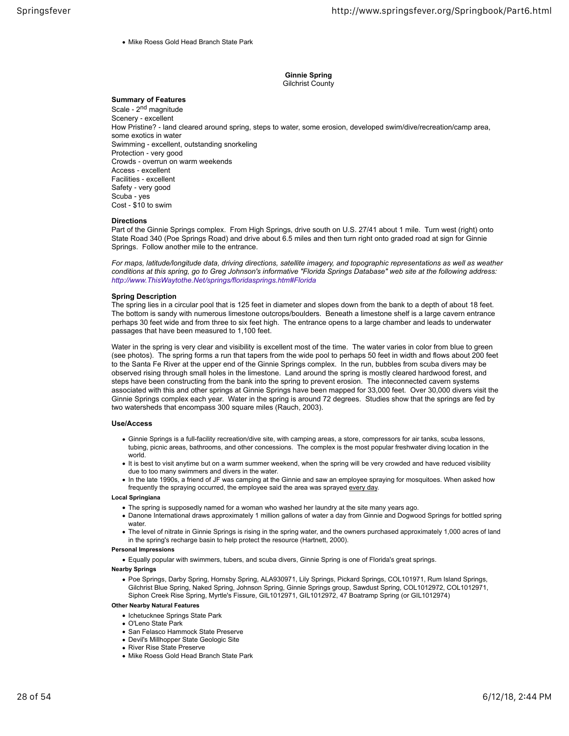• Mike Roess Gold Head Branch State Park

## **Ginnie Spring** Gilchrist County

## **Summary of Features**

Scale - 2<sup>nd</sup> magnitude Scenery ‐ excellent How Pristine? ‐ land cleared around spring, steps to water, some erosion, developed swim/dive/recreation/camp area, some exotics in water Swimming ‐ excellent, outstanding snorkeling Protection ‐ very good Crowds ‐ overrun on warm weekends Access ‐ excellent Facilities ‐ excellent Safety ‐ very good Scuba ‐ yes Cost ‐ \$10 to swim

#### **Directions**

Part of the Ginnie Springs complex. From High Springs, drive south on U.S. 27/41 about 1 mile. Turn west (right) onto State Road 340 (Poe Springs Road) and drive about 6.5 miles and then turn right onto graded road at sign for Ginnie Springs. Follow another mile to the entrance.

*For maps, latitude/longitude data, driving directions, satellite imagery, and topographic representations as well as weather conditions at this spring, go to Greg Johnson's informative "Florida Springs Database" web site at the following address: http://www.ThisWaytothe.Net/springs/floridasprings.htm#Florida*

#### **Spring Description**

The spring lies in a circular pool that is 125 feet in diameter and slopes down from the bank to a depth of about 18 feet. The bottom is sandy with numerous limestone outcrops/boulders. Beneath a limestone shelf is a large cavern entrance perhaps 30 feet wide and from three to six feet high. The entrance opens to a large chamber and leads to underwater passages that have been measured to 1,100 feet.

Water in the spring is very clear and visibility is excellent most of the time. The water varies in color from blue to green (see photos). The spring forms a run that tapers from the wide pool to perhaps 50 feet in width and flows about 200 feet to the Santa Fe River at the upper end of the Ginnie Springs complex. In the run, bubbles from scuba divers may be observed rising through small holes in the limestone. Land around the spring is mostly cleared hardwood forest, and steps have been constructing from the bank into the spring to prevent erosion. The inteconnected cavern systems associated with this and other springs at Ginnie Springs have been mapped for 33,000 feet. Over 30,000 divers visit the Ginnie Springs complex each year. Water in the spring is around 72 degrees. Studies show that the springs are fed by two watersheds that encompass 300 square miles (Rauch, 2003).

#### **Use/Access**

- Ginnie Springs is a full-facility recreation/dive site, with camping areas, a store, compressors for air tanks, scuba lessons, tubing, picnic areas, bathrooms, and other concessions. The complex is the most popular freshwater diving location in the world.
- It is best to visit anytime but on a warm summer weekend, when the spring will be very crowded and have reduced visibility due to too many swimmers and divers in the water.
- In the late 1990s, a friend of JF was camping at the Ginnie and saw an employee spraying for mosquitoes. When asked how frequently the spraying occurred, the employee said the area was sprayed every day.

#### **Local Springiana**

- The spring is supposedly named for a woman who washed her laundry at the site many years ago.
- Danone International draws approximately 1 million gallons of water a day from Ginnie and Dogwood Springs for bottled spring water.
- The level of nitrate in Ginnie Springs is rising in the spring water, and the owners purchased approximately 1,000 acres of land in the spring's recharge basin to help protect the resource (Hartnett, 2000).

## **Personal Impressions**

Equally popular with swimmers, tubers, and scuba divers, Ginnie Spring is one of Florida's great springs.

#### **Nearby Springs**

Poe Springs, Darby Spring, Hornsby Spring, ALA930971, Lily Springs, Pickard Springs, COL101971, Rum Island Springs, Gilchrist Blue Spring, Naked Spring, Johnson Spring, Ginnie Springs group, Sawdust Spring, COL1012972, COL1012971, Siphon Creek Rise Spring, Myrtle's Fissure, GIL1012971, GIL1012972, 47 Boatramp Spring (or GIL1012974)

- Ichetucknee Springs State Park
- O'Leno State Park
- San Felasco Hammock State Preserve
- Devil's Millhopper State Geologic Site
- River Rise State Preserve
- Mike Roess Gold Head Branch State Park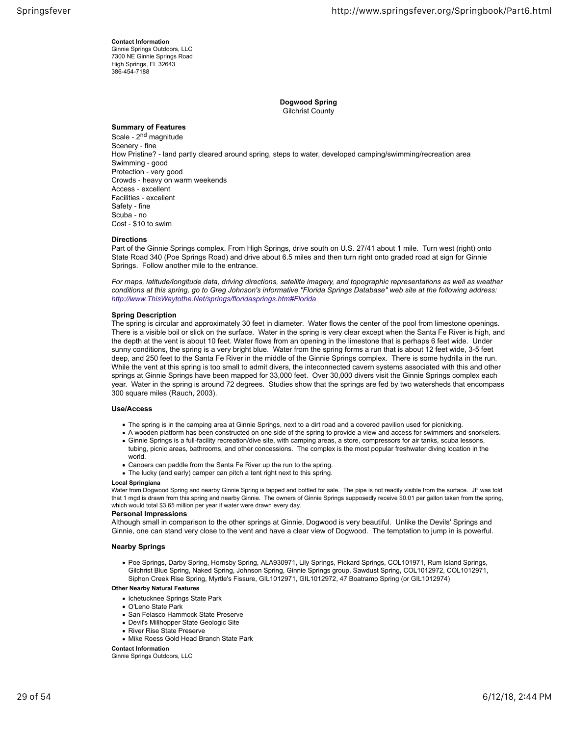**Contact Information** Ginnie Springs Outdoors, LLC 7300 NE Ginnie Springs Road High Springs, FL 32643 386-454-7188

> **Dogwood Spring** Gilchrist County

## **Summary of Features**

Scale - 2<sup>nd</sup> magnitude Scenery ‐ fine How Pristine? ‐ land partly cleared around spring, steps to water, developed camping/swimming/recreation area Swimming ‐ good Protection ‐ very good Crowds ‐ heavy on warm weekends Access ‐ excellent Facilities ‐ excellent Safety ‐ fine Scuba ‐ no Cost ‐ \$10 to swim

## **Directions**

Part of the Ginnie Springs complex. From High Springs, drive south on U.S. 27/41 about 1 mile. Turn west (right) onto State Road 340 (Poe Springs Road) and drive about 6.5 miles and then turn right onto graded road at sign for Ginnie Springs. Follow another mile to the entrance.

*For maps, latitude/longitude data, driving directions, satellite imagery, and topographic representations as well as weather conditions at this spring, go to Greg Johnson's informative "Florida Springs Database" web site at the following address: http://www.ThisWaytothe.Net/springs/floridasprings.htm#Florida*

## **Spring Description**

The spring is circular and approximately 30 feet in diameter. Water flows the center of the pool from limestone openings. There is a visible boil or slick on the surface. Water in the spring is very clear except when the Santa Fe River is high, and the depth at the vent is about 10 feet. Water flows from an opening in the limestone that is perhaps 6 feet wide. Under sunny conditions, the spring is a very bright blue. Water from the spring forms a run that is about 12 feet wide, 3-5 feet deep, and 250 feet to the Santa Fe River in the middle of the Ginnie Springs complex. There is some hydrilla in the run. While the vent at this spring is too small to admit divers, the inteconnected cavern systems associated with this and other springs at Ginnie Springs have been mapped for 33,000 feet. Over 30,000 divers visit the Ginnie Springs complex each year. Water in the spring is around 72 degrees. Studies show that the springs are fed by two watersheds that encompass 300 square miles (Rauch, 2003).

## **Use/Access**

- The spring is in the camping area at Ginnie Springs, next to a dirt road and a covered pavilion used for picnicking.
- A wooden platform has been constructed on one side of the spring to provide a view and access for swimmers and snorkelers.
- Ginnie Springs is a full-facility recreation/dive site, with camping areas, a store, compressors for air tanks, scuba lessons, tubing, picnic areas, bathrooms, and other concessions. The complex is the most popular freshwater diving location in the world.
- Canoers can paddle from the Santa Fe River up the run to the spring.
- The lucky (and early) camper can pitch a tent right next to this spring.

#### **Local Springiana**

Water from Dogwood Spring and nearby Ginnie Spring is tapped and bottled for sale. The pipe is not readily visible from the surface. JF was told that 1 mgd is drawn from this spring and nearby Ginnie. The owners of Ginnie Springs supposedly receive \$0.01 per gallon taken from the spring, which would total \$3.65 million per year if water were drawn every day.

#### **Personal Impressions**

Although small in comparison to the other springs at Ginnie, Dogwood is very beautiful. Unlike the Devils' Springs and Ginnie, one can stand very close to the vent and have a clear view of Dogwood. The temptation to jump in is powerful.

## **Nearby Springs**

Poe Springs, Darby Spring, Hornsby Spring, ALA930971, Lily Springs, Pickard Springs, COL101971, Rum Island Springs, Gilchrist Blue Spring, Naked Spring, Johnson Spring, Ginnie Springs group, Sawdust Spring, COL1012972, COL1012971, Siphon Creek Rise Spring, Myrtle's Fissure, GIL1012971, GIL1012972, 47 Boatramp Spring (or GIL1012974)

## **Other Nearby Natural Features**

- Ichetucknee Springs State Park
- O'Leno State Park
- San Felasco Hammock State Preserve
- Devil's Millhopper State Geologic Site
- River Rise State Preserve
- Mike Roess Gold Head Branch State Park

## **Contact Information**

Ginnie Springs Outdoors, LLC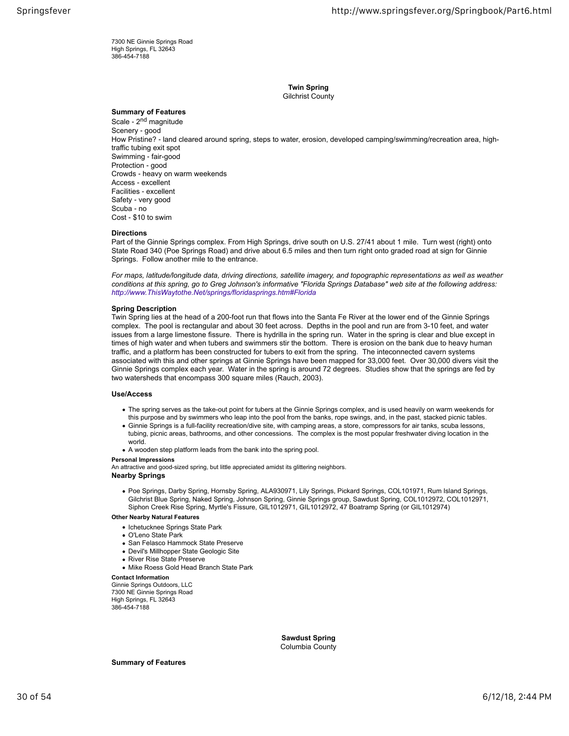7300 NE Ginnie Springs Road High Springs, FL 32643 386-454-7188

> **Twin Spring** Gilchrist County

## **Summary of Features**

Scale - 2<sup>nd</sup> magnitude Scenery - good How Pristine? ‐ land cleared around spring, steps to water, erosion, developed camping/swimming/recreation area, hightraffic tubing exit spot Swimming ‐ fair-good Protection ‐ good Crowds ‐ heavy on warm weekends Access ‐ excellent Facilities ‐ excellent Safety ‐ very good Scuba ‐ no Cost ‐ \$10 to swim

## **Directions**

Part of the Ginnie Springs complex. From High Springs, drive south on U.S. 27/41 about 1 mile. Turn west (right) onto State Road 340 (Poe Springs Road) and drive about 6.5 miles and then turn right onto graded road at sign for Ginnie Springs. Follow another mile to the entrance.

*For maps, latitude/longitude data, driving directions, satellite imagery, and topographic representations as well as weather conditions at this spring, go to Greg Johnson's informative "Florida Springs Database" web site at the following address: http://www.ThisWaytothe.Net/springs/floridasprings.htm#Florida*

#### **Spring Description**

Twin Spring lies at the head of a 200-foot run that flows into the Santa Fe River at the lower end of the Ginnie Springs complex. The pool is rectangular and about 30 feet across. Depths in the pool and run are from 3-10 feet, and water issues from a large limestone fissure. There is hydrilla in the spring run. Water in the spring is clear and blue except in times of high water and when tubers and swimmers stir the bottom. There is erosion on the bank due to heavy human traffic, and a platform has been constructed for tubers to exit from the spring. The inteconnected cavern systems associated with this and other springs at Ginnie Springs have been mapped for 33,000 feet. Over 30,000 divers visit the Ginnie Springs complex each year. Water in the spring is around 72 degrees. Studies show that the springs are fed by two watersheds that encompass 300 square miles (Rauch, 2003).

#### **Use/Access**

- The spring serves as the take-out point for tubers at the Ginnie Springs complex, and is used heavily on warm weekends for this purpose and by swimmers who leap into the pool from the banks, rope swings, and, in the past, stacked picnic tables.
- Ginnie Springs is a full-facility recreation/dive site, with camping areas, a store, compressors for air tanks, scuba lessons, tubing, picnic areas, bathrooms, and other concessions. The complex is the most popular freshwater diving location in the world.
- A wooden step platform leads from the bank into the spring pool.

#### **Personal Impressions**

An attractive and good-sized spring, but little appreciated amidst its glittering neighbors. **Nearby Springs**

Poe Springs, Darby Spring, Hornsby Spring, ALA930971, Lily Springs, Pickard Springs, COL101971, Rum Island Springs, Gilchrist Blue Spring, Naked Spring, Johnson Spring, Ginnie Springs group, Sawdust Spring, COL1012972, COL1012971, Siphon Creek Rise Spring, Myrtle's Fissure, GIL1012971, GIL1012972, 47 Boatramp Spring (or GIL1012974)

#### **Other Nearby Natural Features**

- Ichetucknee Springs State Park
- O'Leno State Park
- San Felasco Hammock State Preserve
- Devil's Millhopper State Geologic Site
- River Rise State Preserve
- Mike Roess Gold Head Branch State Park

## **Contact Information**

Ginnie Springs Outdoors, LLC 7300 NE Ginnie Springs Road High Springs, FL 32643 386-454-7188

> **Sawdust Spring** Columbia County

**Summary of Features**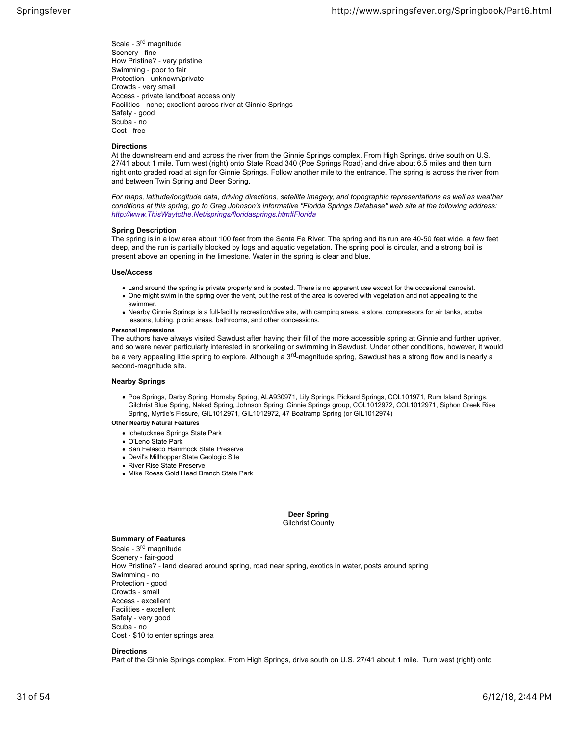Scale ‐ 3rd magnitude Scenery ‐ fine How Pristine? ‐ very pristine Swimming ‐ poor to fair Protection ‐ unknown/private Crowds ‐ very small Access ‐ private land/boat access only Facilities ‐ none; excellent across river at Ginnie Springs Safety ‐ good Scuba ‐ no Cost ‐ free

## **Directions**

At the downstream end and across the river from the Ginnie Springs complex. From High Springs, drive south on U.S. 27/41 about 1 mile. Turn west (right) onto State Road 340 (Poe Springs Road) and drive about 6.5 miles and then turn right onto graded road at sign for Ginnie Springs. Follow another mile to the entrance. The spring is across the river from and between Twin Spring and Deer Spring.

*For maps, latitude/longitude data, driving directions, satellite imagery, and topographic representations as well as weather conditions at this spring, go to Greg Johnson's informative "Florida Springs Database" web site at the following address: http://www.ThisWaytothe.Net/springs/floridasprings.htm#Florida*

## **Spring Description**

The spring is in a low area about 100 feet from the Santa Fe River. The spring and its run are 40-50 feet wide, a few feet deep, and the run is partially blocked by logs and aquatic vegetation. The spring pool is circular, and a strong boil is present above an opening in the limestone. Water in the spring is clear and blue.

## **Use/Access**

- Land around the spring is private property and is posted. There is no apparent use except for the occasional canoeist.
- One might swim in the spring over the vent, but the rest of the area is covered with vegetation and not appealing to the swimmer.
- Nearby Ginnie Springs is a full-facility recreation/dive site, with camping areas, a store, compressors for air tanks, scuba lessons, tubing, picnic areas, bathrooms, and other concessions.

## **Personal Impressions**

The authors have always visited Sawdust after having their fill of the more accessible spring at Ginnie and further upriver, and so were never particularly interested in snorkeling or swimming in Sawdust. Under other conditions, however, it would be a very appealing little spring to explore. Although a 3<sup>rd</sup>-magnitude spring, Sawdust has a strong flow and is nearly a second-magnitude site.

## **Nearby Springs**

Poe Springs, Darby Spring, Hornsby Spring, ALA930971, Lily Springs, Pickard Springs, COL101971, Rum Island Springs, Gilchrist Blue Spring, Naked Spring, Johnson Spring, Ginnie Springs group, COL1012972, COL1012971, Siphon Creek Rise Spring, Myrtle's Fissure, GIL1012971, GIL1012972, 47 Boatramp Spring (or GIL1012974)

## **Other Nearby Natural Features**

- Ichetucknee Springs State Park
- O'Leno State Park
- San Felasco Hammock State Preserve
- Devil's Millhopper State Geologic Site
- River Rise State Preserve
- Mike Roess Gold Head Branch State Park

**Deer Spring** Gilchrist County

## **Summary of Features**

Scale - 3<sup>rd</sup> magnitude Scenery ‐ fair-good How Pristine? ‐ land cleared around spring, road near spring, exotics in water, posts around spring Swimming ‐ no Protection ‐ good Crowds ‐ small Access ‐ excellent Facilities ‐ excellent Safety ‐ very good Scuba ‐ no Cost ‐ \$10 to enter springs area

## **Directions**

Part of the Ginnie Springs complex. From High Springs, drive south on U.S. 27/41 about 1 mile. Turn west (right) onto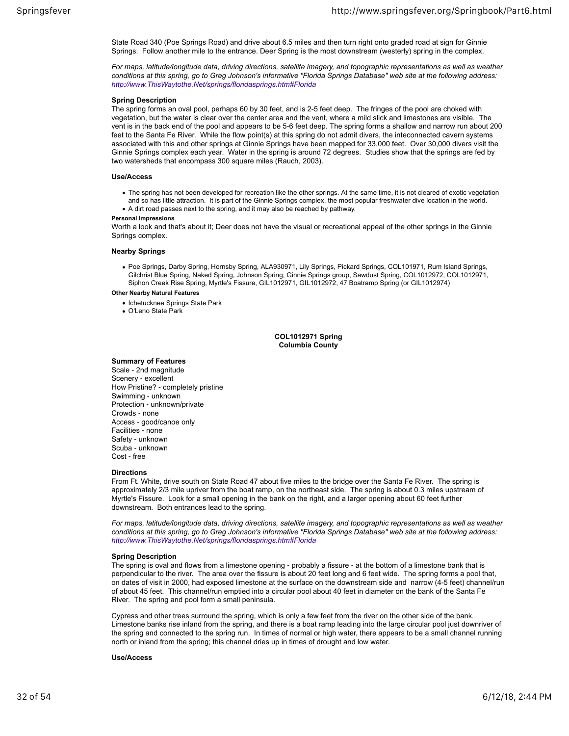State Road 340 (Poe Springs Road) and drive about 6.5 miles and then turn right onto graded road at sign for Ginnie Springs. Follow another mile to the entrance. Deer Spring is the most downstream (westerly) spring in the complex.

*For maps, latitude/longitude data, driving directions, satellite imagery, and topographic representations as well as weather conditions at this spring, go to Greg Johnson's informative "Florida Springs Database" web site at the following address: http://www.ThisWaytothe.Net/springs/floridasprings.htm#Florida*

## **Spring Description**

The spring forms an oval pool, perhaps 60 by 30 feet, and is 2-5 feet deep. The fringes of the pool are choked with vegetation, but the water is clear over the center area and the vent, where a mild slick and limestones are visible. The vent is in the back end of the pool and appears to be 5-6 feet deep. The spring forms a shallow and narrow run about 200 feet to the Santa Fe River. While the flow point(s) at this spring do not admit divers, the inteconnected cavern systems associated with this and other springs at Ginnie Springs have been mapped for 33,000 feet. Over 30,000 divers visit the Ginnie Springs complex each year. Water in the spring is around 72 degrees. Studies show that the springs are fed by two watersheds that encompass 300 square miles (Rauch, 2003).

#### **Use/Access**

- The spring has not been developed for recreation like the other springs. At the same time, it is not cleared of exotic vegetation and so has little attraction. It is part of the Ginnie Springs complex, the most popular freshwater dive location in the world.
- A dirt road passes next to the spring, and it may also be reached by pathway.

#### **Personal Impressions**

Worth a look and that's about it; Deer does not have the visual or recreational appeal of the other springs in the Ginnie Springs complex.

#### **Nearby Springs**

Poe Springs, Darby Spring, Hornsby Spring, ALA930971, Lily Springs, Pickard Springs, COL101971, Rum Island Springs, Gilchrist Blue Spring, Naked Spring, Johnson Spring, Ginnie Springs group, Sawdust Spring, COL1012972, COL1012971, Siphon Creek Rise Spring, Myrtle's Fissure, GIL1012971, GIL1012972, 47 Boatramp Spring (or GIL1012974)

## **Other Nearby Natural Features**

- Ichetucknee Springs State Park
- O'Leno State Park

**COL1012971 Spring Columbia County**

#### **Summary of Features**

Scale ‐ 2nd magnitude Scenery ‐ excellent How Pristine? ‐ completely pristine Swimming ‐ unknown Protection ‐ unknown/private Crowds ‐ none Access ‐ good/canoe only Facilities ‐ none Safety ‐ unknown Scuba ‐ unknown Cost ‐ free

#### **Directions**

From Ft. White, drive south on State Road 47 about five miles to the bridge over the Santa Fe River. The spring is approximately 2/3 mile upriver from the boat ramp, on the northeast side. The spring is about 0.3 miles upstream of Myrtle's Fissure. Look for a small opening in the bank on the right, and a larger opening about 60 feet further downstream. Both entrances lead to the spring.

*For maps, latitude/longitude data, driving directions, satellite imagery, and topographic representations as well as weather conditions at this spring, go to Greg Johnson's informative "Florida Springs Database" web site at the following address: http://www.ThisWaytothe.Net/springs/floridasprings.htm#Florida*

## **Spring Description**

The spring is oval and flows from a limestone opening ‐ probably a fissure ‐ at the bottom of a limestone bank that is perpendicular to the river. The area over the fissure is about 20 feet long and 6 feet wide. The spring forms a pool that, on dates of visit in 2000, had exposed limestone at the surface on the downstream side and narrow (4-5 feet) channel/run of about 45 feet. This channel/run emptied into a circular pool about 40 feet in diameter on the bank of the Santa Fe River. The spring and pool form a small peninsula.

Cypress and other trees surround the spring, which is only a few feet from the river on the other side of the bank. Limestone banks rise inland from the spring, and there is a boat ramp leading into the large circular pool just downriver of the spring and connected to the spring run. In times of normal or high water, there appears to be a small channel running north or inland from the spring; this channel dries up in times of drought and low water.

## **Use/Access**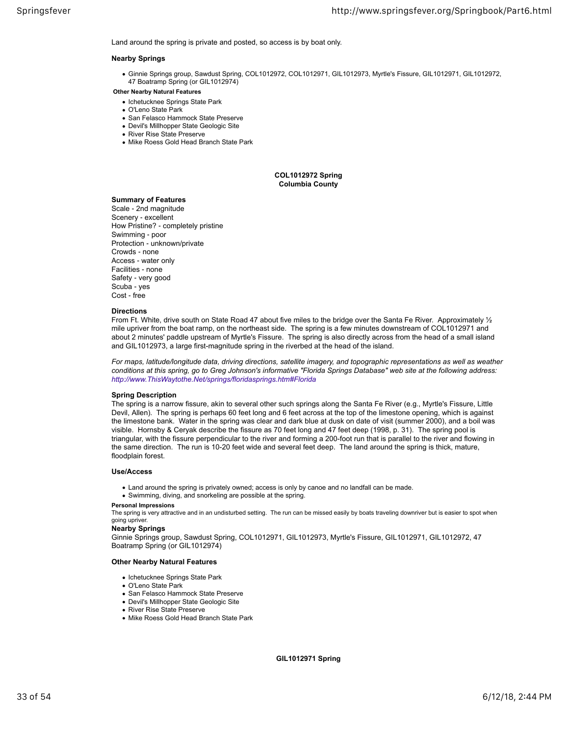Land around the spring is private and posted, so access is by boat only.

#### **Nearby Springs**

- Ginnie Springs group, Sawdust Spring, COL1012972, COL1012971, GIL1012973, Myrtle's Fissure, GIL1012971, GIL1012972, 47 Boatramp Spring (or GIL1012974)
- **Other Nearby Natural Features**
	- Ichetucknee Springs State Park
	- O'Leno State Park
	- San Felasco Hammock State Preserve
	- Devil's Millhopper State Geologic Site
	- River Rise State Preserve
	- Mike Roess Gold Head Branch State Park

**COL1012972 Spring Columbia County**

## **Summary of Features**

Scale ‐ 2nd magnitude Scenery ‐ excellent How Pristine? ‐ completely pristine Swimming ‐ poor Protection ‐ unknown/private Crowds ‐ none Access ‐ water only Facilities ‐ none Safety ‐ very good Scuba ‐ yes Cost ‐ free

#### **Directions**

From Ft. White, drive south on State Road 47 about five miles to the bridge over the Santa Fe River. Approximately 1/2 mile upriver from the boat ramp, on the northeast side. The spring is a few minutes downstream of COL1012971 and about 2 minutes' paddle upstream of Myrtle's Fissure. The spring is also directly across from the head of a small island and GIL1012973, a large first-magnitude spring in the riverbed at the head of the island.

*For maps, latitude/longitude data, driving directions, satellite imagery, and topographic representations as well as weather conditions at this spring, go to Greg Johnson's informative "Florida Springs Database" web site at the following address: http://www.ThisWaytothe.Net/springs/floridasprings.htm#Florida*

#### **Spring Description**

The spring is a narrow fissure, akin to several other such springs along the Santa Fe River (e.g., Myrtle's Fissure, Little Devil, Allen). The spring is perhaps 60 feet long and 6 feet across at the top of the limestone opening, which is against the limestone bank. Water in the spring was clear and dark blue at dusk on date of visit (summer 2000), and a boil was visible. Hornsby & Ceryak describe the fissure as 70 feet long and 47 feet deep (1998, p. 31). The spring pool is triangular, with the fissure perpendicular to the river and forming a 200-foot run that is parallel to the river and flowing in the same direction. The run is 10-20 feet wide and several feet deep. The land around the spring is thick, mature, floodplain forest.

#### **Use/Access**

- Land around the spring is privately owned; access is only by canoe and no landfall can be made.
- Swimming, diving, and snorkeling are possible at the spring.

## **Personal Impressions**

The spring is very attractive and in an undisturbed setting. The run can be missed easily by boats traveling downriver but is easier to spot when going upriver.

## **Nearby Springs**

Ginnie Springs group, Sawdust Spring, COL1012971, GIL1012973, Myrtle's Fissure, GIL1012971, GIL1012972, 47 Boatramp Spring (or GIL1012974)

#### **Other Nearby Natural Features**

- Ichetucknee Springs State Park
- O'Leno State Park
- San Felasco Hammock State Preserve
- Devil's Millhopper State Geologic Site
- River Rise State Preserve
- Mike Roess Gold Head Branch State Park

**GIL1012971 Spring**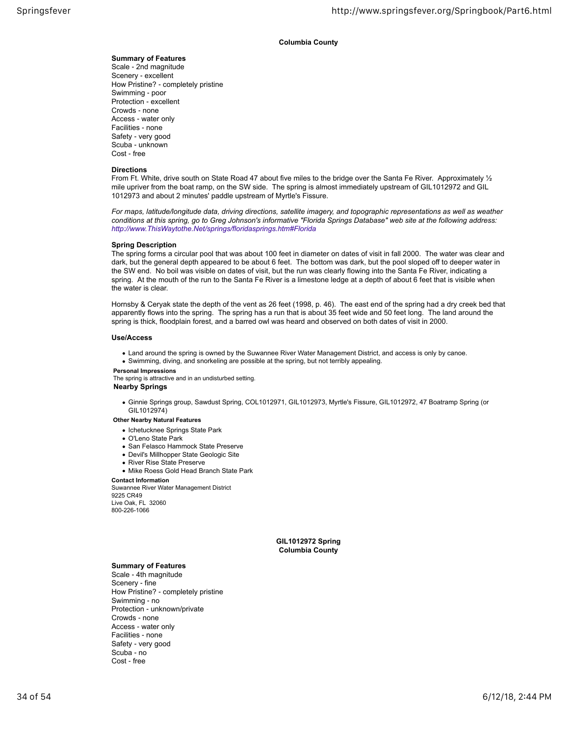## **Columbia County**

## **Summary of Features**

Scale ‐ 2nd magnitude Scenery ‐ excellent How Pristine? ‐ completely pristine Swimming ‐ poor Protection ‐ excellent Crowds ‐ none Access ‐ water only Facilities ‐ none Safety ‐ very good Scuba ‐ unknown Cost ‐ free

#### **Directions**

From Ft. White, drive south on State Road 47 about five miles to the bridge over the Santa Fe River. Approximately 1/2 mile upriver from the boat ramp, on the SW side. The spring is almost immediately upstream of GIL1012972 and GIL 1012973 and about 2 minutes' paddle upstream of Myrtle's Fissure.

*For maps, latitude/longitude data, driving directions, satellite imagery, and topographic representations as well as weather conditions at this spring, go to Greg Johnson's informative "Florida Springs Database" web site at the following address: http://www.ThisWaytothe.Net/springs/floridasprings.htm#Florida*

#### **Spring Description**

The spring forms a circular pool that was about 100 feet in diameter on dates of visit in fall 2000. The water was clear and dark, but the general depth appeared to be about 6 feet. The bottom was dark, but the pool sloped off to deeper water in the SW end. No boil was visible on dates of visit, but the run was clearly flowing into the Santa Fe River, indicating a spring. At the mouth of the run to the Santa Fe River is a limestone ledge at a depth of about 6 feet that is visible when the water is clear.

Hornsby & Ceryak state the depth of the vent as 26 feet (1998, p. 46). The east end of the spring had a dry creek bed that apparently flows into the spring. The spring has a run that is about 35 feet wide and 50 feet long. The land around the spring is thick, floodplain forest, and a barred owl was heard and observed on both dates of visit in 2000.

#### **Use/Access**

- Land around the spring is owned by the Suwannee River Water Management District, and access is only by canoe.
- Swimming, diving, and snorkeling are possible at the spring, but not terribly appealing.

#### **Personal Impressions**

The spring is attractive and in an undisturbed setting.

## **Nearby Springs**

Ginnie Springs group, Sawdust Spring, COL1012971, GIL1012973, Myrtle's Fissure, GIL1012972, 47 Boatramp Spring (or GIL1012974)

## **Other Nearby Natural Features**

- Ichetucknee Springs State Park
- O'Leno State Park
- San Felasco Hammock State Preserve
- Devil's Millhopper State Geologic Site
- River Rise State Preserve
- Mike Roess Gold Head Branch State Park

## **Contact Information**

Suwannee River Water Management District 9225 CR49 Live Oak, FL 32060 800-226-1066

> **GIL1012972 Spring Columbia County**

## **Summary of Features**

Scale ‐ 4th magnitude Scenery ‐ fine How Pristine? ‐ completely pristine Swimming ‐ no Protection ‐ unknown/private Crowds ‐ none Access ‐ water only Facilities ‐ none Safety ‐ very good Scuba ‐ no Cost ‐ free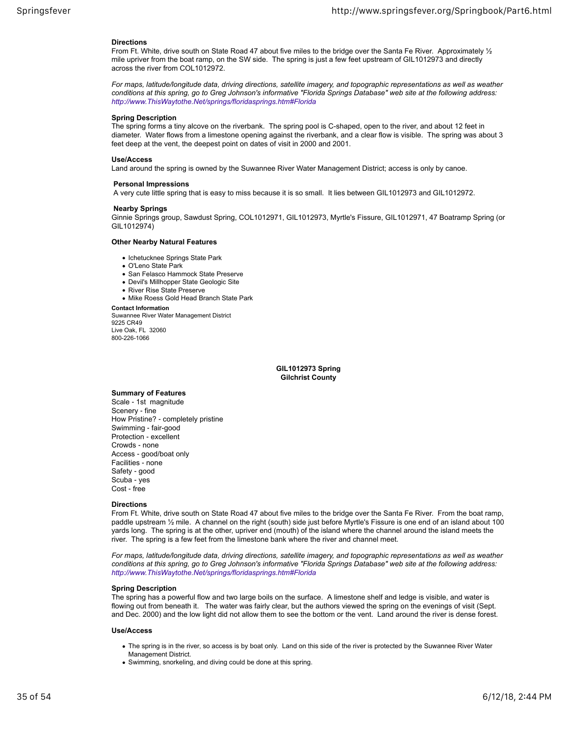#### **Directions**

From Ft. White, drive south on State Road 47 about five miles to the bridge over the Santa Fe River. Approximately 1/2 mile upriver from the boat ramp, on the SW side. The spring is just a few feet upstream of GIL1012973 and directly across the river from COL1012972.

*For maps, latitude/longitude data, driving directions, satellite imagery, and topographic representations as well as weather conditions at this spring, go to Greg Johnson's informative "Florida Springs Database" web site at the following address: http://www.ThisWaytothe.Net/springs/floridasprings.htm#Florida*

#### **Spring Description**

The spring forms a tiny alcove on the riverbank. The spring pool is C-shaped, open to the river, and about 12 feet in diameter. Water flows from a limestone opening against the riverbank, and a clear flow is visible. The spring was about 3 feet deep at the vent, the deepest point on dates of visit in 2000 and 2001.

#### **Use/Access**

Land around the spring is owned by the Suwannee River Water Management District; access is only by canoe.

## **Personal Impressions**

A very cute little spring that is easy to miss because it is so small. It lies between GIL1012973 and GIL1012972.

#### **Nearby Springs**

Ginnie Springs group, Sawdust Spring, COL1012971, GIL1012973, Myrtle's Fissure, GIL1012971, 47 Boatramp Spring (or GIL1012974)

#### **Other Nearby Natural Features**

- Ichetucknee Springs State Park
- O'Leno State Park
- San Felasco Hammock State Preserve
- Devil's Millhopper State Geologic Site
- River Rise State Preserve
- Mike Roess Gold Head Branch State Park

**Contact Information**

Suwannee River Water Management District 9225 CR49 Live Oak, FL 32060 800-226-1066

> **GIL1012973 Spring Gilchrist County**

## **Summary of Features**

Scale ‐ 1st magnitude Scenery ‐ fine How Pristine? ‐ completely pristine Swimming ‐ fair-good Protection ‐ excellent Crowds ‐ none Access ‐ good/boat only Facilities ‐ none Safety ‐ good Scuba ‐ yes Cost ‐ free

#### **Directions**

From Ft. White, drive south on State Road 47 about five miles to the bridge over the Santa Fe River. From the boat ramp, paddle upstream ½ mile. A channel on the right (south) side just before Myrtle's Fissure is one end of an island about 100 yards long. The spring is at the other, upriver end (mouth) of the island where the channel around the island meets the river. The spring is a few feet from the limestone bank where the river and channel meet.

*For maps, latitude/longitude data, driving directions, satellite imagery, and topographic representations as well as weather conditions at this spring, go to Greg Johnson's informative "Florida Springs Database" web site at the following address: http://www.ThisWaytothe.Net/springs/floridasprings.htm#Florida*

## **Spring Description**

The spring has a powerful flow and two large boils on the surface. A limestone shelf and ledge is visible, and water is flowing out from beneath it. The water was fairly clear, but the authors viewed the spring on the evenings of visit (Sept. and Dec. 2000) and the low light did not allow them to see the bottom or the vent. Land around the river is dense forest.

#### **Use/Access**

- The spring is in the river, so access is by boat only. Land on this side of the river is protected by the Suwannee River Water Management District.
- Swimming, snorkeling, and diving could be done at this spring.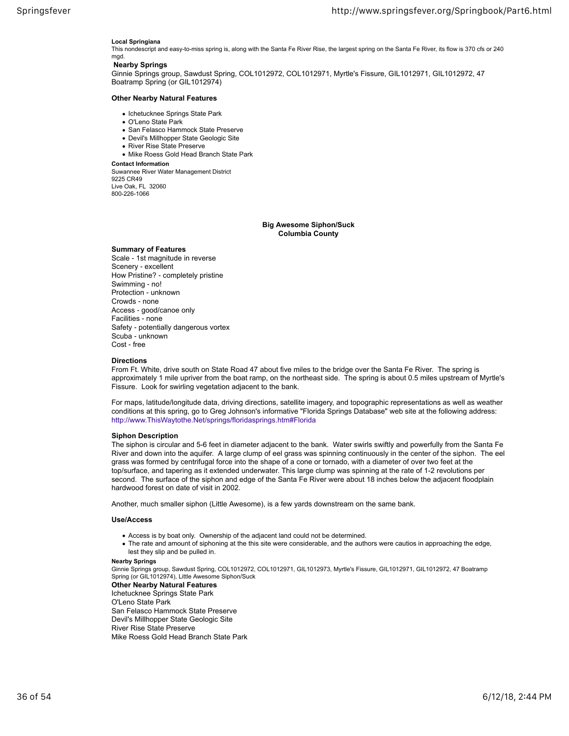#### **Local Springiana**

This nondescript and easy-to-miss spring is, along with the Santa Fe River Rise, the largest spring on the Santa Fe River, its flow is 370 cfs or 240 mgd.

## **Nearby Springs**

Ginnie Springs group, Sawdust Spring, COL1012972, COL1012971, Myrtle's Fissure, GIL1012971, GIL1012972, 47 Boatramp Spring (or GIL1012974)

#### **Other Nearby Natural Features**

- Ichetucknee Springs State Park
- O'Leno State Park
- San Felasco Hammock State Preserve
- Devil's Millhopper State Geologic Site
- River Rise State Preserve
- Mike Roess Gold Head Branch State Park

**Contact Information**

Suwannee River Water Management District 9225 CR49 Live Oak, FL 32060 800-226-1066

## **Big Awesome Siphon/Suck Columbia County**

## **Summary of Features**

Scale ‐ 1st magnitude in reverse Scenery ‐ excellent How Pristine? ‐ completely pristine Swimming ‐ no! Protection ‐ unknown Crowds ‐ none Access ‐ good/canoe only Facilities ‐ none Safety ‐ potentially dangerous vortex Scuba ‐ unknown Cost ‐ free

#### **Directions**

From Ft. White, drive south on State Road 47 about five miles to the bridge over the Santa Fe River. The spring is approximately 1 mile upriver from the boat ramp, on the northeast side. The spring is about 0.5 miles upstream of Myrtle's Fissure. Look for swirling vegetation adjacent to the bank.

For maps, latitude/longitude data, driving directions, satellite imagery, and topographic representations as well as weather conditions at this spring, go to Greg Johnson's informative "Florida Springs Database" web site at the following address: http://www.ThisWaytothe.Net/springs/floridasprings.htm#Florida

## **Siphon Description**

The siphon is circular and 5-6 feet in diameter adjacent to the bank. Water swirls swiftly and powerfully from the Santa Fe River and down into the aquifer. A large clump of eel grass was spinning continuously in the center of the siphon. The eel grass was formed by centrifugal force into the shape of a cone or tornado, with a diameter of over two feet at the top/surface, and tapering as it extended underwater. This large clump was spinning at the rate of 1-2 revolutions per second. The surface of the siphon and edge of the Santa Fe River were about 18 inches below the adjacent floodplain hardwood forest on date of visit in 2002.

Another, much smaller siphon (Little Awesome), is a few yards downstream on the same bank.

#### **Use/Access**

- Access is by boat only. Ownership of the adjacent land could not be determined.
- The rate and amount of siphoning at the this site were considerable, and the authors were cautios in approaching the edge, lest they slip and be pulled in.

#### **Nearby Springs**

Ginnie Springs group, Sawdust Spring, COL1012972, COL1012971, GIL1012973, Myrtle's Fissure, GIL1012971, GIL1012972, 47 Boatramp Spring (or GIL1012974), Little Awesome Siphon/Suck

**Other Nearby Natural Features** Ichetucknee Springs State Park

O'Leno State Park

San Felasco Hammock State Preserve

- Devil's Millhopper State Geologic Site
- River Rise State Preserve

Mike Roess Gold Head Branch State Park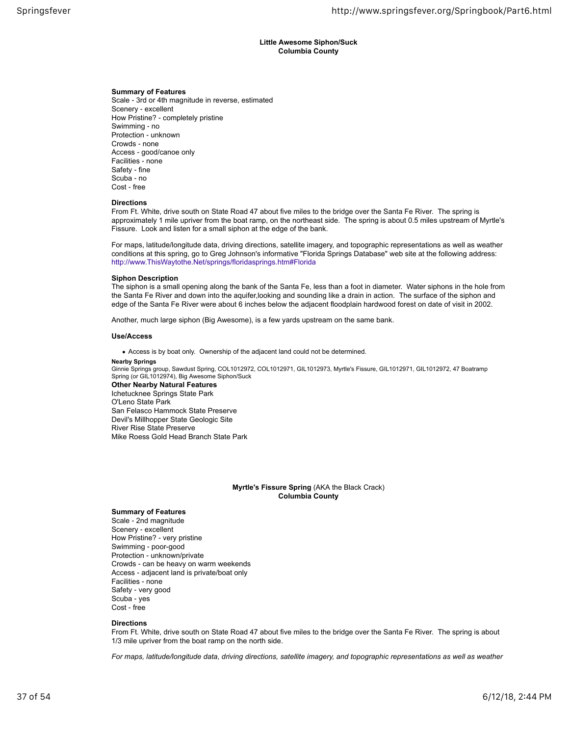## **Little Awesome Siphon/Suck Columbia County**

## **Summary of Features**

Scale ‐ 3rd or 4th magnitude in reverse, estimated Scenery ‐ excellent How Pristine? ‐ completely pristine Swimming ‐ no Protection ‐ unknown Crowds ‐ none Access ‐ good/canoe only Facilities ‐ none Safety ‐ fine Scuba ‐ no Cost ‐ free

#### **Directions**

From Ft. White, drive south on State Road 47 about five miles to the bridge over the Santa Fe River. The spring is approximately 1 mile upriver from the boat ramp, on the northeast side. The spring is about 0.5 miles upstream of Myrtle's Fissure. Look and listen for a small siphon at the edge of the bank.

For maps, latitude/longitude data, driving directions, satellite imagery, and topographic representations as well as weather conditions at this spring, go to Greg Johnson's informative "Florida Springs Database" web site at the following address: http://www.ThisWaytothe.Net/springs/floridasprings.htm#Florida

#### **Siphon Description**

The siphon is a small opening along the bank of the Santa Fe, less than a foot in diameter. Water siphons in the hole from the Santa Fe River and down into the aquifer,looking and sounding like a drain in action. The surface of the siphon and edge of the Santa Fe River were about 6 inches below the adjacent floodplain hardwood forest on date of visit in 2002.

Another, much large siphon (Big Awesome), is a few yards upstream on the same bank.

## **Use/Access**

Access is by boat only. Ownership of the adjacent land could not be determined.

#### **Nearby Springs**

Ginnie Springs group, Sawdust Spring, COL1012972, COL1012971, GIL1012973, Myrtle's Fissure, GIL1012971, GIL1012972, 47 Boatramp Spring (or GIL1012974), Big Awesome Siphon/Suck

**Other Nearby Natural Features** Ichetucknee Springs State Park O'Leno State Park San Felasco Hammock State Preserve Devil's Millhopper State Geologic Site River Rise State Preserve Mike Roess Gold Head Branch State Park

## **Myrtle's Fissure Spring** (AKA the Black Crack) **Columbia County**

## **Summary of Features**

Scale ‐ 2nd magnitude Scenery ‐ excellent How Pristine? ‐ very pristine Swimming ‐ poor-good Protection ‐ unknown/private Crowds ‐ can be heavy on warm weekends Access ‐ adjacent land is private/boat only Facilities ‐ none Safety ‐ very good Scuba ‐ yes Cost ‐ free

#### **Directions**

From Ft. White, drive south on State Road 47 about five miles to the bridge over the Santa Fe River. The spring is about 1/3 mile upriver from the boat ramp on the north side.

*For maps, latitude/longitude data, driving directions, satellite imagery, and topographic representations as well as weather*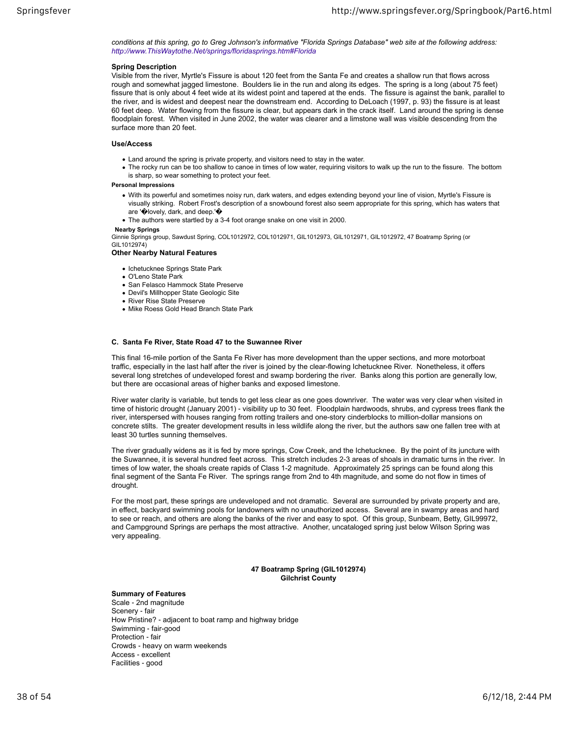*conditions at this spring, go to Greg Johnson's informative "Florida Springs Database" web site at the following address: http://www.ThisWaytothe.Net/springs/floridasprings.htm#Florida*

## **Spring Description**

Visible from the river, Myrtle's Fissure is about 120 feet from the Santa Fe and creates a shallow run that flows across rough and somewhat jagged limestone. Boulders lie in the run and along its edges. The spring is a long (about 75 feet) fissure that is only about 4 feet wide at its widest point and tapered at the ends. The fissure is against the bank, parallel to the river, and is widest and deepest near the downstream end. According to DeLoach (1997, p. 93) the fissure is at least 60 feet deep. Water flowing from the fissure is clear, but appears dark in the crack itself. Land around the spring is dense floodplain forest. When visited in June 2002, the water was clearer and a limstone wall was visible descending from the surface more than 20 feet.

## **Use/Access**

- Land around the spring is private property, and visitors need to stay in the water.
- The rocky run can be too shallow to canoe in times of low water, requiring visitors to walk up the run to the fissure. The bottom is sharp, so wear something to protect your feet.

## **Personal Impressions**

- With its powerful and sometimes noisy run, dark waters, and edges extending beyond your line of vision, Myrtle's Fissure is visually striking. Robert Frost's description of a snowbound forest also seem appropriate for this spring, which has waters that are '�lovely, dark, and deep.'�
- The authors were startled by a 3-4 foot orange snake on one visit in 2000.

#### **Nearby Springs**

Ginnie Springs group, Sawdust Spring, COL1012972, COL1012971, GIL1012973, GIL1012971, GIL1012972, 47 Boatramp Spring (or GIL1012974)

#### **Other Nearby Natural Features**

- Ichetucknee Springs State Park
- O'Leno State Park
- San Felasco Hammock State Preserve
- Devil's Millhopper State Geologic Site
- River Rise State Preserve
- Mike Roess Gold Head Branch State Park

## **C. Santa Fe River, State Road 47 to the Suwannee River**

This final 16-mile portion of the Santa Fe River has more development than the upper sections, and more motorboat traffic, especially in the last half after the river is joined by the clear-flowing Ichetucknee River. Nonetheless, it offers several long stretches of undeveloped forest and swamp bordering the river. Banks along this portion are generally low, but there are occasional areas of higher banks and exposed limestone.

River water clarity is variable, but tends to get less clear as one goes downriver. The water was very clear when visited in time of historic drought (January 2001) ‐ visibility up to 30 feet. Floodplain hardwoods, shrubs, and cypress trees flank the river, interspersed with houses ranging from rotting trailers and one-story cinderblocks to million-dollar mansions on concrete stilts. The greater development results in less wildlife along the river, but the authors saw one fallen tree with at least 30 turtles sunning themselves.

The river gradually widens as it is fed by more springs, Cow Creek, and the Ichetucknee. By the point of its juncture with the Suwannee, it is several hundred feet across. This stretch includes 2-3 areas of shoals in dramatic turns in the river. In times of low water, the shoals create rapids of Class 1-2 magnitude. Approximately 25 springs can be found along this final segment of the Santa Fe River. The springs range from 2nd to 4th magnitude, and some do not flow in times of drought.

For the most part, these springs are undeveloped and not dramatic. Several are surrounded by private property and are, in effect, backyard swimming pools for landowners with no unauthorized access. Several are in swampy areas and hard to see or reach, and others are along the banks of the river and easy to spot. Of this group, Sunbeam, Betty, GIL99972, and Campground Springs are perhaps the most attractive. Another, uncataloged spring just below Wilson Spring was very appealing.

## **47 Boatramp Spring (GIL1012974) Gilchrist County**

#### **Summary of Features**

Scale ‐ 2nd magnitude Scenery ‐ fair How Pristine? ‐ adjacent to boat ramp and highway bridge Swimming ‐ fair-good Protection ‐ fair Crowds ‐ heavy on warm weekends Access ‐ excellent Facilities ‐ good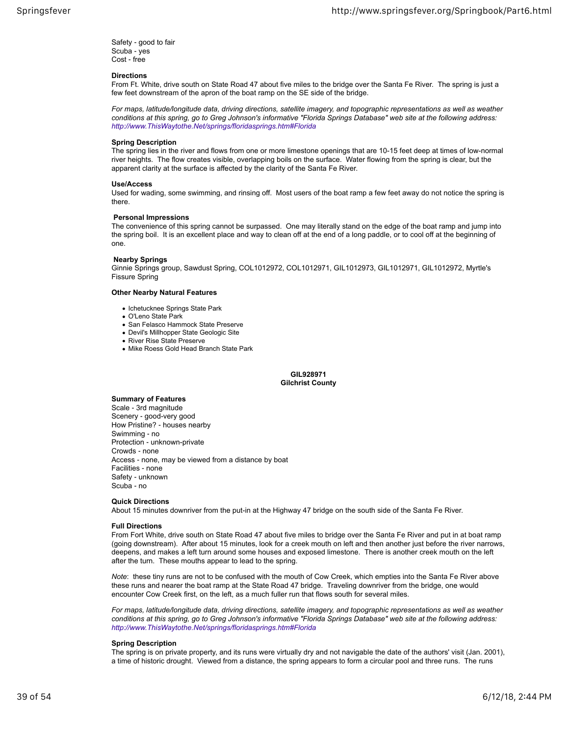Safety ‐ good to fair Scuba ‐ yes Cost ‐ free

#### **Directions**

From Ft. White, drive south on State Road 47 about five miles to the bridge over the Santa Fe River. The spring is just a few feet downstream of the apron of the boat ramp on the SE side of the bridge.

*For maps, latitude/longitude data, driving directions, satellite imagery, and topographic representations as well as weather conditions at this spring, go to Greg Johnson's informative "Florida Springs Database" web site at the following address: http://www.ThisWaytothe.Net/springs/floridasprings.htm#Florida*

## **Spring Description**

The spring lies in the river and flows from one or more limestone openings that are 10-15 feet deep at times of low-normal river heights. The flow creates visible, overlapping boils on the surface. Water flowing from the spring is clear, but the apparent clarity at the surface is affected by the clarity of the Santa Fe River.

#### **Use/Access**

Used for wading, some swimming, and rinsing off. Most users of the boat ramp a few feet away do not notice the spring is there.

#### **Personal Impressions**

The convenience of this spring cannot be surpassed. One may literally stand on the edge of the boat ramp and jump into the spring boil. It is an excellent place and way to clean off at the end of a long paddle, or to cool off at the beginning of one.

#### **Nearby Springs**

Ginnie Springs group, Sawdust Spring, COL1012972, COL1012971, GIL1012973, GIL1012971, GIL1012972, Myrtle's Fissure Spring

#### **Other Nearby Natural Features**

- Ichetucknee Springs State Park
- O'Leno State Park
- San Felasco Hammock State Preserve
- Devil's Millhopper State Geologic Site
- River Rise State Preserve
- Mike Roess Gold Head Branch State Park

#### **GIL928971 Gilchrist County**

#### **Summary of Features**

Scale ‐ 3rd magnitude Scenery ‐ good-very good How Pristine? ‐ houses nearby Swimming ‐ no Protection ‐ unknown-private Crowds ‐ none Access ‐ none, may be viewed from a distance by boat Facilities ‐ none Safety ‐ unknown Scuba ‐ no

## **Quick Directions**

About 15 minutes downriver from the put-in at the Highway 47 bridge on the south side of the Santa Fe River.

## **Full Directions**

From Fort White, drive south on State Road 47 about five miles to bridge over the Santa Fe River and put in at boat ramp (going downstream). After about 15 minutes, look for a creek mouth on left and then another just before the river narrows, deepens, and makes a left turn around some houses and exposed limestone. There is another creek mouth on the left after the turn. These mouths appear to lead to the spring.

*Note*: these tiny runs are not to be confused with the mouth of Cow Creek, which empties into the Santa Fe River above these runs and nearer the boat ramp at the State Road 47 bridge. Traveling downriver from the bridge, one would encounter Cow Creek first, on the left, as a much fuller run that flows south for several miles.

*For maps, latitude/longitude data, driving directions, satellite imagery, and topographic representations as well as weather conditions at this spring, go to Greg Johnson's informative "Florida Springs Database" web site at the following address: http://www.ThisWaytothe.Net/springs/floridasprings.htm#Florida*

#### **Spring Description**

The spring is on private property, and its runs were virtually dry and not navigable the date of the authors' visit (Jan. 2001), a time of historic drought. Viewed from a distance, the spring appears to form a circular pool and three runs. The runs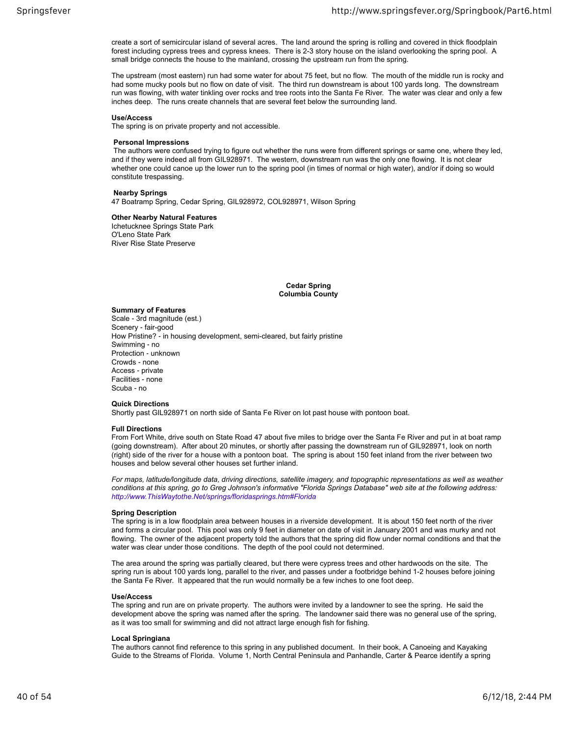create a sort of semicircular island of several acres. The land around the spring is rolling and covered in thick floodplain forest including cypress trees and cypress knees. There is 2-3 story house on the island overlooking the spring pool. A small bridge connects the house to the mainland, crossing the upstream run from the spring.

The upstream (most eastern) run had some water for about 75 feet, but no flow. The mouth of the middle run is rocky and had some mucky pools but no flow on date of visit. The third run downstream is about 100 yards long. The downstream run was flowing, with water tinkling over rocks and tree roots into the Santa Fe River. The water was clear and only a few inches deep. The runs create channels that are several feet below the surrounding land.

#### **Use/Access**

The spring is on private property and not accessible.

#### **Personal Impressions**

 The authors were confused trying to figure out whether the runs were from different springs or same one, where they led, and if they were indeed all from GIL928971. The western, downstream run was the only one flowing. It is not clear whether one could canoe up the lower run to the spring pool (in times of normal or high water), and/or if doing so would constitute trespassing.

## **Nearby Springs**

47 Boatramp Spring, Cedar Spring, GIL928972, COL928971, Wilson Spring

## **Other Nearby Natural Features**

Ichetucknee Springs State Park O'Leno State Park River Rise State Preserve

> **Cedar Spring Columbia County**

## **Summary of Features**

Scale ‐ 3rd magnitude (est.) Scenery ‐ fair-good How Pristine? ‐ in housing development, semi-cleared, but fairly pristine Swimming ‐ no Protection ‐ unknown Crowds ‐ none Access ‐ private Facilities ‐ none Scuba ‐ no

## **Quick Directions**

Shortly past GIL928971 on north side of Santa Fe River on lot past house with pontoon boat.

#### **Full Directions**

From Fort White, drive south on State Road 47 about five miles to bridge over the Santa Fe River and put in at boat ramp (going downstream). After about 20 minutes, or shortly after passing the downstream run of GIL928971, look on north (right) side of the river for a house with a pontoon boat. The spring is about 150 feet inland from the river between two houses and below several other houses set further inland.

*For maps, latitude/longitude data, driving directions, satellite imagery, and topographic representations as well as weather conditions at this spring, go to Greg Johnson's informative "Florida Springs Database" web site at the following address: http://www.ThisWaytothe.Net/springs/floridasprings.htm#Florida*

## **Spring Description**

The spring is in a low floodplain area between houses in a riverside development. It is about 150 feet north of the river and forms a circular pool. This pool was only 9 feet in diameter on date of visit in January 2001 and was murky and not flowing. The owner of the adjacent property told the authors that the spring did flow under normal conditions and that the water was clear under those conditions. The depth of the pool could not determined.

The area around the spring was partially cleared, but there were cypress trees and other hardwoods on the site. The spring run is about 100 yards long, parallel to the river, and passes under a footbridge behind 1-2 houses before joining the Santa Fe River. It appeared that the run would normally be a few inches to one foot deep.

#### **Use/Access**

The spring and run are on private property. The authors were invited by a landowner to see the spring. He said the development above the spring was named after the spring. The landowner said there was no general use of the spring, as it was too small for swimming and did not attract large enough fish for fishing.

## **Local Springiana**

The authors cannot find reference to this spring in any published document. In their book, A Canoeing and Kayaking Guide to the Streams of Florida. Volume 1, North Central Peninsula and Panhandle, Carter & Pearce identify a spring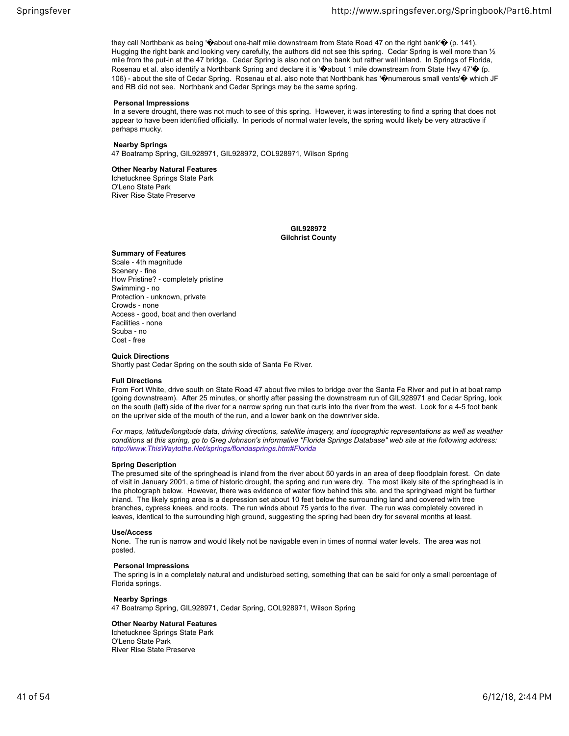they call Northbank as being ' $\ddot{\textbf{Q}}$  about one-half mile downstream from State Road 47 on the right bank' $\dot{\textbf{Q}}$  (p. 141). Hugging the right bank and looking very carefully, the authors did not see this spring. Cedar Spring is well more than  $\frac{1}{2}$ mile from the put-in at the 47 bridge. Cedar Spring is also not on the bank but rather well inland. In Springs of Florida, Rosenau et al. also identify a Northbank Spring and declare it is ' $\bullet$  about 1 mile downstream from State Hwy 47' $\bullet$  (p. 106) - about the site of Cedar Spring. Rosenau et al. also note that Northbank has '�numerous small vents'� which JF and RB did not see. Northbank and Cedar Springs may be the same spring.

## **Personal Impressions**

 In a severe drought, there was not much to see of this spring. However, it was interesting to find a spring that does not appear to have been identified officially. In periods of normal water levels, the spring would likely be very attractive if perhaps mucky.

#### **Nearby Springs**

47 Boatramp Spring, GIL928971, GIL928972, COL928971, Wilson Spring

## **Other Nearby Natural Features**

Ichetucknee Springs State Park O'Leno State Park River Rise State Preserve

> **GIL928972 Gilchrist County**

#### **Summary of Features**

Scale ‐ 4th magnitude Scenery ‐ fine How Pristine? ‐ completely pristine Swimming ‐ no Protection ‐ unknown, private Crowds ‐ none Access ‐ good, boat and then overland Facilities ‐ none Scuba ‐ no Cost ‐ free

## **Quick Directions**

Shortly past Cedar Spring on the south side of Santa Fe River.

#### **Full Directions**

From Fort White, drive south on State Road 47 about five miles to bridge over the Santa Fe River and put in at boat ramp (going downstream). After 25 minutes, or shortly after passing the downstream run of GIL928971 and Cedar Spring, look on the south (left) side of the river for a narrow spring run that curls into the river from the west. Look for a 4-5 foot bank on the upriver side of the mouth of the run, and a lower bank on the downriver side.

*For maps, latitude/longitude data, driving directions, satellite imagery, and topographic representations as well as weather conditions at this spring, go to Greg Johnson's informative "Florida Springs Database" web site at the following address: http://www.ThisWaytothe.Net/springs/floridasprings.htm#Florida*

## **Spring Description**

The presumed site of the springhead is inland from the river about 50 yards in an area of deep floodplain forest. On date of visit in January 2001, a time of historic drought, the spring and run were dry. The most likely site of the springhead is in the photograph below. However, there was evidence of water flow behind this site, and the springhead might be further inland. The likely spring area is a depression set about 10 feet below the surrounding land and covered with tree branches, cypress knees, and roots. The run winds about 75 yards to the river. The run was completely covered in leaves, identical to the surrounding high ground, suggesting the spring had been dry for several months at least.

## **Use/Access**

None. The run is narrow and would likely not be navigable even in times of normal water levels. The area was not posted.

#### **Personal Impressions**

 The spring is in a completely natural and undisturbed setting, something that can be said for only a small percentage of Florida springs.

#### **Nearby Springs**

47 Boatramp Spring, GIL928971, Cedar Spring, COL928971, Wilson Spring

## **Other Nearby Natural Features**

Ichetucknee Springs State Park O'Leno State Park River Rise State Preserve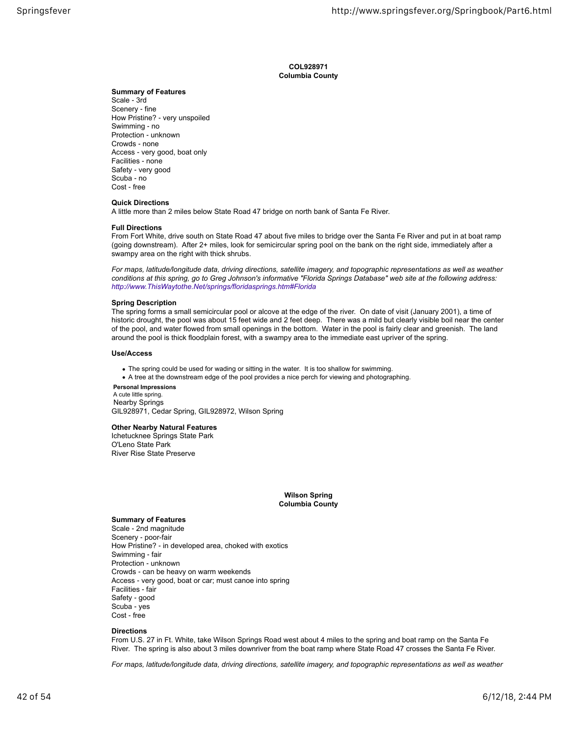**COL928971 Columbia County**

## **Summary of Features**

Scale ‐ 3rd Scenery ‐ fine How Pristine? ‐ very unspoiled Swimming ‐ no Protection ‐ unknown Crowds ‐ none Access ‐ very good, boat only Facilities ‐ none Safety ‐ very good Scuba ‐ no Cost ‐ free

## **Quick Directions**

A little more than 2 miles below State Road 47 bridge on north bank of Santa Fe River.

## **Full Directions**

From Fort White, drive south on State Road 47 about five miles to bridge over the Santa Fe River and put in at boat ramp (going downstream). After 2+ miles, look for semicircular spring pool on the bank on the right side, immediately after a swampy area on the right with thick shrubs.

*For maps, latitude/longitude data, driving directions, satellite imagery, and topographic representations as well as weather conditions at this spring, go to Greg Johnson's informative "Florida Springs Database" web site at the following address: http://www.ThisWaytothe.Net/springs/floridasprings.htm#Florida*

#### **Spring Description**

The spring forms a small semicircular pool or alcove at the edge of the river. On date of visit (January 2001), a time of historic drought, the pool was about 15 feet wide and 2 feet deep. There was a mild but clearly visible boil near the center of the pool, and water flowed from small openings in the bottom. Water in the pool is fairly clear and greenish. The land around the pool is thick floodplain forest, with a swampy area to the immediate east upriver of the spring.

#### **Use/Access**

The spring could be used for wading or sitting in the water. It is too shallow for swimming.

A tree at the downstream edge of the pool provides a nice perch for viewing and photographing.

#### **Personal Impressions** A cute little spring. Nearby Springs

GIL928971, Cedar Spring, GIL928972, Wilson Spring

## **Other Nearby Natural Features**

Ichetucknee Springs State Park O'Leno State Park River Rise State Preserve

> **Wilson Spring Columbia County**

## **Summary of Features**

Scale ‐ 2nd magnitude Scenery ‐ poor-fair How Pristine? ‐ in developed area, choked with exotics Swimming ‐ fair Protection ‐ unknown Crowds ‐ can be heavy on warm weekends Access ‐ very good, boat or car; must canoe into spring Facilities ‐ fair Safety ‐ good Scuba ‐ yes Cost ‐ free

## **Directions**

From U.S. 27 in Ft. White, take Wilson Springs Road west about 4 miles to the spring and boat ramp on the Santa Fe River. The spring is also about 3 miles downriver from the boat ramp where State Road 47 crosses the Santa Fe River.

*For maps, latitude/longitude data, driving directions, satellite imagery, and topographic representations as well as weather*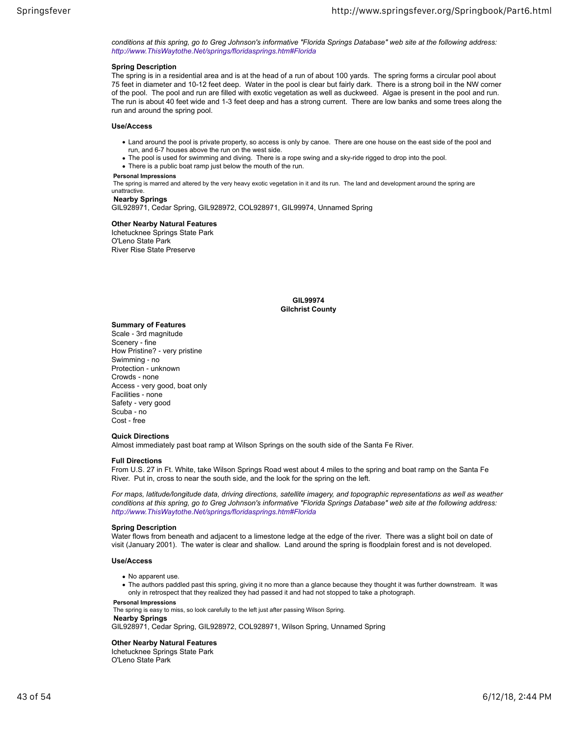*conditions at this spring, go to Greg Johnson's informative "Florida Springs Database" web site at the following address: http://www.ThisWaytothe.Net/springs/floridasprings.htm#Florida*

## **Spring Description**

The spring is in a residential area and is at the head of a run of about 100 yards. The spring forms a circular pool about 75 feet in diameter and 10-12 feet deep. Water in the pool is clear but fairly dark. There is a strong boil in the NW corner of the pool. The pool and run are filled with exotic vegetation as well as duckweed. Algae is present in the pool and run. The run is about 40 feet wide and 1-3 feet deep and has a strong current. There are low banks and some trees along the run and around the spring pool.

#### **Use/Access**

- Land around the pool is private property, so access is only by canoe. There are one house on the east side of the pool and run, and 6-7 houses above the run on the west side.
- The pool is used for swimming and diving. There is a rope swing and a sky-ride rigged to drop into the pool.
- There is a public boat ramp just below the mouth of the run.

#### **Personal Impressions**

 The spring is marred and altered by the very heavy exotic vegetation in it and its run. The land and development around the spring are unattractive.

#### **Nearby Springs**

GIL928971, Cedar Spring, GIL928972, COL928971, GIL99974, Unnamed Spring

## **Other Nearby Natural Features**

Ichetucknee Springs State Park O'Leno State Park River Rise State Preserve

> **GIL99974 Gilchrist County**

## **Summary of Features**

Scale ‐ 3rd magnitude Scenery ‐ fine How Pristine? ‐ very pristine Swimming ‐ no Protection ‐ unknown Crowds ‐ none Access ‐ very good, boat only Facilities ‐ none Safety ‐ very good Scuba ‐ no Cost ‐ free

#### **Quick Directions**

Almost immediately past boat ramp at Wilson Springs on the south side of the Santa Fe River.

#### **Full Directions**

From U.S. 27 in Ft. White, take Wilson Springs Road west about 4 miles to the spring and boat ramp on the Santa Fe River. Put in, cross to near the south side, and the look for the spring on the left.

*For maps, latitude/longitude data, driving directions, satellite imagery, and topographic representations as well as weather conditions at this spring, go to Greg Johnson's informative "Florida Springs Database" web site at the following address: http://www.ThisWaytothe.Net/springs/floridasprings.htm#Florida*

#### **Spring Description**

Water flows from beneath and adjacent to a limestone ledge at the edge of the river. There was a slight boil on date of visit (January 2001). The water is clear and shallow. Land around the spring is floodplain forest and is not developed.

#### **Use/Access**

- No apparent use.
- The authors paddled past this spring, giving it no more than a glance because they thought it was further downstream. It was only in retrospect that they realized they had passed it and had not stopped to take a photograph.

#### **Personal Impressions**

The spring is easy to miss, so look carefully to the left just after passing Wilson Spring.

#### **Nearby Springs**

GIL928971, Cedar Spring, GIL928972, COL928971, Wilson Spring, Unnamed Spring

## **Other Nearby Natural Features**

Ichetucknee Springs State Park O'Leno State Park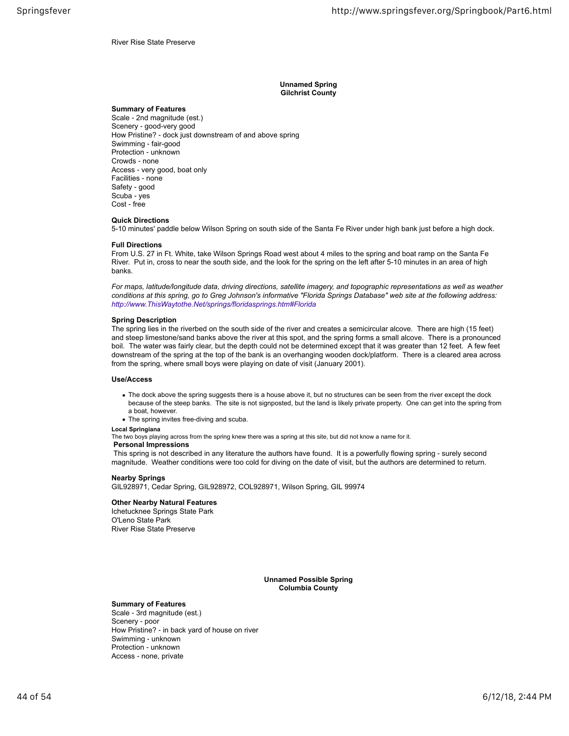River Rise State Preserve

**Unnamed Spring Gilchrist County**

#### **Summary of Features**

Scale ‐ 2nd magnitude (est.) Scenery ‐ good-very good How Pristine? ‐ dock just downstream of and above spring Swimming ‐ fair-good Protection ‐ unknown Crowds ‐ none Access ‐ very good, boat only Facilities ‐ none Safety ‐ good Scuba ‐ yes Cost ‐ free

## **Quick Directions**

5-10 minutes' paddle below Wilson Spring on south side of the Santa Fe River under high bank just before a high dock.

#### **Full Directions**

From U.S. 27 in Ft. White, take Wilson Springs Road west about 4 miles to the spring and boat ramp on the Santa Fe River. Put in, cross to near the south side, and the look for the spring on the left after 5-10 minutes in an area of high banks.

*For maps, latitude/longitude data, driving directions, satellite imagery, and topographic representations as well as weather conditions at this spring, go to Greg Johnson's informative "Florida Springs Database" web site at the following address: http://www.ThisWaytothe.Net/springs/floridasprings.htm#Florida*

#### **Spring Description**

The spring lies in the riverbed on the south side of the river and creates a semicircular alcove. There are high (15 feet) and steep limestone/sand banks above the river at this spot, and the spring forms a small alcove. There is a pronounced boil. The water was fairly clear, but the depth could not be determined except that it was greater than 12 feet. A few feet downstream of the spring at the top of the bank is an overhanging wooden dock/platform. There is a cleared area across from the spring, where small boys were playing on date of visit (January 2001).

#### **Use/Access**

- The dock above the spring suggests there is a house above it, but no structures can be seen from the river except the dock because of the steep banks. The site is not signposted, but the land is likely private property. One can get into the spring from a boat, however.
- The spring invites free-diving and scuba.

#### **Local Springiana**

The two boys playing across from the spring knew there was a spring at this site, but did not know a name for it.

#### **Personal Impressions**

This spring is not described in any literature the authors have found. It is a powerfully flowing spring - surely second magnitude. Weather conditions were too cold for diving on the date of visit, but the authors are determined to return.

#### **Nearby Springs**

GIL928971, Cedar Spring, GIL928972, COL928971, Wilson Spring, GIL 99974

#### **Other Nearby Natural Features**

Ichetucknee Springs State Park O'Leno State Park River Rise State Preserve

> **Unnamed Possible Spring Columbia County**

## **Summary of Features**

Scale ‐ 3rd magnitude (est.) Scenery ‐ poor How Pristine? ‐ in back yard of house on river Swimming ‐ unknown Protection ‐ unknown Access ‐ none, private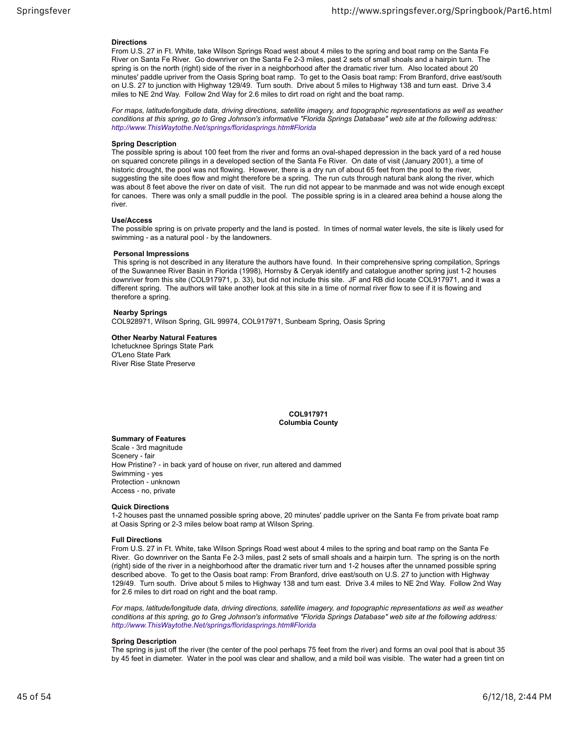#### **Directions**

From U.S. 27 in Ft. White, take Wilson Springs Road west about 4 miles to the spring and boat ramp on the Santa Fe River on Santa Fe River. Go downriver on the Santa Fe 2-3 miles, past 2 sets of small shoals and a hairpin turn. The spring is on the north (right) side of the river in a neighborhood after the dramatic river turn. Also located about 20 minutes' paddle upriver from the Oasis Spring boat ramp. To get to the Oasis boat ramp: From Branford, drive east/south on U.S. 27 to junction with Highway 129/49. Turn south. Drive about 5 miles to Highway 138 and turn east. Drive 3.4 miles to NE 2nd Way. Follow 2nd Way for 2.6 miles to dirt road on right and the boat ramp.

*For maps, latitude/longitude data, driving directions, satellite imagery, and topographic representations as well as weather conditions at this spring, go to Greg Johnson's informative "Florida Springs Database" web site at the following address: http://www.ThisWaytothe.Net/springs/floridasprings.htm#Florida*

#### **Spring Description**

The possible spring is about 100 feet from the river and forms an oval-shaped depression in the back yard of a red house on squared concrete pilings in a developed section of the Santa Fe River. On date of visit (January 2001), a time of historic drought, the pool was not flowing. However, there is a dry run of about 65 feet from the pool to the river, suggesting the site does flow and might therefore be a spring. The run cuts through natural bank along the river, which was about 8 feet above the river on date of visit. The run did not appear to be manmade and was not wide enough except for canoes. There was only a small puddle in the pool. The possible spring is in a cleared area behind a house along the river.

## **Use/Access**

The possible spring is on private property and the land is posted. In times of normal water levels, the site is likely used for swimming ‐ as a natural pool ‐ by the landowners.

#### **Personal Impressions**

 This spring is not described in any literature the authors have found. In their comprehensive spring compilation, Springs of the Suwannee River Basin in Florida (1998), Hornsby & Ceryak identify and catalogue another spring just 1-2 houses downriver from this site (COL917971, p. 33), but did not include this site. JF and RB did locate COL917971, and it was a different spring. The authors will take another look at this site in a time of normal river flow to see if it is flowing and therefore a spring.

#### **Nearby Springs**

COL928971, Wilson Spring, GIL 99974, COL917971, Sunbeam Spring, Oasis Spring

## **Other Nearby Natural Features**

Ichetucknee Springs State Park O'Leno State Park River Rise State Preserve

## **COL917971 Columbia County**

#### **Summary of Features**

Scale ‐ 3rd magnitude Scenery ‐ fair How Pristine? ‐ in back yard of house on river, run altered and dammed Swimming ‐ yes Protection ‐ unknown Access ‐ no, private

#### **Quick Directions**

1-2 houses past the unnamed possible spring above, 20 minutes' paddle upriver on the Santa Fe from private boat ramp at Oasis Spring or 2-3 miles below boat ramp at Wilson Spring.

#### **Full Directions**

From U.S. 27 in Ft. White, take Wilson Springs Road west about 4 miles to the spring and boat ramp on the Santa Fe River. Go downriver on the Santa Fe 2-3 miles, past 2 sets of small shoals and a hairpin turn. The spring is on the north (right) side of the river in a neighborhood after the dramatic river turn and 1-2 houses after the unnamed possible spring described above. To get to the Oasis boat ramp: From Branford, drive east/south on U.S. 27 to junction with Highway 129/49. Turn south. Drive about 5 miles to Highway 138 and turn east. Drive 3.4 miles to NE 2nd Way. Follow 2nd Way for 2.6 miles to dirt road on right and the boat ramp.

*For maps, latitude/longitude data, driving directions, satellite imagery, and topographic representations as well as weather conditions at this spring, go to Greg Johnson's informative "Florida Springs Database" web site at the following address: http://www.ThisWaytothe.Net/springs/floridasprings.htm#Florida*

## **Spring Description**

The spring is just off the river (the center of the pool perhaps 75 feet from the river) and forms an oval pool that is about 35 by 45 feet in diameter. Water in the pool was clear and shallow, and a mild boil was visible. The water had a green tint on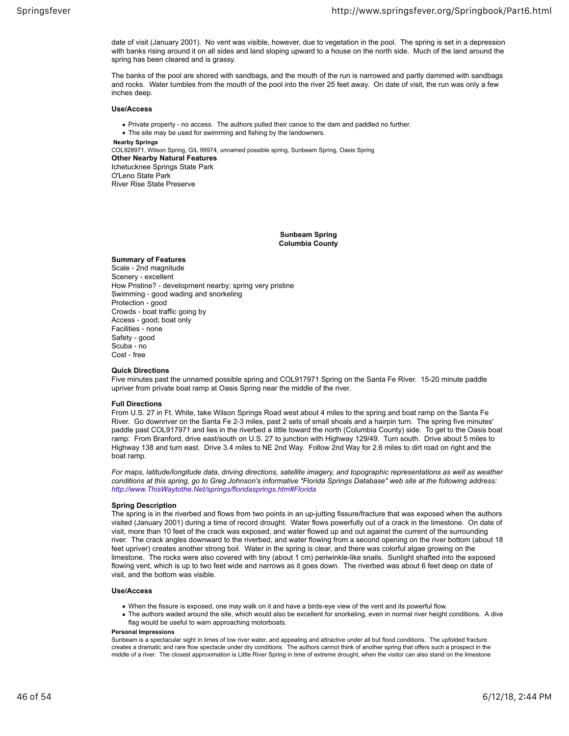date of visit (January 2001). No vent was visible, however, due to vegetation in the pool. The spring is set in a depression with banks rising around it on all sides and land sloping upward to a house on the north side. Much of the land around the spring has been cleared and is grassy.

The banks of the pool are shored with sandbags, and the mouth of the run is narrowed and partly dammed with sandbags and rocks. Water tumbles from the mouth of the pool into the river 25 feet away. On date of visit, the run was only a few inches deep.

## **Use/Access**

• Private property - no access. The authors pulled their canoe to the dam and paddled no further.

The site may be used for swimming and fishing by the landowners.

 **Nearby Springs**

COL928971, Wilson Spring, GIL 99974, unnamed possible spring, Sunbeam Spring, Oasis Spring **Other Nearby Natural Features** Ichetucknee Springs State Park O'Leno State Park

River Rise State Preserve

**Sunbeam Spring Columbia County**

## **Summary of Features**

Scale ‐ 2nd magnitude Scenery ‐ excellent How Pristine? ‐ development nearby; spring very pristine Swimming ‐ good wading and snorkeling Protection ‐ good Crowds ‐ boat traffic going by Access ‐ good; boat only Facilities ‐ none Safety ‐ good Scuba ‐ no Cost ‐ free

## **Quick Directions**

Five minutes past the unnamed possible spring and COL917971 Spring on the Santa Fe River. 15-20 minute paddle upriver from private boat ramp at Oasis Spring near the middle of the river.

## **Full Directions**

From U.S. 27 in Ft. White, take Wilson Springs Road west about 4 miles to the spring and boat ramp on the Santa Fe River. Go downriver on the Santa Fe 2-3 miles, past 2 sets of small shoals and a hairpin turn. The spring five minutes' paddle past COL917971 and lies in the riverbed a little toward the north (Columbia County) side. To get to the Oasis boat ramp: From Branford, drive east/south on U.S. 27 to junction with Highway 129/49. Turn south. Drive about 5 miles to Highway 138 and turn east. Drive 3.4 miles to NE 2nd Way. Follow 2nd Way for 2.6 miles to dirt road on right and the boat ramp.

*For maps, latitude/longitude data, driving directions, satellite imagery, and topographic representations as well as weather conditions at this spring, go to Greg Johnson's informative "Florida Springs Database" web site at the following address: http://www.ThisWaytothe.Net/springs/floridasprings.htm#Florida*

## **Spring Description**

The spring is in the riverbed and flows from two points in an up-jutting fissure/fracture that was exposed when the authors visited (January 2001) during a time of record drought. Water flows powerfully out of a crack in the limestone. On date of visit, more than 10 feet of the crack was exposed, and water flowed up and out against the current of the surrounding river. The crack angles downward to the riverbed, and water flowing from a second opening on the river bottom (about 18 feet upriver) creates another strong boil. Water in the spring is clear, and there was colorful algae growing on the limestone. The rocks were also covered with tiny (about 1 cm) periwinkle-like snails. Sunlight shafted into the exposed flowing vent, which is up to two feet wide and narrows as it goes down. The riverbed was about 6 feet deep on date of visit, and the bottom was visible.

## **Use/Access**

- When the fissure is exposed, one may walk on it and have a birds-eye view of the vent and its powerful flow.
- The authors waded around the site, which would also be excellent for snorkeling, even in normal river height conditions. A dive flag would be useful to warn approaching motorboats.

#### **Personal Impressions**

Sunbeam is a spectacular sight in times of low river water, and appealing and attractive under all but flood conditions. The upfolded fracture creates a dramatic and rare flow spectacle under dry conditions. The authors cannot think of another spring that offers such a prospect in the middle of a river. The closest approximation is Little River Spring in time of extreme drought, when the visitor can also stand on the limestone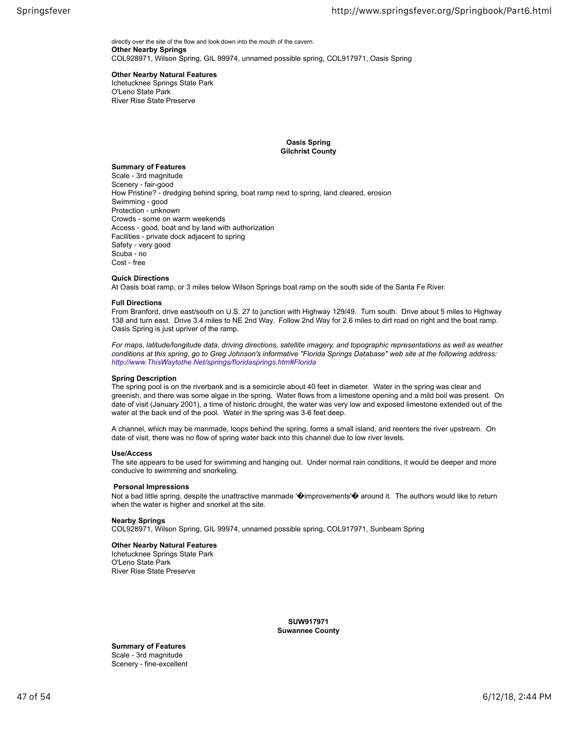directly over the site of the flow and look down into the mouth of the cavern. **Other Nearby Springs** COL928971, Wilson Spring, GIL 99974, unnamed possible spring, COL917971, Oasis Spring

## **Other Nearby Natural Features**

Ichetucknee Springs State Park O'Leno State Park River Rise State Preserve

> **Oasis Spring Gilchrist County**

## **Summary of Features**

Scale ‐ 3rd magnitude Scenery ‐ fair-good How Pristine? - dredging behind spring, boat ramp next to spring, land cleared, erosion Swimming ‐ good Protection ‐ unknown Crowds ‐ some on warm weekends Access ‐ good, boat and by land with authorization Facilities ‐ private dock adjacent to spring Safety ‐ very good Scuba ‐ no Cost ‐ free

## **Quick Directions**

At Oasis boat ramp, or 3 miles below Wilson Springs boat ramp on the south side of the Santa Fe River.

## **Full Directions**

From Branford, drive east/south on U.S. 27 to junction with Highway 129/49. Turn south. Drive about 5 miles to Highway 138 and turn east. Drive 3.4 miles to NE 2nd Way. Follow 2nd Way for 2.6 miles to dirt road on right and the boat ramp. Oasis Spring is just upriver of the ramp.

*For maps, latitude/longitude data, driving directions, satellite imagery, and topographic representations as well as weather conditions at this spring, go to Greg Johnson's informative "Florida Springs Database" web site at the following address: http://www.ThisWaytothe.Net/springs/floridasprings.htm#Florida*

## **Spring Description**

The spring pool is on the riverbank and is a semicircle about 40 feet in diameter. Water in the spring was clear and greenish, and there was some algae in the spring. Water flows from a limestone opening and a mild boil was present. On date of visit (January 2001), a time of historic drought, the water was very low and exposed limestone extended out of the water at the back end of the pool. Water in the spring was 3-6 feet deep.

A channel, which may be manmade, loops behind the spring, forms a small island, and reenters the river upstream. On date of visit, there was no flow of spring water back into this channel due to low river levels.

## **Use/Access**

The site appears to be used for swimming and hanging out. Under normal rain conditions, it would be deeper and more conducive to swimming and snorkeling.

## **Personal Impressions**

Not a bad little spring, despite the unattractive manmade '@improvements'@ around it. The authors would like to return when the water is higher and snorkel at the site.

## **Nearby Springs**

COL928971, Wilson Spring, GIL 99974, unnamed possible spring, COL917971, Sunbeam Spring

## **Other Nearby Natural Features**

Ichetucknee Springs State Park O'Leno State Park River Rise State Preserve

> **SUW917971 Suwannee County**

**Summary of Features** Scale ‐ 3rd magnitude Scenery ‐ fine-excellent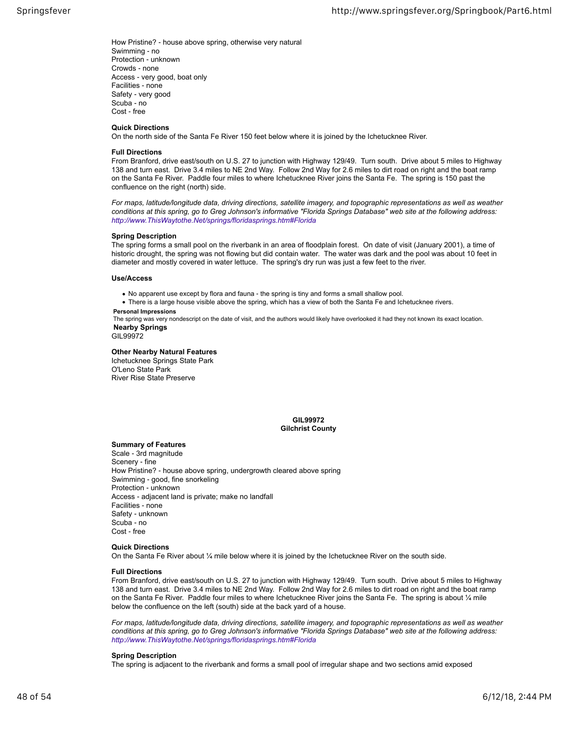How Pristine? ‐ house above spring, otherwise very natural Swimming ‐ no Protection ‐ unknown Crowds ‐ none Access ‐ very good, boat only Facilities ‐ none Safety ‐ very good Scuba ‐ no Cost ‐ free

## **Quick Directions**

On the north side of the Santa Fe River 150 feet below where it is joined by the Ichetucknee River.

#### **Full Directions**

From Branford, drive east/south on U.S. 27 to junction with Highway 129/49. Turn south. Drive about 5 miles to Highway 138 and turn east. Drive 3.4 miles to NE 2nd Way. Follow 2nd Way for 2.6 miles to dirt road on right and the boat ramp on the Santa Fe River. Paddle four miles to where Ichetucknee River joins the Santa Fe. The spring is 150 past the confluence on the right (north) side.

*For maps, latitude/longitude data, driving directions, satellite imagery, and topographic representations as well as weather conditions at this spring, go to Greg Johnson's informative "Florida Springs Database" web site at the following address: http://www.ThisWaytothe.Net/springs/floridasprings.htm#Florida*

#### **Spring Description**

The spring forms a small pool on the riverbank in an area of floodplain forest. On date of visit (January 2001), a time of historic drought, the spring was not flowing but did contain water. The water was dark and the pool was about 10 feet in diameter and mostly covered in water lettuce. The spring's dry run was just a few feet to the river.

#### **Use/Access**

No apparent use except by flora and fauna ‐ the spring is tiny and forms a small shallow pool.

There is a large house visible above the spring, which has a view of both the Santa Fe and Ichetucknee rivers.  **Personal Impressions**

 The spring was very nondescript on the date of visit, and the authors would likely have overlooked it had they not known its exact location.  **Nearby Springs**

GIL99972

## **Other Nearby Natural Features**

Ichetucknee Springs State Park O'Leno State Park River Rise State Preserve

## **GIL99972 Gilchrist County**

#### **Summary of Features**

Scale ‐ 3rd magnitude Scenery ‐ fine How Pristine? ‐ house above spring, undergrowth cleared above spring Swimming ‐ good, fine snorkeling Protection ‐ unknown Access ‐ adjacent land is private; make no landfall Facilities ‐ none Safety ‐ unknown Scuba ‐ no Cost ‐ free

## **Quick Directions**

On the Santa Fe River about ¼ mile below where it is joined by the Ichetucknee River on the south side.

## **Full Directions**

From Branford, drive east/south on U.S. 27 to junction with Highway 129/49. Turn south. Drive about 5 miles to Highway 138 and turn east. Drive 3.4 miles to NE 2nd Way. Follow 2nd Way for 2.6 miles to dirt road on right and the boat ramp on the Santa Fe River. Paddle four miles to where Ichetucknee River joins the Santa Fe. The spring is about  $\frac{1}{4}$  mile below the confluence on the left (south) side at the back yard of a house.

*For maps, latitude/longitude data, driving directions, satellite imagery, and topographic representations as well as weather conditions at this spring, go to Greg Johnson's informative "Florida Springs Database" web site at the following address: http://www.ThisWaytothe.Net/springs/floridasprings.htm#Florida*

#### **Spring Description**

The spring is adjacent to the riverbank and forms a small pool of irregular shape and two sections amid exposed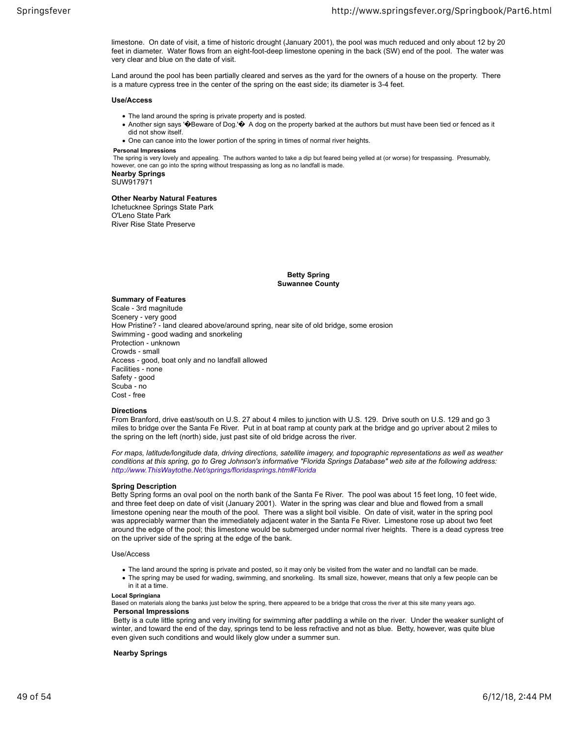limestone. On date of visit, a time of historic drought (January 2001), the pool was much reduced and only about 12 by 20 feet in diameter. Water flows from an eight-foot-deep limestone opening in the back (SW) end of the pool. The water was very clear and blue on the date of visit.

Land around the pool has been partially cleared and serves as the yard for the owners of a house on the property. There is a mature cypress tree in the center of the spring on the east side; its diameter is 3-4 feet.

#### **Use/Access**

- The land around the spring is private property and is posted.
- Another sign says ' $\bigcirc$  Beware of Dog.' $\bigcirc$  A dog on the property barked at the authors but must have been tied or fenced as it did not show itself.
- One can canoe into the lower portion of the spring in times of normal river heights.

## **Personal Impressions**

 The spring is very lovely and appealing. The authors wanted to take a dip but feared being yelled at (or worse) for trespassing. Presumably, however, one can go into the spring without trespassing as long as no landfall is made.

**Nearby Springs** SUW917971

## **Other Nearby Natural Features**

Ichetucknee Springs State Park O'Leno State Park River Rise State Preserve

> **Betty Spring Suwannee County**

## **Summary of Features**

Scale ‐ 3rd magnitude Scenery ‐ very good How Pristine? ‐ land cleared above/around spring, near site of old bridge, some erosion Swimming ‐ good wading and snorkeling Protection ‐ unknown Crowds ‐ small Access ‐ good, boat only and no landfall allowed Facilities ‐ none Safety ‐ good Scuba ‐ no Cost ‐ free

## **Directions**

From Branford, drive east/south on U.S. 27 about 4 miles to junction with U.S. 129. Drive south on U.S. 129 and go 3 miles to bridge over the Santa Fe River. Put in at boat ramp at county park at the bridge and go upriver about 2 miles to the spring on the left (north) side, just past site of old bridge across the river.

*For maps, latitude/longitude data, driving directions, satellite imagery, and topographic representations as well as weather conditions at this spring, go to Greg Johnson's informative "Florida Springs Database" web site at the following address: http://www.ThisWaytothe.Net/springs/floridasprings.htm#Florida*

## **Spring Description**

Betty Spring forms an oval pool on the north bank of the Santa Fe River. The pool was about 15 feet long, 10 feet wide, and three feet deep on date of visit (January 2001). Water in the spring was clear and blue and flowed from a small limestone opening near the mouth of the pool. There was a slight boil visible. On date of visit, water in the spring pool was appreciably warmer than the immediately adjacent water in the Santa Fe River. Limestone rose up about two feet around the edge of the pool; this limestone would be submerged under normal river heights. There is a dead cypress tree on the upriver side of the spring at the edge of the bank.

#### Use/Access

- The land around the spring is private and posted, so it may only be visited from the water and no landfall can be made.
- The spring may be used for wading, swimming, and snorkeling. Its small size, however, means that only a few people can be in it at a time.

#### **Local Springiana**

Based on materials along the banks just below the spring, there appeared to be a bridge that cross the river at this site many years ago.  **Personal Impressions**

 Betty is a cute little spring and very inviting for swimming after paddling a while on the river. Under the weaker sunlight of winter, and toward the end of the day, springs tend to be less refractive and not as blue. Betty, however, was quite blue even given such conditions and would likely glow under a summer sun.

## **Nearby Springs**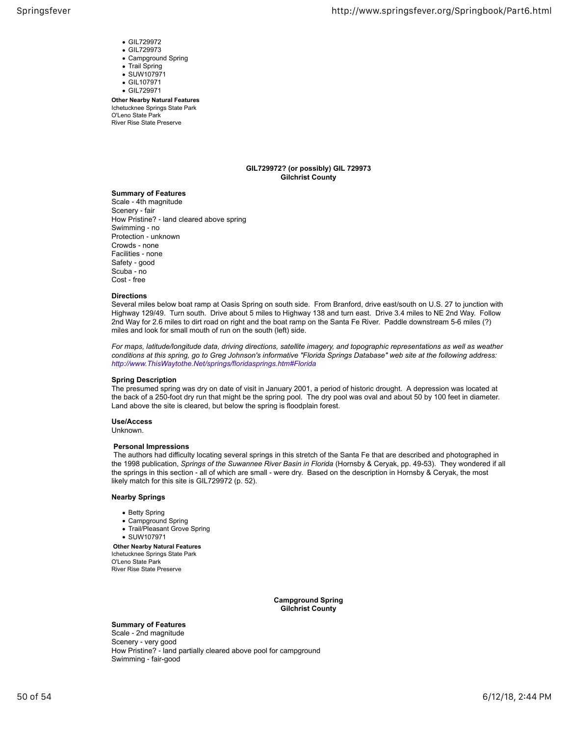- GIL729972
- GIL729973
- Campground Spring
- Trail Spring
- SUW107971
- GIL107971 GIL729971
- 

**Other Nearby Natural Features** Ichetucknee Springs State Park O'Leno State Park River Rise State Preserve

## **GIL729972? (or possibly) GIL 729973 Gilchrist County**

## **Summary of Features**

Scale ‐ 4th magnitude Scenery ‐ fair How Pristine? ‐ land cleared above spring Swimming ‐ no Protection ‐ unknown Crowds ‐ none Facilities ‐ none Safety ‐ good Scuba ‐ no Cost ‐ free

## **Directions**

Several miles below boat ramp at Oasis Spring on south side. From Branford, drive east/south on U.S. 27 to junction with Highway 129/49. Turn south. Drive about 5 miles to Highway 138 and turn east. Drive 3.4 miles to NE 2nd Way. Follow 2nd Way for 2.6 miles to dirt road on right and the boat ramp on the Santa Fe River. Paddle downstream 5-6 miles (?) miles and look for small mouth of run on the south (left) side.

*For maps, latitude/longitude data, driving directions, satellite imagery, and topographic representations as well as weather conditions at this spring, go to Greg Johnson's informative "Florida Springs Database" web site at the following address: http://www.ThisWaytothe.Net/springs/floridasprings.htm#Florida*

## **Spring Description**

The presumed spring was dry on date of visit in January 2001, a period of historic drought. A depression was located at the back of a 250-foot dry run that might be the spring pool. The dry pool was oval and about 50 by 100 feet in diameter. Land above the site is cleared, but below the spring is floodplain forest.

## **Use/Access**

Unknown.

## **Personal Impressions**

 The authors had difficulty locating several springs in this stretch of the Santa Fe that are described and photographed in the 1998 publication, *Springs of the Suwannee River Basin in Florida* (Hornsby & Ceryak, pp. 49-53). They wondered if all the springs in this section ‐ all of which are small ‐ were dry. Based on the description in Hornsby & Ceryak, the most likely match for this site is GIL729972 (p. 52).

## **Nearby Springs**

- Betty Spring
- Campground Spring
- Trail/Pleasant Grove Spring

## SUW107971

**Other Nearby Natural Features** Ichetucknee Springs State Park O'Leno State Park River Rise State Preserve

> **Campground Spring Gilchrist County**

## **Summary of Features**

Scale ‐ 2nd magnitude Scenery ‐ very good How Pristine? ‐ land partially cleared above pool for campground Swimming ‐ fair-good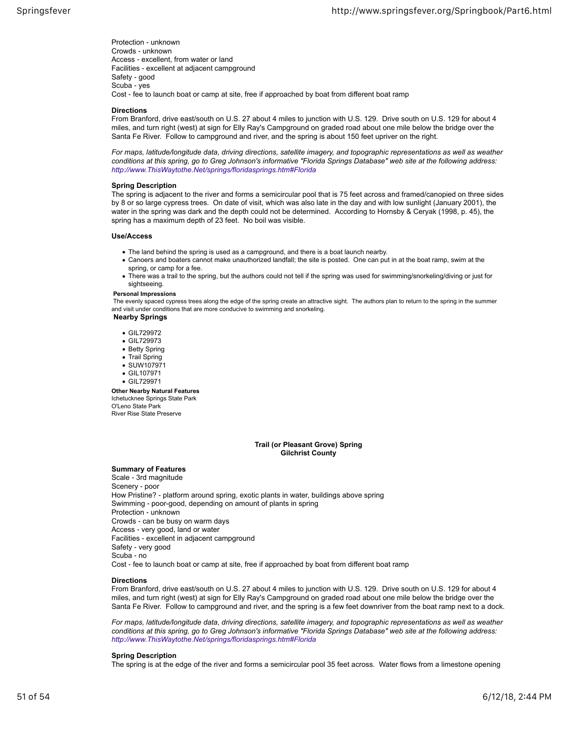Protection ‐ unknown Crowds ‐ unknown Access ‐ excellent, from water or land Facilities ‐ excellent at adjacent campground Safety ‐ good Scuba ‐ yes Cost - fee to launch boat or camp at site, free if approached by boat from different boat ramp

## **Directions**

From Branford, drive east/south on U.S. 27 about 4 miles to junction with U.S. 129. Drive south on U.S. 129 for about 4 miles, and turn right (west) at sign for Elly Ray's Campground on graded road about one mile below the bridge over the Santa Fe River. Follow to campground and river, and the spring is about 150 feet upriver on the right.

*For maps, latitude/longitude data, driving directions, satellite imagery, and topographic representations as well as weather conditions at this spring, go to Greg Johnson's informative "Florida Springs Database" web site at the following address: http://www.ThisWaytothe.Net/springs/floridasprings.htm#Florida*

## **Spring Description**

The spring is adjacent to the river and forms a semicircular pool that is 75 feet across and framed/canopied on three sides by 8 or so large cypress trees. On date of visit, which was also late in the day and with low sunlight (January 2001), the water in the spring was dark and the depth could not be determined. According to Hornsby & Ceryak (1998, p. 45), the spring has a maximum depth of 23 feet. No boil was visible.

## **Use/Access**

- The land behind the spring is used as a campground, and there is a boat launch nearby.
- Canoers and boaters cannot make unauthorized landfall; the site is posted. One can put in at the boat ramp, swim at the spring, or camp for a fee.
- There was a trail to the spring, but the authors could not tell if the spring was used for swimming/snorkeling/diving or just for sightseeing

#### **Personal Impressions**

 The evenly spaced cypress trees along the edge of the spring create an attractive sight. The authors plan to return to the spring in the summer and visit under conditions that are more conducive to swimming and snorkeling.

## **Nearby Springs**

- GIL729972
- GIL729973
- Betty Spring
- Trail Spring
- SUW107971 GIL107971
- GIL729971

**Other Nearby Natural Features** Ichetucknee Springs State Park O'Leno State Park River Rise State Preserve

## **Trail (or Pleasant Grove) Spring Gilchrist County**

## **Summary of Features**

Scale ‐ 3rd magnitude Scenery ‐ poor How Pristine? ‐ platform around spring, exotic plants in water, buildings above spring Swimming ‐ poor-good, depending on amount of plants in spring Protection ‐ unknown Crowds ‐ can be busy on warm days Access ‐ very good, land or water Facilities ‐ excellent in adjacent campground Safety ‐ very good Scuba ‐ no Cost ‐ fee to launch boat or camp at site, free if approached by boat from different boat ramp

## **Directions**

From Branford, drive east/south on U.S. 27 about 4 miles to junction with U.S. 129. Drive south on U.S. 129 for about 4 miles, and turn right (west) at sign for Elly Ray's Campground on graded road about one mile below the bridge over the Santa Fe River. Follow to campground and river, and the spring is a few feet downriver from the boat ramp next to a dock.

*For maps, latitude/longitude data, driving directions, satellite imagery, and topographic representations as well as weather conditions at this spring, go to Greg Johnson's informative "Florida Springs Database" web site at the following address: http://www.ThisWaytothe.Net/springs/floridasprings.htm#Florida*

## **Spring Description**

The spring is at the edge of the river and forms a semicircular pool 35 feet across. Water flows from a limestone opening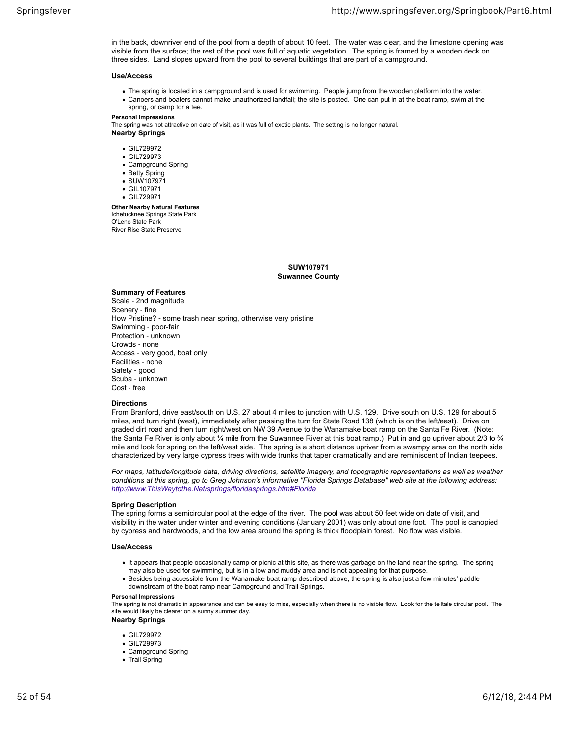in the back, downriver end of the pool from a depth of about 10 feet. The water was clear, and the limestone opening was visible from the surface; the rest of the pool was full of aquatic vegetation. The spring is framed by a wooden deck on three sides. Land slopes upward from the pool to several buildings that are part of a campground.

#### **Use/Access**

- The spring is located in a campground and is used for swimming. People jump from the wooden platform into the water.
- Canoers and boaters cannot make unauthorized landfall; the site is posted. One can put in at the boat ramp, swim at the spring, or camp for a fee.
- **Personal Impressions**

The spring was not attractive on date of visit, as it was full of exotic plants. The setting is no longer natural.

**Nearby Springs**

- GIL729972
- GIL729973
- Campground Spring
- Betty Spring
- SUW107971 GIL107971
- GIL729971

**Other Nearby Natural Features** Ichetucknee Springs State Park O'Leno State Park River Rise State Preserve

> **SUW107971 Suwannee County**

#### **Summary of Features**

Scale ‐ 2nd magnitude Scenery ‐ fine How Pristine? ‐ some trash near spring, otherwise very pristine Swimming ‐ poor-fair Protection ‐ unknown Crowds ‐ none Access ‐ very good, boat only Facilities ‐ none Safety ‐ good Scuba ‐ unknown Cost ‐ free

## **Directions**

From Branford, drive east/south on U.S. 27 about 4 miles to junction with U.S. 129. Drive south on U.S. 129 for about 5 miles, and turn right (west), immediately after passing the turn for State Road 138 (which is on the left/east). Drive on graded dirt road and then turn right/west on NW 39 Avenue to the Wanamake boat ramp on the Santa Fe River. (Note: the Santa Fe River is only about ¼ mile from the Suwannee River at this boat ramp.) Put in and go upriver about 2/3 to ¼ mile and look for spring on the left/west side. The spring is a short distance upriver from a swampy area on the north side characterized by very large cypress trees with wide trunks that taper dramatically and are reminiscent of Indian teepees.

*For maps, latitude/longitude data, driving directions, satellite imagery, and topographic representations as well as weather conditions at this spring, go to Greg Johnson's informative "Florida Springs Database" web site at the following address: http://www.ThisWaytothe.Net/springs/floridasprings.htm#Florida*

## **Spring Description**

The spring forms a semicircular pool at the edge of the river. The pool was about 50 feet wide on date of visit, and visibility in the water under winter and evening conditions (January 2001) was only about one foot. The pool is canopied by cypress and hardwoods, and the low area around the spring is thick floodplain forest. No flow was visible.

## **Use/Access**

- It appears that people occasionally camp or picnic at this site, as there was garbage on the land near the spring. The spring may also be used for swimming, but is in a low and muddy area and is not appealing for that purpose.
- Besides being accessible from the Wanamake boat ramp described above, the spring is also just a few minutes' paddle downstream of the boat ramp near Campground and Trail Springs.

#### **Personal Impressions**

The spring is not dramatic in appearance and can be easy to miss, especially when there is no visible flow. Look for the telltale circular pool. The site would likely be clearer on a sunny summer day.

#### **Nearby Springs**

- GIL729972
- GIL729973
- Campground Spring
- Trail Spring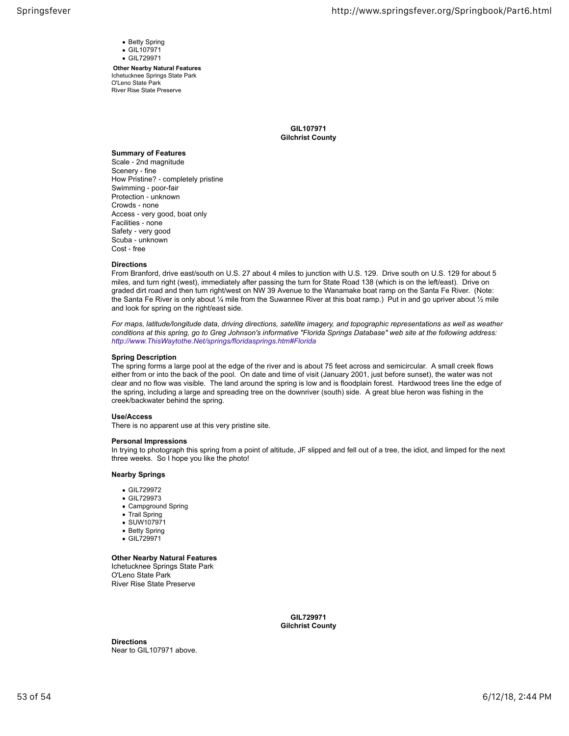- Betty Spring **GIL107971**
- GIL729971

**Other Nearby Natural Features** Ichetucknee Springs State Park O'Leno State Park River Rise State Preserve

> **GIL107971 Gilchrist County**

## **Summary of Features** Scale ‐ 2nd magnitude Scenery ‐ fine How Pristine? ‐ completely pristine Swimming ‐ poor-fair Protection ‐ unknown Crowds ‐ none Access ‐ very good, boat only Facilities ‐ none Safety ‐ very good Scuba ‐ unknown Cost ‐ free

## **Directions**

From Branford, drive east/south on U.S. 27 about 4 miles to junction with U.S. 129. Drive south on U.S. 129 for about 5 miles, and turn right (west), immediately after passing the turn for State Road 138 (which is on the left/east). Drive on graded dirt road and then turn right/west on NW 39 Avenue to the Wanamake boat ramp on the Santa Fe River. (Note: the Santa Fe River is only about  $\frac{1}{4}$  mile from the Suwannee River at this boat ramp.) Put in and go upriver about  $\frac{1}{2}$  mile and look for spring on the right/east side.

*For maps, latitude/longitude data, driving directions, satellite imagery, and topographic representations as well as weather conditions at this spring, go to Greg Johnson's informative "Florida Springs Database" web site at the following address: http://www.ThisWaytothe.Net/springs/floridasprings.htm#Florida*

## **Spring Description**

The spring forms a large pool at the edge of the river and is about 75 feet across and semicircular. A small creek flows either from or into the back of the pool. On date and time of visit (January 2001, just before sunset), the water was not clear and no flow was visible. The land around the spring is low and is floodplain forest. Hardwood trees line the edge of the spring, including a large and spreading tree on the downriver (south) side. A great blue heron was fishing in the creek/backwater behind the spring.

## **Use/Access**

There is no apparent use at this very pristine site.

## **Personal Impressions**

In trying to photograph this spring from a point of altitude, JF slipped and fell out of a tree, the idiot, and limped for the next three weeks. So I hope you like the photo!

## **Nearby Springs**

- GIL729972
- GIL729973
- Campground Spring
- Trail Spring
- SUW107971
- Betty Spring
- GIL729971

## **Other Nearby Natural Features**

Ichetucknee Springs State Park O'Leno State Park River Rise State Preserve

> **GIL729971 Gilchrist County**

**Directions** Near to GIL107971 above.